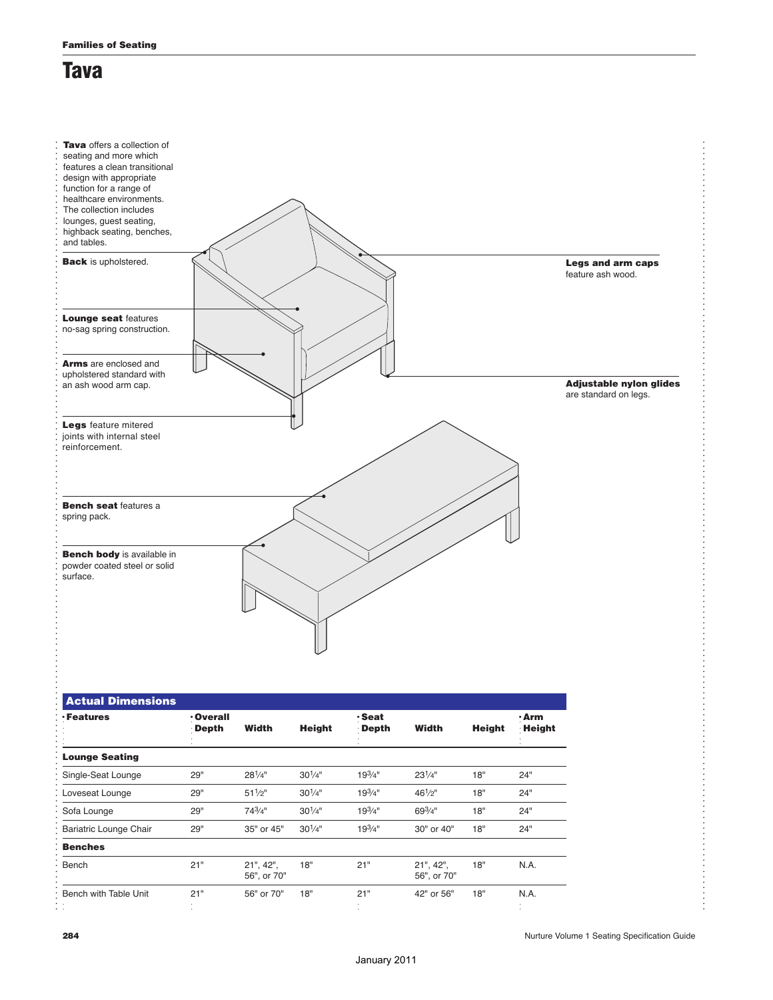## <span id="page-0-0"></span>**Tava**



| <b>Actual Dimensions</b>      |                           |                          |               |                             |                          |               |                        |  |  |
|-------------------------------|---------------------------|--------------------------|---------------|-----------------------------|--------------------------|---------------|------------------------|--|--|
| ∙ Features                    | ∙ Overall<br><b>Depth</b> | Width                    | <b>Height</b> | <b>Seat</b><br><b>Depth</b> | <b>Width</b>             | <b>Height</b> | • Arm<br><b>Height</b> |  |  |
| <b>Lounge Seating</b>         |                           |                          |               |                             |                          |               |                        |  |  |
| Single-Seat Lounge            | 29"                       | $28^{1/4"}$              | $30^{1/4"$    | 193/4"                      | $23^{1/4"$               | 18"           | 24"                    |  |  |
| : Loveseat Lounge             | 29"                       | $51\frac{1}{2}$          | $30^{1/4"$    | 193/4"                      | $46^{1}/2"$              | 18"           | 24"                    |  |  |
| Sofa Lounge                   | 29"                       | 743/4"                   | $30^{1/4"$    | 193/4"                      | 693/4"                   | 18"           | 24"                    |  |  |
| <b>Bariatric Lounge Chair</b> | 29"                       | 35" or 45"               | $30^{1/4"$    | 193/4"                      | 30" or 40"               | 18"           | 24"                    |  |  |
| <b>Benches</b>                |                           |                          |               |                             |                          |               |                        |  |  |
| ∴ Bench                       | 21"                       | 21", 42",<br>56", or 70" | 18"           | 21"                         | 21", 42",<br>56", or 70" | 18"           | N.A.                   |  |  |
| Bench with Table Unit         | 21"                       | 56" or 70"               | 18"           | 21"                         | 42" or 56"               | 18"           | N.A.                   |  |  |
|                               |                           |                          |               |                             |                          |               |                        |  |  |

. . . . . . . . . . . . . . . . . . . . . . . . . . . . . . . . . . . . . . . . .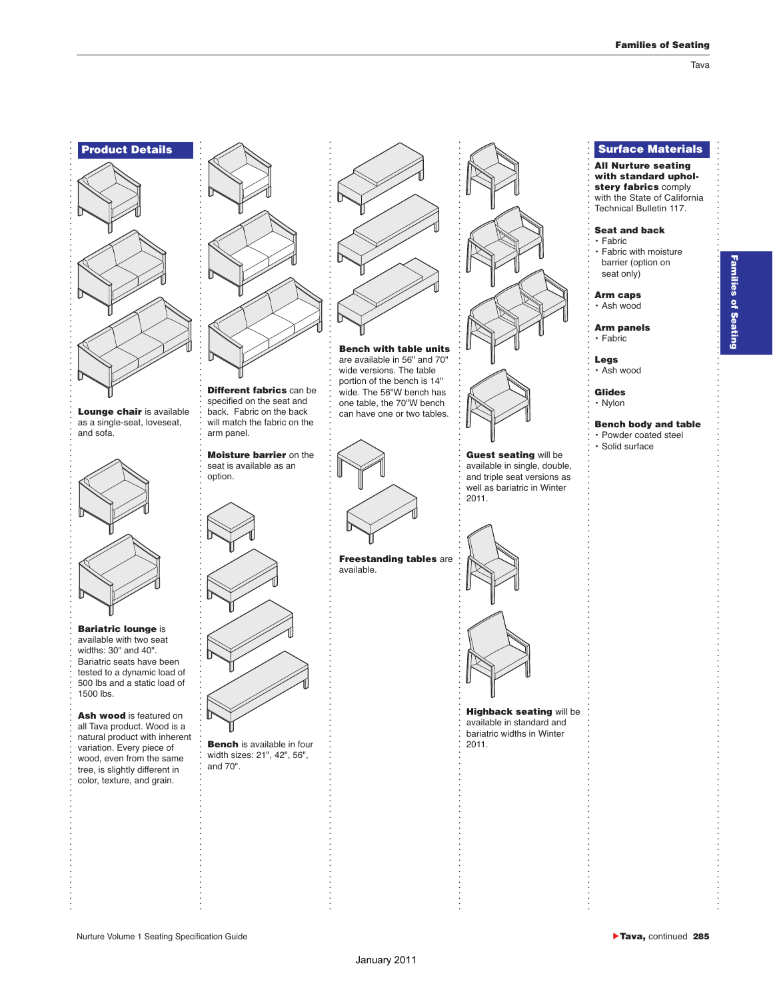### Tava

**Families of Seating**

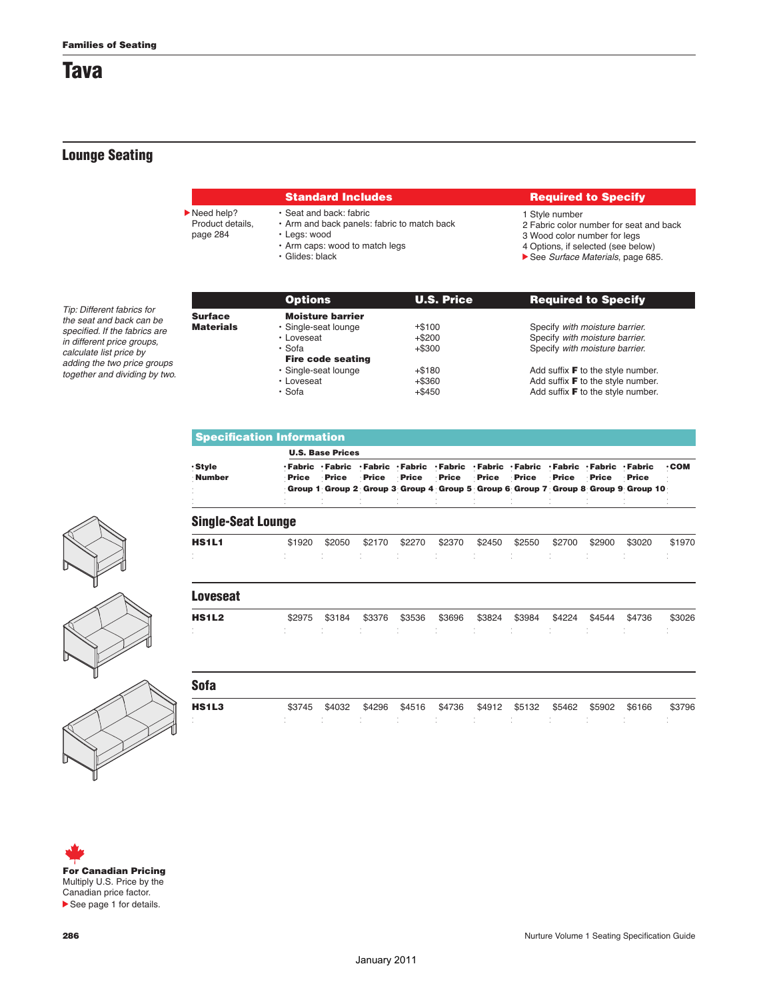### **Lounge Seating**

|                                                                  | <b>Standard Includes</b>                                                                                                                    | <b>Required to Specify</b>                                                                                                                                          |
|------------------------------------------------------------------|---------------------------------------------------------------------------------------------------------------------------------------------|---------------------------------------------------------------------------------------------------------------------------------------------------------------------|
| $\blacktriangleright$ Need help?<br>Product details,<br>page 284 | • Seat and back: fabric<br>. Arm and back panels: fabric to match back<br>• Legs: wood<br>• Arm caps: wood to match legs<br>• Glides: black | 1 Style number<br>2 Fabric color number for seat and back<br>3 Wood color number for legs<br>4 Options, if selected (see below)<br>See Surface Materials, page 685. |

Tip: Different fabrics for the seat and back can be specified. If the fabrics are in different price groups, calculate list price by adding the two price groups together and dividing by two.

|                  | <b>Options</b>           | <b>U.S. Price</b> | <b>Required to Specify</b>          |
|------------------|--------------------------|-------------------|-------------------------------------|
| <b>Surface</b>   | <b>Moisture barrier</b>  |                   |                                     |
| <b>Materials</b> | · Single-seat lounge     | $+$100$           | Specify with moisture barrier.      |
|                  | • Loveseat               | $+$ \$200         | Specify with moisture barrier.      |
|                  | • Sofa                   | $+$ \$300         | Specify with moisture barrier.      |
|                  | <b>Fire code seating</b> |                   |                                     |
|                  | · Single-seat lounge     | $+ $180$          | Add suffix $F$ to the style number. |
|                  | • Loveseat               | $+$ \$360         | Add suffix $F$ to the style number. |
|                  | • Sofa                   | $+$ \$450         | Add suffix $F$ to the style number. |

|               | <b>Specification Information</b>                                                        |  |  |  |  |  |  |  |  |  |  |  |
|---------------|-----------------------------------------------------------------------------------------|--|--|--|--|--|--|--|--|--|--|--|
|               | <b>U.S. Base Prices</b>                                                                 |  |  |  |  |  |  |  |  |  |  |  |
| ∙Style        | ·Fabric ·Fabric ·Fabric ·Fabric ·Fabric ·Fabric ·Fabric ·Fabric ·Fabric ·Fabric<br>∙COM |  |  |  |  |  |  |  |  |  |  |  |
| <b>Number</b> | Price Price Price Price Price Price Price Price Price Price Price                       |  |  |  |  |  |  |  |  |  |  |  |
|               | Group 1 Group 2 Group 3 Group 4 Group 5 Group 6 Group 7 Group 8 Group 9 Group 10        |  |  |  |  |  |  |  |  |  |  |  |

d dd dd d dd ddd d

### **Single-Seat Lounge**

| <b>HS1L1</b> |  |  |  |  | \$1920 \$2050 \$2170 \$2270 \$2370 \$2450 \$2550 \$2700 \$2900 \$3020 \$1970                                                                                                                                                    |  |
|--------------|--|--|--|--|---------------------------------------------------------------------------------------------------------------------------------------------------------------------------------------------------------------------------------|--|
|              |  |  |  |  | $\sim$ . The contract of the contract of the contract of the contract of the contract of the contract of the contract of the contract of the contract of the contract of the contract of the contract of the contract of the co |  |
|              |  |  |  |  |                                                                                                                                                                                                                                 |  |
|              |  |  |  |  |                                                                                                                                                                                                                                 |  |

### **Loveseat**

HS1L2 \$2975 \$3184 \$3376 \$3536 \$3696 \$3824 \$3984 \$4224 \$4544 \$4736 \$3026 d dd dd d dd ddd d

### **Sofa**

HS1L3 \$3745 \$4032 \$4296 \$4516 \$4736 \$4912 \$5132 \$5462 \$5902 \$6166 \$3796 d dd dd d dd ddd d

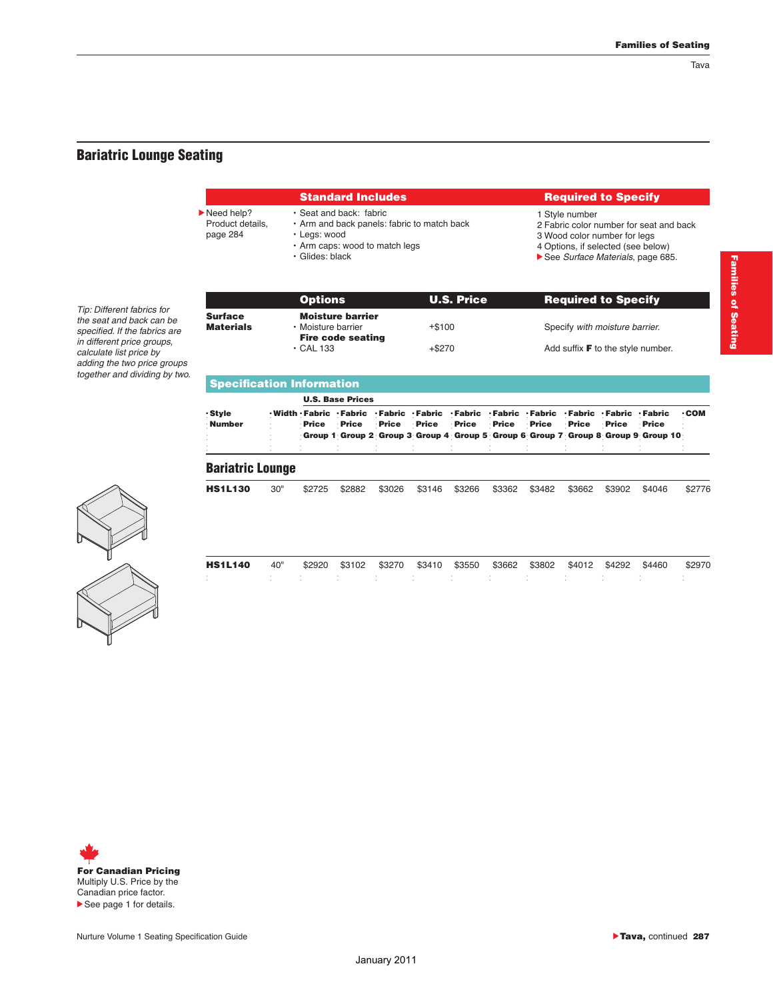**Families of Seating**

**Families of Seating** 

## **Bariatric Lounge Seating**

|                                            | <b>Standard Includes</b>                                                                                                                    | <b>Required to Specify</b>                                                                                                                                          |
|--------------------------------------------|---------------------------------------------------------------------------------------------------------------------------------------------|---------------------------------------------------------------------------------------------------------------------------------------------------------------------|
| Need help?<br>Product details,<br>page 284 | • Seat and back: fabric<br>• Arm and back panels: fabric to match back<br>• Legs: wood<br>. Arm caps: wood to match legs<br>· Glides: black | 1 Style number<br>2 Fabric color number for seat and back<br>3 Wood color number for legs<br>4 Options, if selected (see below)<br>See Surface Materials, page 685. |

Tip: Different fabrics for the seat and back can be specified. If the fabrics are in different price groups, calculate list price by adding the two price groups together and dividing by two.

|                      | <b>Options</b>                                                            | U.S. Price <b>I</b> | <b>Required to Specify</b>               |
|----------------------|---------------------------------------------------------------------------|---------------------|------------------------------------------|
| Surface<br>Materials | <b>Moisture barrier</b><br>• Moisture barrier<br><b>Fire code seating</b> | $+$100$             | Specify with moisture barrier.           |
|                      | $\cdot$ CAL 133                                                           | +\$270              | Add suffix <b>F</b> to the style number. |

| <b>Specification Information</b> |                         |  |  |                                                                                                  |  |  |  |  |  |                                                                                  |             |
|----------------------------------|-------------------------|--|--|--------------------------------------------------------------------------------------------------|--|--|--|--|--|----------------------------------------------------------------------------------|-------------|
|                                  | <b>U.S. Base Prices</b> |  |  |                                                                                                  |  |  |  |  |  |                                                                                  |             |
| ∙Style                           |                         |  |  | ·Width · Fabric · Fabric · Fabric · Fabric · Fabric · Fabric · Fabric · Fabric · Fabric · Fabric |  |  |  |  |  |                                                                                  | $\cdot$ COM |
| <b>Number</b>                    | Price                   |  |  | Price Price Price Price Price Price Price Price Price Price                                      |  |  |  |  |  |                                                                                  |             |
|                                  |                         |  |  |                                                                                                  |  |  |  |  |  | Group 1 Group 2 Group 3 Group 4 Group 5 Group 6 Group 7 Group 8 Group 9 Group 10 |             |
|                                  |                         |  |  |                                                                                                  |  |  |  |  |  |                                                                                  |             |
|                                  |                         |  |  |                                                                                                  |  |  |  |  |  |                                                                                  |             |

### **Bariatric Lounge**

| <b>HS1L130</b> 30" \$2725 \$2882 \$3026 \$3146 \$3266 \$3362 \$3482 \$3662 \$3902 \$4046 \$2776 |  |  |  |  |  |  |  |  |  |  |  |  |
|-------------------------------------------------------------------------------------------------|--|--|--|--|--|--|--|--|--|--|--|--|
|-------------------------------------------------------------------------------------------------|--|--|--|--|--|--|--|--|--|--|--|--|



HS1L140 40" \$2920 \$3102 \$3270 \$3410 \$3550 \$3662 \$3802 \$4012 \$4292 \$4460 \$2970 d dd d d d d d d d d d d



Nurture Volume 1 Seating Specification Guide c**Tava,** continued **287**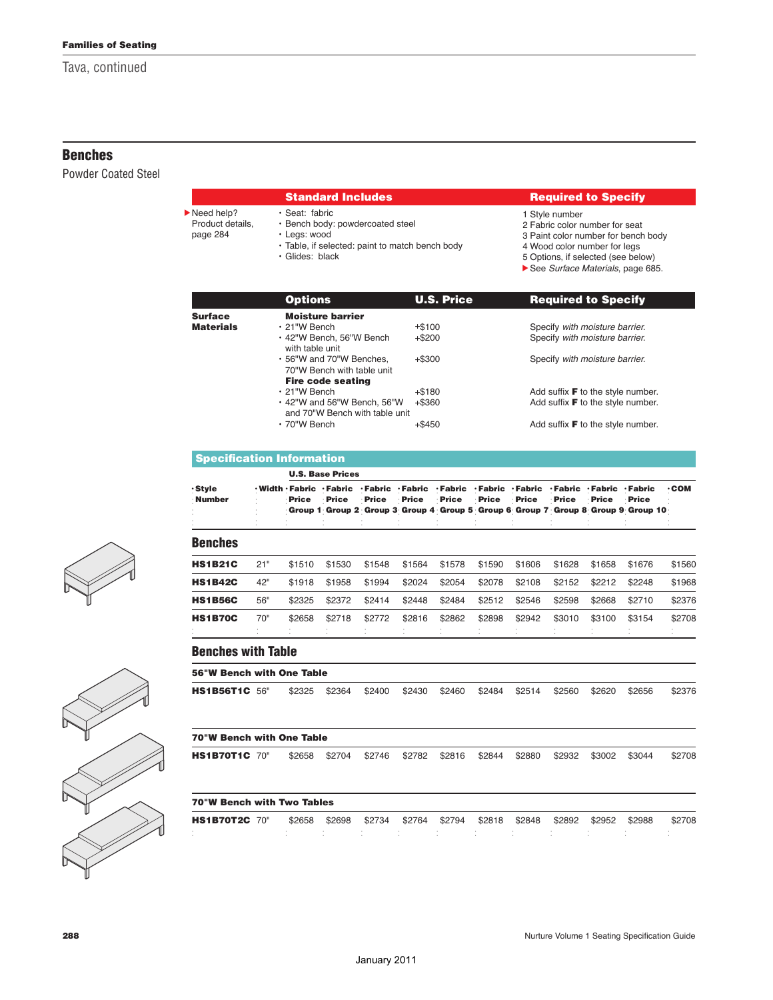### **Benches**

Powder Coated Steel

|                                            | <b>Standard Includes</b>                                                                                                                 |                   | <b>Required to Specify</b>                                                                                                                                                                        |
|--------------------------------------------|------------------------------------------------------------------------------------------------------------------------------------------|-------------------|---------------------------------------------------------------------------------------------------------------------------------------------------------------------------------------------------|
| Need help?<br>Product details,<br>page 284 | · Seat: fabric<br>· Bench body: powdercoated steel<br>• Legs: wood<br>• Table, if selected: paint to match bench body<br>· Glides: black |                   | 1 Style number<br>2 Fabric color number for seat<br>3 Paint color number for bench body<br>4 Wood color number for legs<br>5 Options, if selected (see below)<br>See Surface Materials, page 685. |
|                                            | <b>Options</b>                                                                                                                           | <b>U.S. Price</b> | <b>Required to Specify</b>                                                                                                                                                                        |

| Surface   | <b>Moisture barrier</b>                                                            |           |                                          |
|-----------|------------------------------------------------------------------------------------|-----------|------------------------------------------|
| Materials | $\cdot$ 21"W Bench                                                                 | $+$100$   | Specify with moisture barrier.           |
|           | • 42"W Bench, 56"W Bench<br>with table unit                                        | $+$ \$200 | Specify with moisture barrier.           |
|           | • 56"W and 70"W Benches.<br>70"W Bench with table unit<br><b>Fire code seating</b> | $+$ \$300 | Specify with moisture barrier.           |
|           | $\cdot$ 21"W Bench                                                                 | $+ $180$  | Add suffix $F$ to the style number.      |
|           | • 42"W and 56"W Bench, 56"W<br>and 70"W Bench with table unit                      | $+$ \$360 | Add suffix <b>F</b> to the style number. |
|           | • 70"W Bench                                                                       | $+$ \$450 | Add suffix $F$ to the style number.      |

|                         |     |        | <b>U.S. Base Prices</b> |        |        |        |             |        |             |        |                                                                                                                                                                                               |             |  |  |
|-------------------------|-----|--------|-------------------------|--------|--------|--------|-------------|--------|-------------|--------|-----------------------------------------------------------------------------------------------------------------------------------------------------------------------------------------------|-------------|--|--|
| ∙Stvle<br><b>Number</b> |     | Price  | Price                   | Price  | Price  | Price  | Price Price |        | Price Price |        | ·Width · Fabric · Fabric · Fabric · Fabric · Fabric · Fabric · Fabric · Fabric · Fabric · Fabric<br>Price<br>Group 1 Group 2 Group 3 Group 4 Group 5 Group 6 Group 7 Group 8 Group 9 Group 10 | $\cdot$ COM |  |  |
| <b>Benches</b>          |     |        |                         |        |        |        |             |        |             |        |                                                                                                                                                                                               |             |  |  |
| <b>HS1B21C</b>          | 21" | \$1510 | \$1530                  | \$1548 | \$1564 | \$1578 | \$1590      | \$1606 | \$1628      | \$1658 | \$1676                                                                                                                                                                                        | \$1560      |  |  |
| <b>HS1B42C</b>          | 42" | \$1918 | \$1958                  | \$1994 | \$2024 | \$2054 | \$2078      | \$2108 | \$2152      | \$2212 | \$2248                                                                                                                                                                                        | \$1968      |  |  |
| <b>HS1B56C</b>          | 56" | \$2325 | \$2372                  | \$2414 | \$2448 | \$2484 | \$2512      | \$2546 | \$2598      | \$2668 | \$2710                                                                                                                                                                                        | \$2376      |  |  |
| <b>HS1B70C</b>          | 70" | \$2658 | \$2718                  | \$2772 | \$2816 | \$2862 | \$2898      | \$2942 | \$3010      | \$3100 | \$3154                                                                                                                                                                                        | \$2708      |  |  |
|                         |     |        |                         |        |        |        |             |        |             |        |                                                                                                                                                                                               |             |  |  |

### **Benches with Table**

| 56"W Bench with One Table |        |        |        |        |        |                      |  |  |        |        |        |
|---------------------------|--------|--------|--------|--------|--------|----------------------|--|--|--------|--------|--------|
| <b>HS1B56T1C 56"</b>      | \$2325 | \$2364 | \$2400 | \$2430 | \$2460 | \$2484 \$2514 \$2560 |  |  | \$2620 | \$2656 | \$2376 |

|                      | 70"W Bench with One Table |        |        |        |  |                      |  |        |        |               |  |        |
|----------------------|---------------------------|--------|--------|--------|--|----------------------|--|--------|--------|---------------|--|--------|
| <b>HS1B70T1C</b> 70" |                           | \$2658 | \$2704 | \$2746 |  | \$2782 \$2816 \$2844 |  | \$2880 | \$2932 | \$3002 \$3044 |  | \$2708 |

### **70"W Bench with Two Tables**

HS1B70T2C 70" \$2658 \$2698 \$2734 \$2764 \$2794 \$2818 \$2848 \$2892 \$2952 \$2988 \$2708 d dd dd d dd ddd d



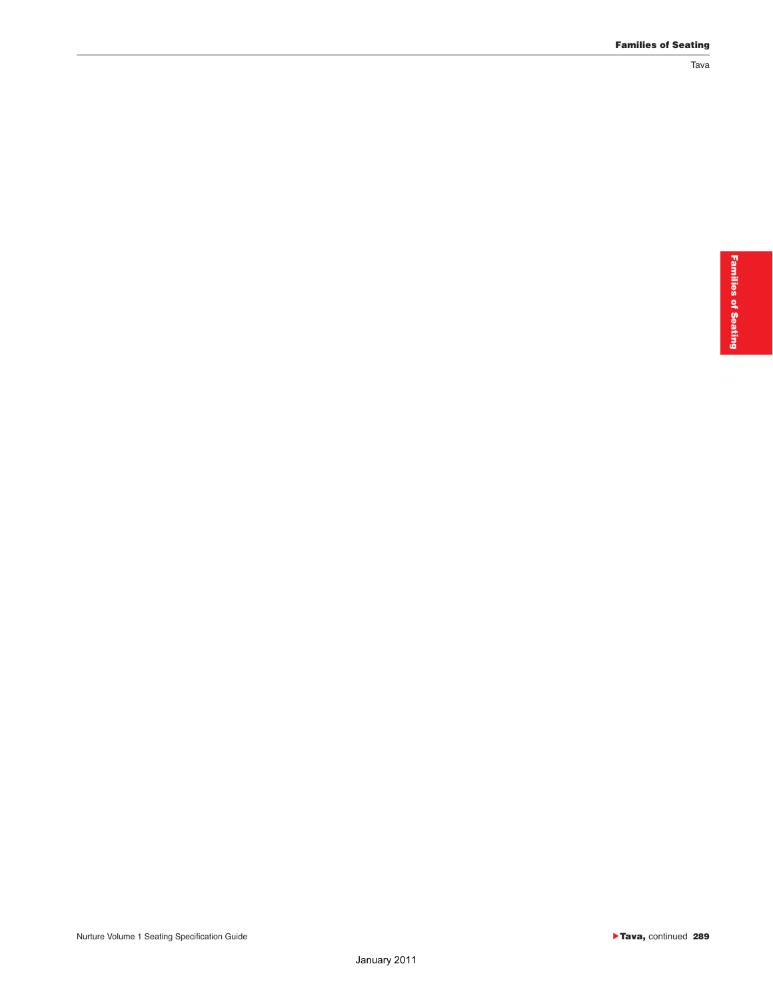### **Families of Seating**

### Tava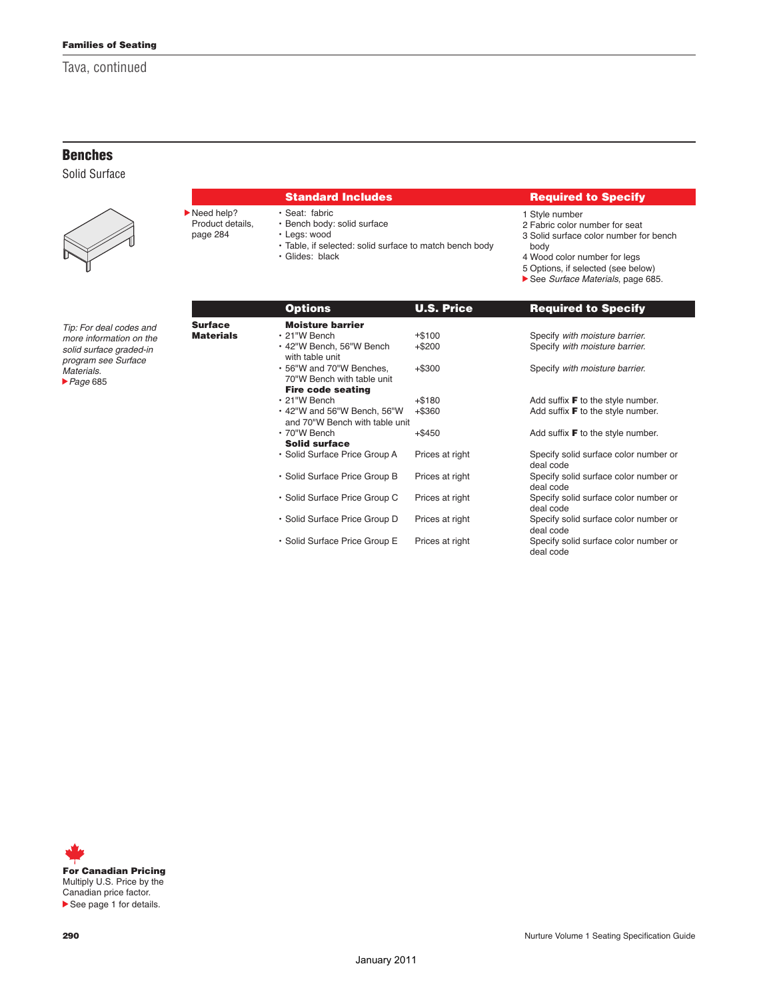### **Benches**

Solid Surface



|   | $\blacktriangleright$ Need help |
|---|---------------------------------|
| ϡ | Product d                       |
| ₫ | page 284                        |
|   |                                 |

 $Surface$ 

| ງ?<br>etails. | · Seat: fabric<br>• Bench body: solid surface<br>• Legs: wood<br>· Glides: black | • Table, if selected: solid surface to match bench body |
|---------------|----------------------------------------------------------------------------------|---------------------------------------------------------|

### **Standard Includes Required to Specify**

1 Style number

- 2 Fabric color number for seat
- 3 Solid surface color number for bench body
- 4 Wood color number for legs
- 5 Options, if selected (see below)
- See Surface Materials, page 685.

Tip: For deal codes and more information on the solid surface graded-in program see Surface Materials.  $Page 685$ 

|                | <b>Options</b>                                                      | <b>U.S. Price</b> | <b>Required to Specify</b>                         |
|----------------|---------------------------------------------------------------------|-------------------|----------------------------------------------------|
| <b>Surface</b> | <b>Moisture barrier</b>                                             |                   |                                                    |
| Materials      | • 21"W Bench                                                        | $+ $100$          | Specify with moisture barrier.                     |
|                | • 42"W Bench, 56"W Bench<br>with table unit                         | $+ $200$          | Specify with moisture barrier.                     |
|                | • 56"W and 70"W Benches,<br>70"W Bench with table unit              | +\$300            | Specify with moisture barrier.                     |
|                | <b>Fire code seating</b>                                            |                   |                                                    |
|                | • 21"W Bench                                                        | $+ $180$          | Add suffix <b>F</b> to the style number.           |
|                | $\cdot$ 42"W and 56"W Bench. 56"W<br>and 70"W Bench with table unit | $+$ \$360         | Add suffix $F$ to the style number.                |
|                | • 70"W Bench<br><b>Solid surface</b>                                | $+$ \$450         | Add suffix $F$ to the style number.                |
|                | · Solid Surface Price Group A                                       | Prices at right   | Specify solid surface color number or<br>deal code |
|                | • Solid Surface Price Group B                                       | Prices at right   | Specify solid surface color number or<br>deal code |
|                | • Solid Surface Price Group C                                       | Prices at right   | Specify solid surface color number or<br>deal code |
|                | • Solid Surface Price Group D                                       | Prices at right   | Specify solid surface color number or<br>deal code |
|                | • Solid Surface Price Group E                                       | Prices at right   | Specify solid surface color number or<br>deal code |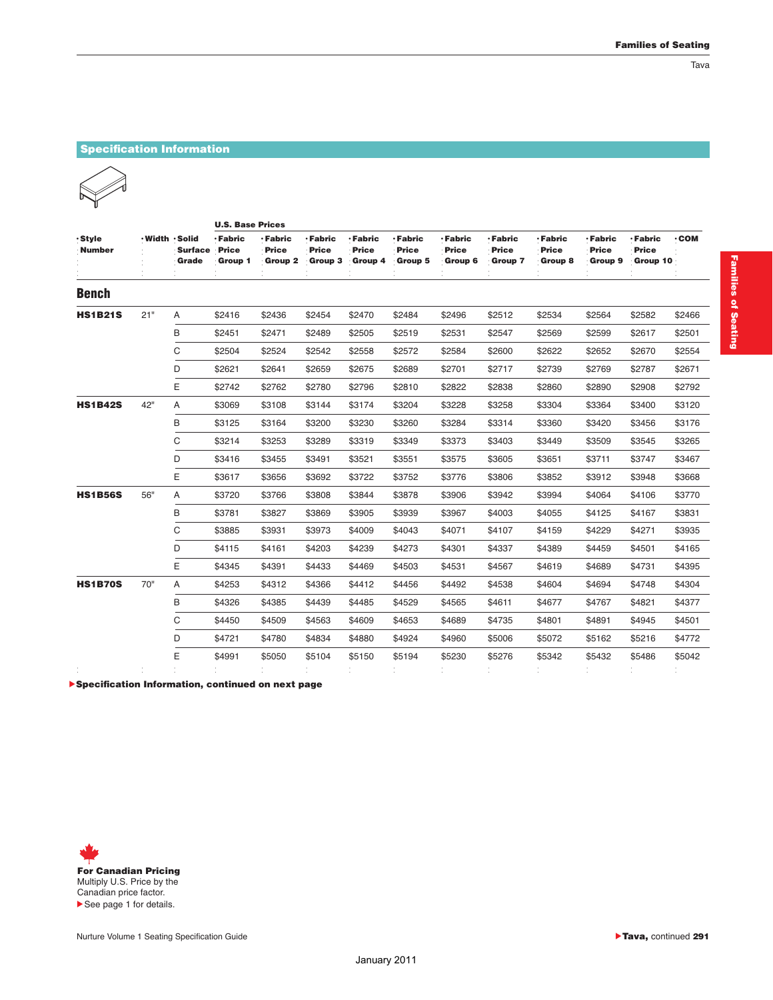**Families of Seating**

**Families of Seating** 

### Tava

### **Specification Information**



|                          |                      |                         | <b>U.S. Base Prices</b>     |                                     |                                     |                                     |                                            |                                     |                                            |                                     |                                     |                                      |             |
|--------------------------|----------------------|-------------------------|-----------------------------|-------------------------------------|-------------------------------------|-------------------------------------|--------------------------------------------|-------------------------------------|--------------------------------------------|-------------------------------------|-------------------------------------|--------------------------------------|-------------|
| · Style<br><b>Number</b> | <b>·Width ·Solid</b> | <b>Surface</b><br>Grade | ∙Fabric<br>Price<br>Group 1 | ∙ Fabric<br><b>Price</b><br>Group 2 | · Fabric<br><b>Price</b><br>Group 3 | ∙ Fabric<br><b>Price</b><br>Group 4 | · Fabric<br><b>Price</b><br><b>Group 5</b> | ∙ Fabric<br><b>Price</b><br>Group 6 | ∙ Fabric<br><b>Price</b><br><b>Group 7</b> | · Fabric<br><b>Price</b><br>Group 8 | ∙ Fabric<br><b>Price</b><br>Group 9 | · Fabric<br><b>Price</b><br>Group 10 | $\cdot$ COM |
| <b>Bench</b>             |                      |                         |                             |                                     |                                     |                                     |                                            |                                     |                                            |                                     |                                     |                                      |             |
| <b>HS1B21S</b>           | 21"                  | Α                       | \$2416                      | \$2436                              | \$2454                              | \$2470                              | \$2484                                     | \$2496                              | \$2512                                     | \$2534                              | \$2564                              | \$2582                               | \$2466      |
|                          |                      | B                       | \$2451                      | \$2471                              | \$2489                              | \$2505                              | \$2519                                     | \$2531                              | \$2547                                     | \$2569                              | \$2599                              | \$2617                               | \$2501      |
|                          |                      | C                       | \$2504                      | \$2524                              | \$2542                              | \$2558                              | \$2572                                     | \$2584                              | \$2600                                     | \$2622                              | \$2652                              | \$2670                               | \$2554      |
|                          |                      | D                       | \$2621                      | \$2641                              | \$2659                              | \$2675                              | \$2689                                     | \$2701                              | \$2717                                     | \$2739                              | \$2769                              | \$2787                               | \$2671      |
|                          |                      | Е                       | \$2742                      | \$2762                              | \$2780                              | \$2796                              | \$2810                                     | \$2822                              | \$2838                                     | \$2860                              | \$2890                              | \$2908                               | \$2792      |
| <b>HS1B42S</b>           | 42"                  | Α                       | \$3069                      | \$3108                              | \$3144                              | \$3174                              | \$3204                                     | \$3228                              | \$3258                                     | \$3304                              | \$3364                              | \$3400                               | \$3120      |
|                          |                      | В                       | \$3125                      | \$3164                              | \$3200                              | \$3230                              | \$3260                                     | \$3284                              | \$3314                                     | \$3360                              | \$3420                              | \$3456                               | \$3176      |
|                          |                      | C                       | \$3214                      | \$3253                              | \$3289                              | \$3319                              | \$3349                                     | \$3373                              | \$3403                                     | \$3449                              | \$3509                              | \$3545                               | \$3265      |
|                          |                      | D                       | \$3416                      | \$3455                              | \$3491                              | \$3521                              | \$3551                                     | \$3575                              | \$3605                                     | \$3651                              | \$3711                              | \$3747                               | \$3467      |
|                          |                      | Е                       | \$3617                      | \$3656                              | \$3692                              | \$3722                              | \$3752                                     | \$3776                              | \$3806                                     | \$3852                              | \$3912                              | \$3948                               | \$3668      |
| <b>HS1B56S</b>           | 56"                  | Α                       | \$3720                      | \$3766                              | \$3808                              | \$3844                              | \$3878                                     | \$3906                              | \$3942                                     | \$3994                              | \$4064                              | \$4106                               | \$3770      |
|                          |                      | В                       | \$3781                      | \$3827                              | \$3869                              | \$3905                              | \$3939                                     | \$3967                              | \$4003                                     | \$4055                              | \$4125                              | \$4167                               | \$3831      |
|                          |                      | С                       | \$3885                      | \$3931                              | \$3973                              | \$4009                              | \$4043                                     | \$4071                              | \$4107                                     | \$4159                              | \$4229                              | \$4271                               | \$3935      |
|                          |                      | D                       | \$4115                      | \$4161                              | \$4203                              | \$4239                              | \$4273                                     | \$4301                              | \$4337                                     | \$4389                              | \$4459                              | \$4501                               | \$4165      |
|                          |                      | Е                       | \$4345                      | \$4391                              | \$4433                              | \$4469                              | \$4503                                     | \$4531                              | \$4567                                     | \$4619                              | \$4689                              | \$4731                               | \$4395      |
| <b>HS1B70S</b>           | 70"                  | Α                       | \$4253                      | \$4312                              | \$4366                              | \$4412                              | \$4456                                     | \$4492                              | \$4538                                     | \$4604                              | \$4694                              | \$4748                               | \$4304      |
|                          |                      | B                       | \$4326                      | \$4385                              | \$4439                              | \$4485                              | \$4529                                     | \$4565                              | \$4611                                     | \$4677                              | \$4767                              | \$4821                               | \$4377      |
|                          |                      | С                       | \$4450                      | \$4509                              | \$4563                              | \$4609                              | \$4653                                     | \$4689                              | \$4735                                     | \$4801                              | \$4891                              | \$4945                               | \$4501      |
|                          |                      | D                       | \$4721                      | \$4780                              | \$4834                              | \$4880                              | \$4924                                     | \$4960                              | \$5006                                     | \$5072                              | \$5162                              | \$5216                               | \$4772      |
|                          |                      | E                       | \$4991                      | \$5050                              | \$5104                              | \$5150                              | \$5194                                     | \$5230                              | \$5276                                     | \$5342                              | \$5432                              | \$5486                               | \$5042      |
|                          |                      |                         |                             |                                     |                                     |                                     |                                            |                                     |                                            |                                     |                                     |                                      |             |

**>Specification Information, continued on next page** 

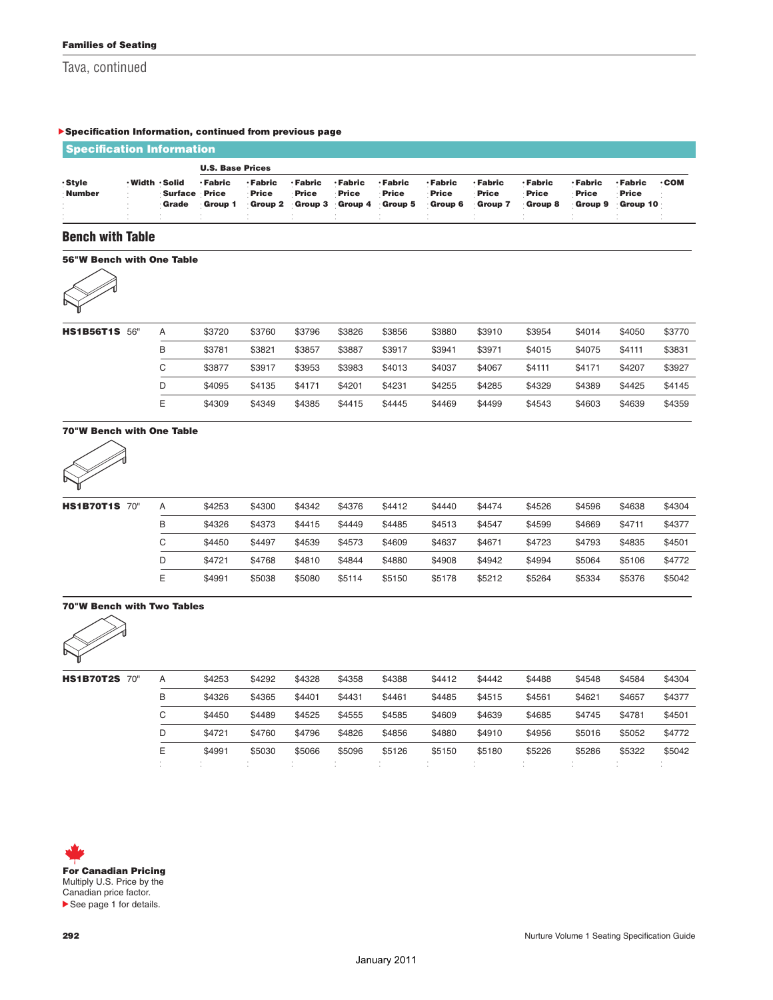Tava, continued

### c**Specification Information, continued from previous page**

| <b>Specification Information</b> |                             |               |                         |         |         |         |         |                                                         |         |         |                |                  |      |
|----------------------------------|-----------------------------|---------------|-------------------------|---------|---------|---------|---------|---------------------------------------------------------|---------|---------|----------------|------------------|------|
|                                  |                             |               | <b>U.S. Base Prices</b> |         |         |         |         |                                                         |         |         |                |                  |      |
| ∙Stvle                           | $\cdot$ Width $\cdot$ Solid |               | ∙Fabric                 | ∙Fabric | ∙Fabric | ∙Fabric | ∙Fabric | ∙Fabric                                                 | ∙Fabric | ∙Fabric | $\cdot$ Fabric | ∙Fabric          | ∙coм |
| <b>Number</b>                    |                             | Surface Price |                         | Price   | Price   | Price   | Price   | Price                                                   | Price   | Price   | Price          | Price            |      |
|                                  |                             | ∙ Grade       |                         |         |         |         |         | Group 1 Group 2 Group 3 Group 4 Group 5 Group 6 Group 7 |         | Group 8 |                | Group 9 Group 10 |      |
|                                  |                             |               |                         |         |         |         |         |                                                         |         |         |                |                  |      |

### **Bench with Table**

### **56"W Bench with One Table**



| <b>HS1B56T1S</b> 56" | Α | \$3720 | \$3760 | \$3796 | \$3826 | \$3856 | \$3880 | \$3910 | \$3954 | \$4014 | \$4050 | \$3770 |
|----------------------|---|--------|--------|--------|--------|--------|--------|--------|--------|--------|--------|--------|
|                      | B | \$3781 | \$3821 | \$3857 | \$3887 | \$3917 | \$3941 | \$3971 | \$4015 | \$4075 | \$4111 | \$3831 |
|                      |   | \$3877 | \$3917 | \$3953 | \$3983 | \$4013 | \$4037 | \$4067 | \$4111 | \$4171 | \$4207 | \$3927 |
|                      |   | \$4095 | \$4135 | \$4171 | \$4201 | \$4231 | \$4255 | \$4285 | \$4329 | \$4389 | \$4425 | \$4145 |
|                      |   | \$4309 | \$4349 | \$4385 | \$4415 | \$4445 | \$4469 | \$4499 | \$4543 | \$4603 | \$4639 | \$4359 |
|                      |   |        |        |        |        |        |        |        |        |        |        |        |

### **70"W Bench with One Table**



| <b>HS1B70T1S</b> 70" | А | \$4253 | \$4300 | \$4342 | \$4376 | \$4412 | \$4440 | \$4474 | \$4526 | \$4596 | \$4638 | \$4304 |
|----------------------|---|--------|--------|--------|--------|--------|--------|--------|--------|--------|--------|--------|
|                      | В | \$4326 | \$4373 | \$4415 | \$4449 | \$4485 | \$4513 | \$4547 | \$4599 | \$4669 | \$4711 | \$4377 |
|                      |   | \$4450 | \$4497 | \$4539 | \$4573 | \$4609 | \$4637 | \$4671 | \$4723 | \$4793 | \$4835 | \$4501 |
|                      |   | \$4721 | \$4768 | \$4810 | \$4844 | \$4880 | \$4908 | \$4942 | \$4994 | \$5064 | \$5106 | \$4772 |
|                      |   | \$4991 | \$5038 | \$5080 | \$5114 | \$5150 | \$5178 | \$5212 | \$5264 | \$5334 | \$5376 | \$5042 |
|                      |   |        |        |        |        |        |        |        |        |        |        |        |

### **70"W Bench with Two Tables**



HS1B70T2S 70" A \$4253 \$4292 \$4328 \$4358 \$4388 \$4412 \$4442 \$4488 \$4548 \$4584 \$4304 B \$4326 \$4365 \$4401 \$4431 \$4461 \$4485 \$4515 \$4561 \$4621 \$4657 \$4377 C \$4450 \$4489 \$4525 \$4555 \$4585 \$4609 \$4639 \$4685 \$4745 \$4781 \$4501 D \$4721 \$4760 \$4796 \$4826 \$4856 \$4880 \$4910 \$4956 \$5016 \$5052 \$4772 E \$4991 \$5030 \$5066 \$5096 \$5126 \$5150 \$5180 \$5226 \$5286 \$5322 \$5042 dd d d d d d d d d d d

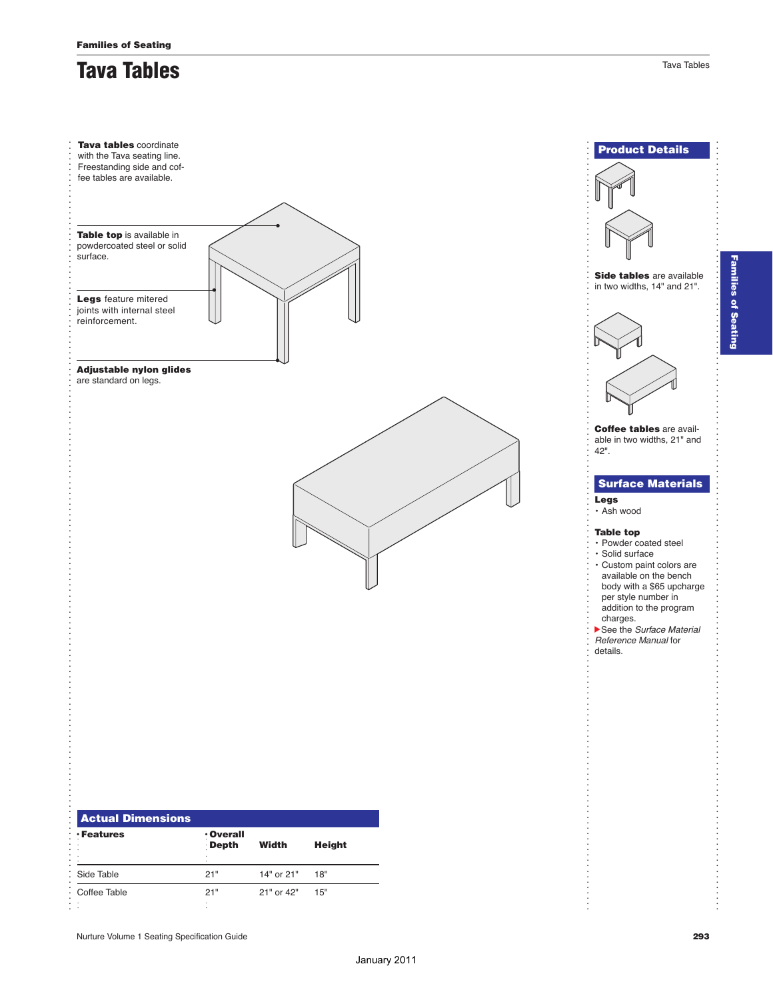## <span id="page-9-0"></span>**Tava Tables** Tava Tables Tava Tables Tava Tables



. . . . . . . . . . . . . . . . . . . . . . . . . . . . . . . . . . . . . . . . . . . . . . . . . . . . . . . . . . . . . . . . . . . . . . . . . . . . . . . . . . . . . . . . . . . . . . . . . . . . . . . . . . . . . . . . . . . . . . . . . . . . . . . . . . . . . . . . . . . . . . .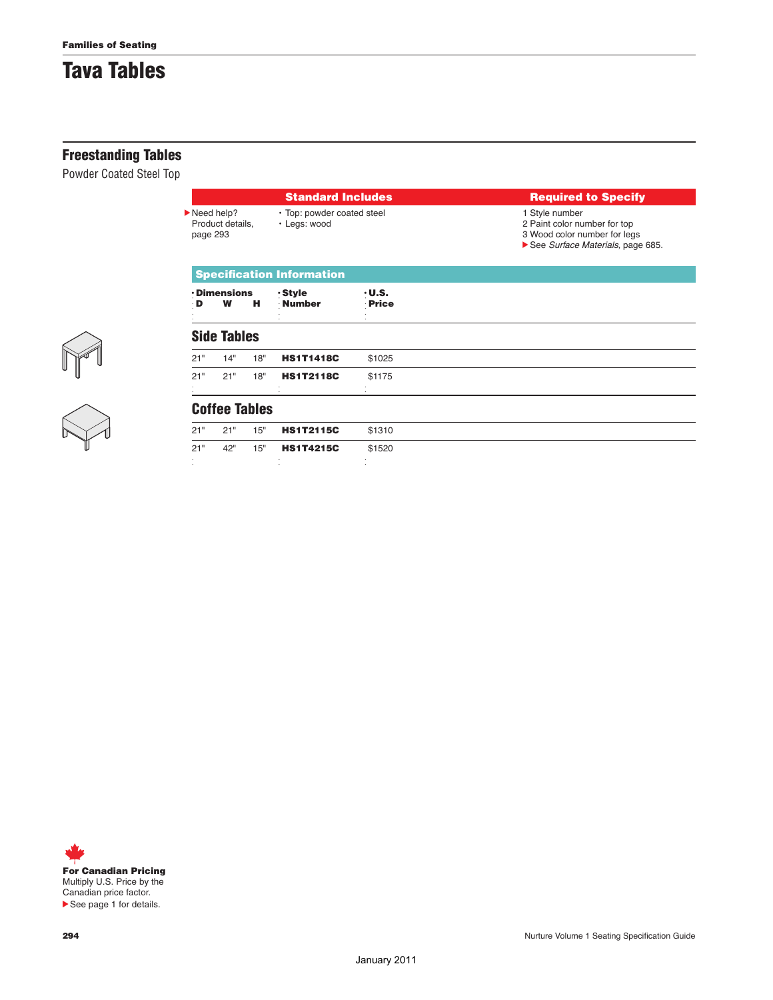## **Tava Tables**

## **Freestanding Tables**

Powder Coated Steel Top

|     |                                                                                                                |     | <b>Standard Includes</b>         |                       | <b>Required to Specify</b>                                                                                         |
|-----|----------------------------------------------------------------------------------------------------------------|-----|----------------------------------|-----------------------|--------------------------------------------------------------------------------------------------------------------|
|     | $\blacktriangleright$ Need help?<br>• Top: powder coated steel<br>Product details,<br>• Legs: wood<br>page 293 |     |                                  |                       | 1 Style number<br>2 Paint color number for top<br>3 Wood color number for legs<br>See Surface Materials, page 685. |
|     |                                                                                                                |     | <b>Specification Information</b> |                       |                                                                                                                    |
| D   | $\cdot$ Dimensions<br>w                                                                                        | н   | ∙ Style<br><b>Number</b>         | $\cdot$ U.S.<br>Price |                                                                                                                    |
|     | <b>Side Tables</b>                                                                                             |     |                                  |                       |                                                                                                                    |
| 21" | 14"                                                                                                            | 18" | <b>HS1T1418C</b>                 | \$1025                |                                                                                                                    |
| 21" | 21"                                                                                                            | 18" | <b>HS1T2118C</b>                 | \$1175                |                                                                                                                    |
|     | <b>Coffee Tables</b>                                                                                           |     |                                  |                       |                                                                                                                    |





| -------------- |                              |        |  |
|----------------|------------------------------|--------|--|
|                | 21" 21" 15" <b>HS1T2115C</b> | \$1310 |  |
|                | 21" 42" 15" HS1T4215C        | \$1520 |  |
|                |                              |        |  |

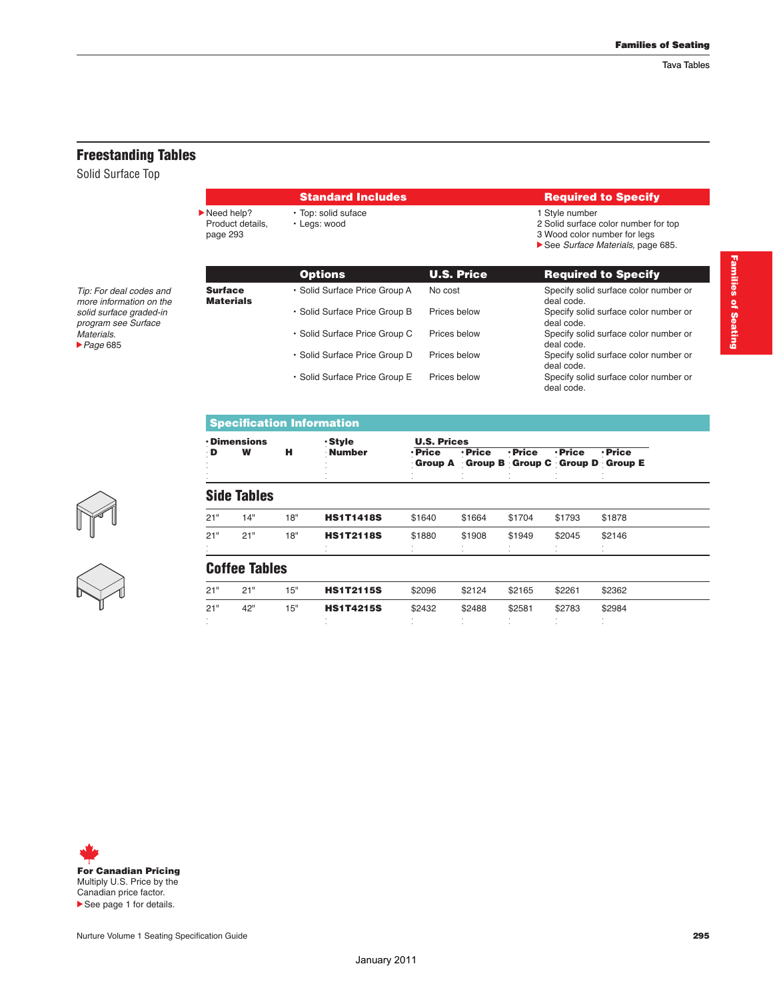## **Freestanding Tables**

Solid Surface Top

Tip: For deal codes and more information on the solid surface graded-in program see Surface Materials.

 $\blacktriangleright$  Page 685

|                                                                  | <b>Standard Includes</b>            |                   | <b>Required to Specify</b>                                                                                                 |  |  |  |  |
|------------------------------------------------------------------|-------------------------------------|-------------------|----------------------------------------------------------------------------------------------------------------------------|--|--|--|--|
| $\blacktriangleright$ Need help?<br>Product details,<br>page 293 | • Top: solid suface<br>• Legs: wood |                   | 1 Style number<br>2 Solid surface color number for top<br>3 Wood color number for legs<br>See Surface Materials, page 685. |  |  |  |  |
|                                                                  | <b>Options</b>                      | <b>U.S. Price</b> | <b>Required to Specify</b>                                                                                                 |  |  |  |  |
| <b>Surface</b><br><b>Materials</b>                               | · Solid Surface Price Group A       | No cost           | Specify solid surface color number or<br>deal code.                                                                        |  |  |  |  |
|                                                                  | • Solid Surface Price Group B       | Prices below      | Specify solid surface color number or<br>deal code.                                                                        |  |  |  |  |
|                                                                  | • Solid Surface Price Group C       | Prices below      | Specify solid surface color number or<br>deal code.                                                                        |  |  |  |  |
|                                                                  | • Solid Surface Price Group D       | Prices below      | Specify solid surface color number or<br>deal code.                                                                        |  |  |  |  |
|                                                                  | • Solid Surface Price Group E       | Prices below      | Specify solid surface color number or<br>deal code.                                                                        |  |  |  |  |

### **Specification Information**

|                      |     |                                          |                  |                                |                                    |        | Group A Group B Group C Group D Group E |
|----------------------|-----|------------------------------------------|------------------|--------------------------------|------------------------------------|--------|-----------------------------------------|
| <b>Side Tables</b>   |     |                                          |                  |                                |                                    |        |                                         |
| 21"<br>14"           | 18" | <b>HS1T1418S</b>                         | \$1640           | \$1664                         | \$1704                             | \$1793 | \$1878                                  |
| 21"<br>21"<br>$\sim$ | 18" | <b>HS1T2118S</b><br>$\ddot{\phantom{0}}$ | \$1880<br>$\sim$ | \$1908<br>$\ddot{\phantom{a}}$ | \$1949<br>$\overline{\phantom{a}}$ | \$2045 | \$2146<br>$\sim$                        |



|     | <b>Coffee Tables</b> |     |                  |        |        |        |        |        |
|-----|----------------------|-----|------------------|--------|--------|--------|--------|--------|
| 21" | 21"                  | 15" | <b>HS1T2115S</b> | \$2096 | \$2124 | \$2165 | \$2261 | \$2362 |
| 21" | 42"                  | 15" | <b>HS1T4215S</b> | \$2432 | \$2488 | \$2581 | \$2783 | \$2984 |
|     |                      |     |                  |        |        |        |        |        |



**Families of Seating**

**Families of Seating**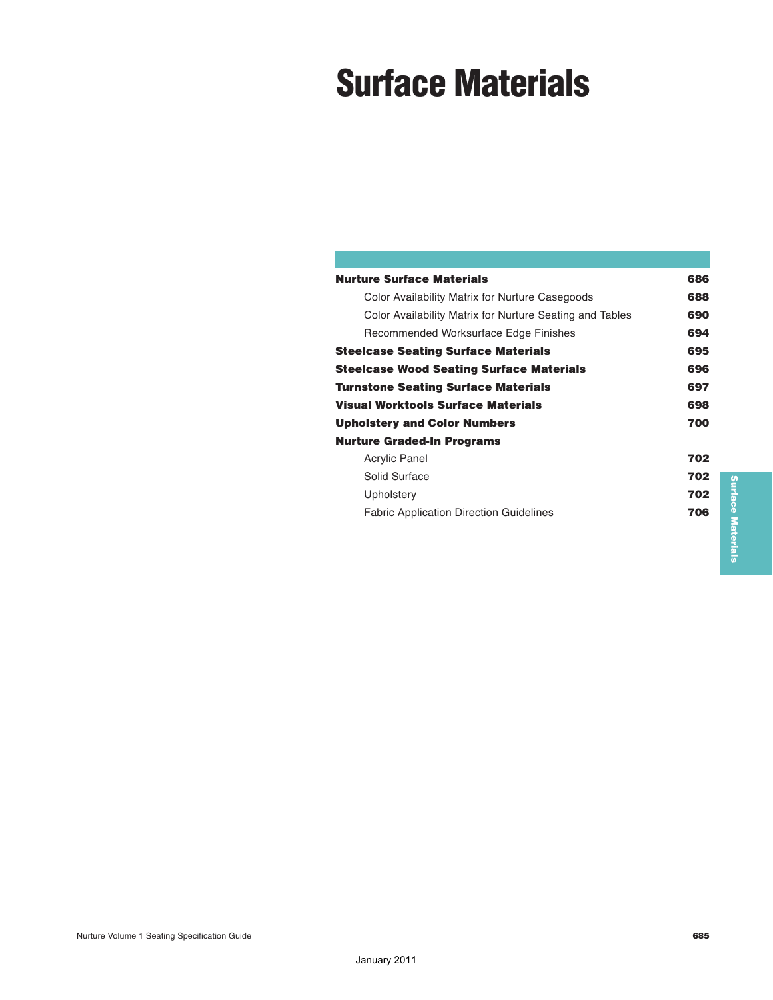# **Surface Materials**

| <b>Nurture Surface Materials</b>                         | 686 |
|----------------------------------------------------------|-----|
| Color Availability Matrix for Nurture Casegoods          | 688 |
| Color Availability Matrix for Nurture Seating and Tables | 690 |
| Recommended Worksurface Edge Finishes                    | 694 |
| Steelcase Seating Surface Materials                      | 695 |
| Steelcase Wood Seating Surface Materials                 | 696 |
| <b>Turnstone Seating Surface Materials</b>               | 697 |
| Visual Worktools Surface Materials                       | 698 |
| <b>Upholstery and Color Numbers</b>                      | 700 |
| Nurture Graded-In Programs                               |     |
| <b>Acrylic Panel</b>                                     | 702 |
| Solid Surface                                            | 702 |
| Upholstery                                               | 702 |
| <b>Fabric Application Direction Guidelines</b>           | 706 |
|                                                          |     |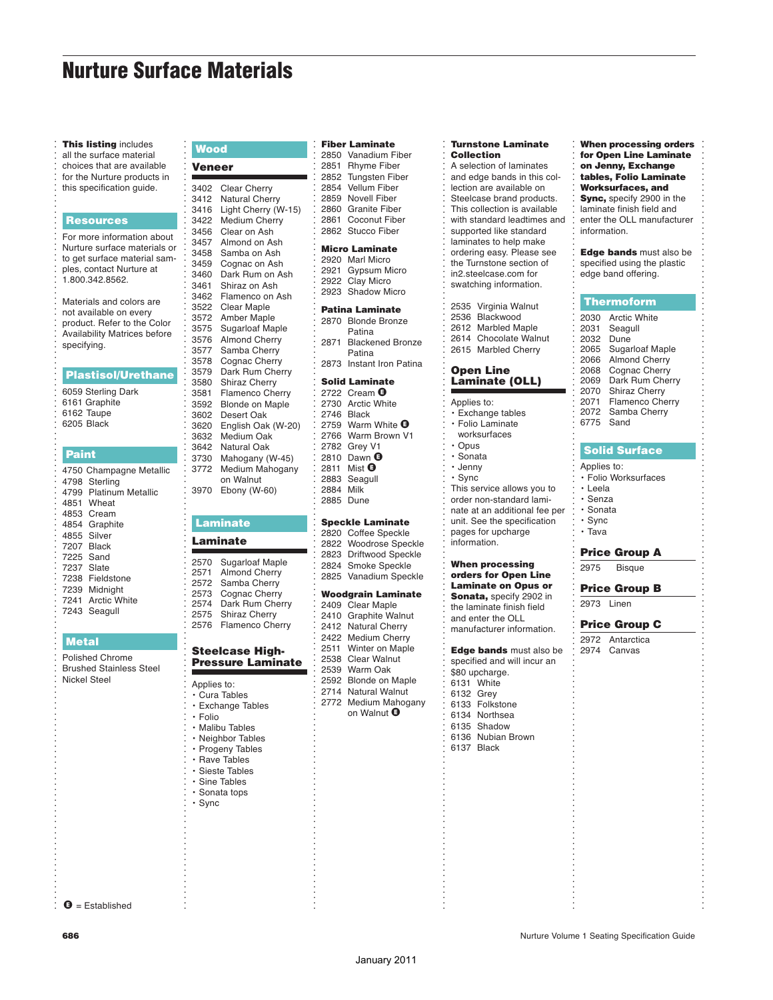## <span id="page-13-0"></span>**Nurture Surface Materials**

. . . . . . . . . . . . . . . . . . . . . . . . . . . . . . . . . . . . . . . . . . . . . . . . . . . . . . . . . . . . . . . . . . . . . . . . . . . . . . . . . . . . . . . . . . . . . . . . . . . . . . . . . . . . . . . . . . . . . . . . . . . . . . . . . . . . . . . . . . . . . . .

### **This listing** includes

. . . . . . . . . . . . . . . . . . . . . . . . . . . . . . . . . . . . . . . . . . . . . . . . . . . . . . . . . . . . . . . . . . . . . . . . . . . . . . . . . . . . . . . . . . . . . . . . . . . . . . . . . . . . . . . . . . . . . . . . . . . . . . . . . . . . . . . . . . . . . . .

all the surface material choices that are available for the Nurture products in this specification guide.

### **Resources**

For more information about Nurture surface materials or to get surface material samples, contact Nurture at 1.800.342.8562.

Materials and colors are not available on every product. Refer to the Color Availability Matrices before specifying.

### **Plastisol/Urethane**

6059 Sterling Dark 6161 Graphite 6162 Taupe 6205 Black

### **Paint**

4750 Champagne Metallic 4798 Sterling 4799 Platinum Metallic 4851 Wheat Cream 4854 Graphite 4855 Silver 7207 Black 7225 Sand 7237 Slate 7238 Fieldstone 7239 Midnight 7241 Arctic White 7243 Seagull

### **Metal**

Polished Chrome Brushed Stainless Steel Nickel Steel

### **Wood Veneer**

3402 Clear Cherry<br>3412 Natural Cheri Natural Cherry 3416 Light Cherry (W-15)<br>3422 Medium Cherry Medium Cherry 3456 Clear on Ash 3457 Almond on Ash 3458 Samba on Ash<br>3459 Cognac on Ash 3459 Cognac on Ash<br>3460 Dark Rum on A Dark Rum on Ash 3461 Shiraz on Ash 3462 Flamenco on Ash<br>3522 Clear Maple Clear Maple 3572 Amber Maple 3575 Sugarloaf Maple<br>3576 Almond Cherry Almond Cherry 3577 Samba Cherry<br>3578 Cognac Cherry Cognac Cherry 3579 Dark Rum Cherry<br>3580 Shiraz Cherry 3580 Shiraz Cherry<br>3581 Flamenco Che 3581 Flamenco Cherry 3592 Blonde on Maple<br>3602 Desert Oak Desert Oak 3620 English Oak (W-20) 3632 Medium Oak 3642 Natural Oak<br>3730 Mahogany (1 Mahogany (W-45) 3772 Medium Mahogany

on Walnut 3970 Ebony (W-60)

### **Laminate Laminate**

2570 Sugarloaf Maple<br>2571 Almond Cherry 2571 Almond Cherry<br>2572 Samba Cherry 2572 Samba Cherry<br>2573 Cognac Cherry 2573 Cognac Cherry<br>2574 Dark Rum Cher 2574 Dark Rum Cherry<br>2575 Shiraz Cherry 2575 Shiraz Cherry<br>2576 Flamenco Che Flamenco Cherry

### **Steelcase High-Pressure Laminate**

- Applies to:
- Cura Tables
- Exchange Tables
- Folio
- Malibu Tables
- Neighbor Tables
- Progeny Tables
- Rave Tables
- Sieste Tables • Sine Tables
- 
- Sonata tops • Sync

**Fiber Laminate**

. . . . . . . . . . . . . . . . . . . . . . . . . . . . . . . . . . . . . . . . . . . . . . . . . . . . . . . . . . . . . . . . . . . . . . . . . . . . . . . . . . . . . . . . . . . . . . . . . . . . . . . . . . . . . . . . . . . . . . . . . . . . . . . . . . . . . . . . . . . . . . .

- 2850 Vanadium Fiber<br>2851 Rhyme Fiber Rhyme Fiber 2852 Tungsten Fiber<br>2854 Vellum Fiber Vellum Fiber 2859 Novell Fiber<br>2860 Granite Fibe 2860 Granite Fiber<br>2861 Coconut Fibe 2861 Coconut Fiber<br>2862 Stucco Fiber
- Stucco Fiber **Micro Laminate**
- 2920 Marl Micro 2921 Gypsum Micro 2922 Clay Micro
- 2923 Shadow Micro **Patina Laminate**

### 2870 Blonde Bronze

- Patina 2871 Blackened Bronze Patina
- 2873 Instant Iron Patina

### **Solid Laminate**

2722 Cream <sup>O</sup> 2730 Arctic White 2746 Black 2759 Warm White <sup>O</sup> 2766 Warm Brown V1 2782 Grey V1 2810 Dawn **O** 2811 Mist **O** 2883 Seagull 2884 Milk 2885 Dune

### **Speckle Laminate**

2820 Coffee Speckle 2822 Woodrose Speckle 2823 Driftwood Speckle 2824 Smoke Speckle 2825 Vanadium Speckle

### **Woodgrain Laminate**

- 2409 Clear Maple
- 2412 Natural Cherry
- 2422 Medium Cherry
- 2511 Winter on Maple<br>2538 Clear Walnut
- Clear Walnut
- 2539 Warm Oak<br>2592 Blonde on Blonde on Maple
- 2714 Natural Walnut
- 2772 Medium Mahogany on Walnut  $\boldsymbol{\Theta}$

. . . . . . . **Turnstone Laminate Collection**  A selection of laminates

. . . . . . . . . . . . . . . . . . . . . . . . . . . . . . . . . . . . . . . . . . . . . . . . . .

- and edge bands in this collection are available on Steelcase brand products. This collection is available with standard leadtimes and supported like standard laminates to help make ordering easy. Please see the Turnstone section of [in2.steelcase.com](http://in2.steelcase.com) for swatching information.
- 2535 Virginia Walnut 2536 Blackwood 2612 Marbled Maple 2614 Chocolate Walnut 2615 Marbled Cherry

### **Open Line Laminate (OLL)**

### Applies to:

- Exchange tables • Folio Laminate
- worksurfaces
- Opus
- . . . . • Sonata
- Jenny

. . . . . . . . . . . . . . . . . . . . . . . . . . . . . . . . . . . . . . . . . . . . . . . . . . . . . . . . . . . . . . . . . . . . . . . . . . . . . . . . . .

- Sync
- This service allows you to order non-standard laminate at an additional fee per unit. See the specification pages for upcharge information.

### **When processing orders for Open Line Laminate on Opus or**

**Sonata,** specify 2902 in the laminate finish field and enter the OLL manufacturer information.

### **Edge bands** must also be specified and will incur an \$80 upcharge. 6131 White 6132 Grey 6133 Folkstone 6134 Northsea

- 6135 Shadow
- 6136 Nubian Brown
- 6137 Black

**When processing orders for Open Line Laminate on Jenny, Exchange tables, Folio Laminate Worksurfaces, and Sync,** specify 2900 in the laminate finish field and enter the OLL manufacturer information.

. . . . . . . . . . . . . . . . . . . . . . . . . . . . . . . . . . . . . . . . . . . . . . . . . . . . . . . . . . . . . . . . . . . . . . . . . . . . . . . . . . . . . . . . . . . . . . . . . . . . . . . . . . . . . . . . . . . . . . . . . . . . . . . . . . . . . . . . . . . . . . .

. . . . . . . . . . . . . . . . . . . . . . . . . . . . . . . . . . . . . . . . . . . . . . . . . . . . . . . . . . .

**Edge bands** must also be specified using the plastic edge band offering.

### **Thermoform**

- 2030 Arctic White<br>2031 Seagull 2031 Seagull<br>2032 Dune 2032 Dune<br>2065 Sugar 2065 Sugarloaf Maple<br>2066 Almond Cherry 2066 Almond Cherry<br>2068 Cognac Cherry 2068 Cognac Cherry<br>2069 Dark Bum Cher 2069 Dark Rum Cherry<br>2070 Shiraz Cherry 2070 Shiraz Cherry<br>2071 Flamenco Che
- 2071 Flamenco Cherry<br>2072 Samba Cherry
- 2072 Samba Cherry<br>6775 Sand Sand

### **Solid Surface**

- . . . . Applies to:
- Folio Worksurfaces
- . . . . . • Leela • Senza
- . .

. . . . . . . . . . . . . . . . . . . . . . . . . . . . . . . . . . . . . . . . . . . . . . . . . . . . . . . . . . . . . . . . . . . . . . . . .

- Sonata • Sync
- Tava

### **Price Group A**

2975 Bisque

### **Price Group B**

2973 Linen

### **Price Group C**

2972 Antarctica 2974 Canvas

 $\mathbf{\Theta}$  = Established

2410 Graphite Walnut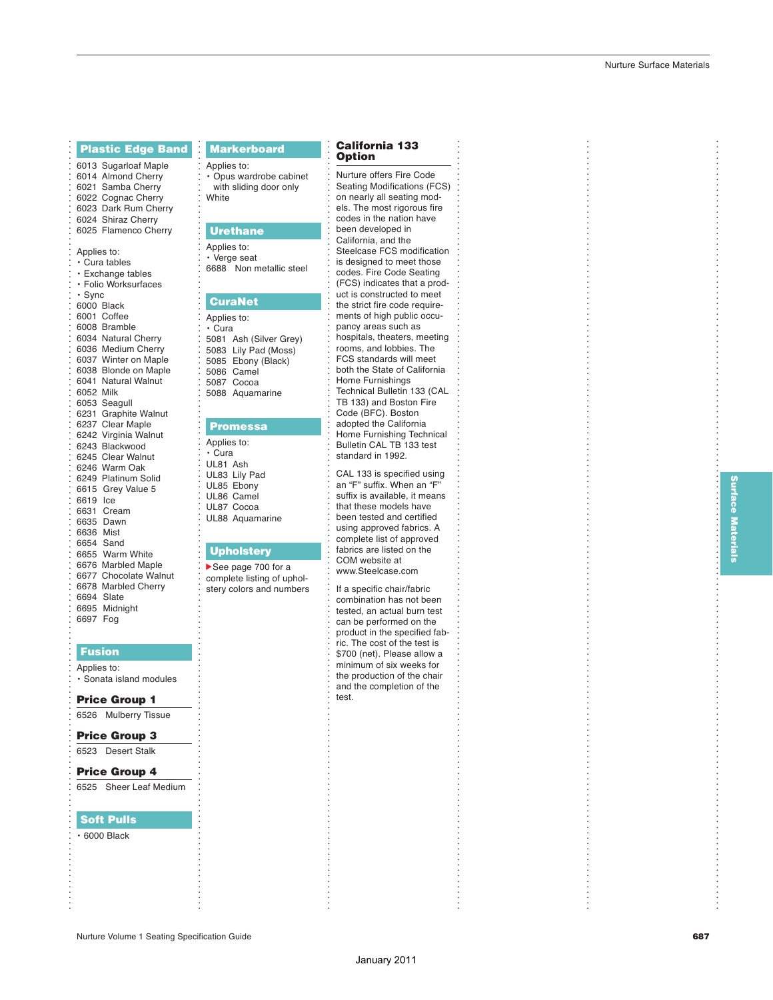### **Plastic Edge Band**

6013 Sugarloaf Maple 6014 Almond Cherry 6021 Samba Cherry 6022 Cognac Cherry 6023 Dark Rum Cherry 6024 Shiraz Cherry 6025 Flamenco Cherry Applies to: • Cura tables • Exchange tables • Folio Worksurfaces • Sync 6000 Black 6001 Coffee 6008 Bramble 6034 Natural Cherry 6036 Medium Cherry 6037 Winter on Maple 6038 Blonde on Maple 6041 Natural Walnut 6052 Milk 6053 Seagull 6231 Graphite Walnut 6237 Clear Maple 6242 Virginia Walnut 6243 Blackwood 6245 Clear Walnut 6246 Warm Oak 6249 Platinum Solid 6615 Grey Value 5 6619 Ice 6631 Cream 6635 Dawn 6636 Mist 6654 Sand 6655 Warm White 6676 Marbled Maple 6677 Chocolate Walnut 6678 Marbled Cherry 6694 Slate 6695 Midnight 6697 Fog ...............................................................................................................................................

### **Fusion**

Applies to: • Sonata island modules

### **Price Group 1**

6526 Mulberry Tissue

### **Price Group 3**

6523 Desert Stalk

### **Price Group 4**

6525 Sheer Leaf Medium

### **Soft Pulls**

• 6000 Black

### **Markerboard**

Applies to: • Opus wardrobe cabinet with sliding door only White

### **Urethane**

Applies to: • Verge seat 6688 Non metallic steel

### **CuraNet**

Applies to: • Cura 5081 Ash (Silver Grey) 5083 Lily Pad (Moss) 5085 Ebony (Black) 5086 Camel 5087 Cocoa 5088 Aquamarine

### **Promessa**

Applies to: • Cura UL81 Ash UL83 Lily Pad UL85 Ebony UL86 Camel UL87 Cocoa UL88 Aquamarine

### **Upholstery**

...............................................................................................................................................  $\blacktriangleright$  See [page 700](#page-27-0) for a complete listing of upholstery colors and numbers

Nurture offers Fire Code Seating Modifications (FCS) on nearly all seating models. The most rigorous fire codes in the nation have been developed in California, and the Steelcase FCS modification is designed to meet those codes. Fire Code Seating (FCS) indicates that a product is constructed to meet the strict fire code requirements of high public occupancy areas such as hospitals, theaters, meeting rooms, and lobbies. The FCS standards will meet both the State of California Home Furnishings Technical Bulletin 133 (CAL TB 133) and Boston Fire Code (BFC). Boston adopted the California Home Furnishing Technical Bulletin CAL TB 133 test standard in 1992.

CAL 133 is specified using an "F" suffix. When an "F" suffix is available, it means that these models have been tested and certified using approved fabrics. A complete list of approved fabrics are listed on the [COM website](http://www.steelcase.com/customsurfaces) at www.Steelcase.com

...............................................................................................................................................

...............................................................................................................................................

If a specific chair/fabric combination has not been tested, an actual burn test can be performed on the product in the specified fabric. The cost of the test is \$700 (net). Please allow a minimum of six weeks for the production of the chair and the completion of the test.

...............................................................................................................................................

**Surface Materials**

**Surface Materials** 

...............................................................................................................................................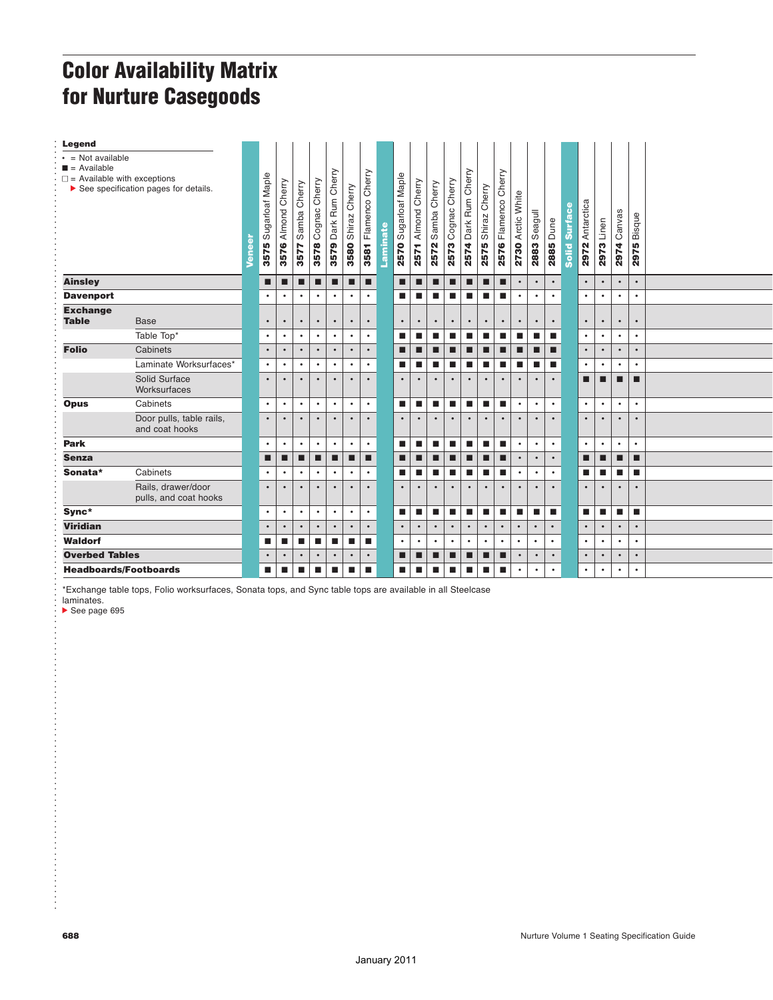## <span id="page-15-0"></span>**Color Availability Matrix for Nurture Casegoods**

| <b>Legend</b><br>$\cdot$ = Not available<br>$\blacksquare$ = Available<br>$\square$ = Available with exceptions | $\triangleright$ See specification pages for details.                                                     | Vene | Sugarloaf Maple<br>3575 | Cherry<br>Almond<br>3576 | Cherry<br>Samba<br>3577 | Cherry<br>Cognac<br>3578 | Cherry<br>Dark Rum<br>3579 | Cherry<br>Shiraz<br>3580 | Flamenco Cherry<br>3581 | Laminate | Sugarloaf Maple<br>2570 | Cherry<br>Almond<br>2571 | Cherry<br>Samba<br>2572 | Cherry<br>Cognac <sup>1</sup><br>2573 | Dark Rum Cherry<br>2574 | Cherry<br>Shiraz<br>2575 | Cherry<br>Flamenco<br>2576 | White<br>Arctic <sup>1</sup><br>2730 | Seagull<br>2883 | Dune<br>2885   | $\ddot{\circ}$<br>Surfa<br>Solid | Antarctica<br>2972 | Linen<br>2973 | Canvas<br>2974 | Bisque<br>2975 |  |
|-----------------------------------------------------------------------------------------------------------------|-----------------------------------------------------------------------------------------------------------|------|-------------------------|--------------------------|-------------------------|--------------------------|----------------------------|--------------------------|-------------------------|----------|-------------------------|--------------------------|-------------------------|---------------------------------------|-------------------------|--------------------------|----------------------------|--------------------------------------|-----------------|----------------|----------------------------------|--------------------|---------------|----------------|----------------|--|
| <b>Ainsley</b>                                                                                                  |                                                                                                           |      | П                       |                          |                         | ■                        |                            | ■                        | ■                       |          | П                       | ■                        |                         | г                                     |                         | ■                        | ■                          | $\bullet$                            | $\bullet$       | $\bullet$      |                                  | $\bullet$          | $\bullet$     | $\bullet$      | $\bullet$      |  |
| <b>Davenport</b>                                                                                                |                                                                                                           |      | $\bullet$               | ٠                        | ٠                       | ٠                        | $\bullet$                  | $\bullet$                | $\bullet$               |          | $\blacksquare$          | п                        | п                       | п                                     | $\blacksquare$          | п                        | п                          | $\bullet$                            | $\bullet$       | $\bullet$      |                                  | $\bullet$          |               | $\bullet$      | $\bullet$      |  |
| <b>Exchange</b><br><b>Table</b>                                                                                 | <b>Base</b>                                                                                               |      | $\bullet$               | $\bullet$                | $\bullet$               | $\bullet$                | $\bullet$                  | $\bullet$                | $\bullet$               |          | $\bullet$               | $\bullet$                | $\bullet$               | $\bullet$                             | $\bullet$               | $\bullet$                | $\bullet$                  | $\bullet$                            | $\bullet$       | $\bullet$      |                                  | $\bullet$          | $\bullet$     | $\bullet$      | $\bullet$      |  |
|                                                                                                                 | Table Top*                                                                                                |      | $\bullet$               | $\bullet$                | $\bullet$               | $\bullet$                | $\bullet$                  | $\bullet$                | $\bullet$               |          | $\blacksquare$          | ш                        | п                       | $\blacksquare$                        | $\blacksquare$          | $\blacksquare$           | $\blacksquare$             | $\blacksquare$                       | п               | $\blacksquare$ |                                  | $\bullet$          | $\bullet$     | $\bullet$      | $\bullet$      |  |
| <b>Folio</b>                                                                                                    | Cabinets                                                                                                  |      | $\bullet$               | $\bullet$                | $\bullet$               | $\bullet$                | $\bullet$                  | $\bullet$                | $\bullet$               |          | п                       | п                        | П                       | п                                     | п                       | ■                        | П                          | П                                    | П               | ■              |                                  | $\bullet$          | $\bullet$     | $\bullet$      | $\bullet$      |  |
|                                                                                                                 | Laminate Worksurfaces*                                                                                    |      | $\bullet$               | $\bullet$                | $\bullet$               | $\bullet$                | $\bullet$                  | $\bullet$                | $\bullet$               |          | П                       | п                        | п                       | п                                     | п                       | п                        | п                          | п                                    | п               | п              |                                  | $\bullet$          | $\bullet$     | $\bullet$      | $\bullet$      |  |
|                                                                                                                 | Solid Surface<br>Worksurfaces                                                                             |      | $\bullet$               | $\bullet$                | $\bullet$               | $\bullet$                | $\bullet$                  | $\bullet$                | $\bullet$               |          | $\bullet$               | $\bullet$                | $\bullet$               | $\bullet$                             | $\bullet$               | $\bullet$                | $\bullet$                  | $\bullet$                            | $\bullet$       | $\bullet$      |                                  | п                  | п             | п              | п              |  |
| <b>Opus</b>                                                                                                     | Cabinets                                                                                                  |      | $\bullet$               | $\bullet$                | $\bullet$               | $\bullet$                | $\bullet$                  | $\bullet$                | $\bullet$               |          | п                       | п                        | П                       | ■                                     | П                       | п                        | П                          | $\bullet$                            | $\bullet$       | $\bullet$      |                                  | $\bullet$          | $\bullet$     | $\bullet$      | $\bullet$      |  |
|                                                                                                                 | Door pulls, table rails,<br>and coat hooks                                                                |      | $\bullet$               | $\bullet$                | $\bullet$               | $\bullet$                | $\bullet$                  | $\bullet$                | $\bullet$               |          | $\bullet$               | $\bullet$                | $\bullet$               | $\bullet$                             | $\bullet$               | $\bullet$                | $\bullet$                  | $\bullet$                            | $\bullet$       | $\bullet$      |                                  | $\bullet$          | $\bullet$     | $\bullet$      | $\bullet$      |  |
| <b>Park</b>                                                                                                     |                                                                                                           |      | $\bullet$               | $\bullet$                | $\bullet$               | $\bullet$                | $\bullet$                  | $\bullet$                | $\bullet$               |          | П                       | п                        | $\blacksquare$          | п                                     | П                       | п                        | п                          | $\bullet$                            | $\bullet$       | $\bullet$      |                                  | $\bullet$          | $\bullet$     | $\bullet$      | $\bullet$      |  |
| <b>Senza</b>                                                                                                    |                                                                                                           |      | п                       | п                        | п                       | п                        | п                          | п                        | п                       |          | п                       | п                        | п                       | п                                     | п                       | ш                        | п                          | $\bullet$                            | $\bullet$       | $\bullet$      |                                  | п                  | п             | ■              | п              |  |
| Sonata*                                                                                                         | Cabinets                                                                                                  |      | $\bullet$               | $\bullet$                | $\bullet$               | $\bullet$                | $\bullet$                  | $\bullet$                | $\bullet$               |          | $\blacksquare$          | п                        | п                       | п                                     | П                       | п                        | п                          | $\bullet$                            | $\bullet$       | $\bullet$      |                                  | п                  | п             | п              | п              |  |
|                                                                                                                 | Rails, drawer/door<br>pulls, and coat hooks                                                               |      | $\bullet$               | $\bullet$                | $\bullet$               | $\bullet$                | $\bullet$                  | ۰                        | $\bullet$               |          | $\bullet$               | $\bullet$                | $\bullet$               | $\bullet$                             | $\bullet$               | $\bullet$                | $\bullet$                  | $\bullet$                            | $\bullet$       | $\bullet$      |                                  | $\bullet$          | $\bullet$     | $\bullet$      | $\bullet$      |  |
| Sync*                                                                                                           |                                                                                                           |      | $\bullet$               | $\bullet$                | $\bullet$               | $\bullet$                | $\bullet$                  | $\bullet$                | $\bullet$               |          | $\blacksquare$          | L.                       | п                       | п                                     | П                       | $\blacksquare$           | п                          | п                                    | п               | П              |                                  | п                  | П             | п              | П              |  |
| <b>Viridian</b>                                                                                                 |                                                                                                           |      | $\bullet$               | $\bullet$                | $\bullet$               | $\bullet$                | $\bullet$                  | $\bullet$                | $\bullet$               |          | $\bullet$               | $\bullet$                | $\bullet$               | $\bullet$                             | $\bullet$               | $\bullet$                | $\bullet$                  | $\bullet$                            | $\bullet$       | $\bullet$      |                                  | $\bullet$          | $\bullet$     | $\bullet$      | $\bullet$      |  |
| <b>Waldorf</b>                                                                                                  |                                                                                                           |      | п                       | п                        | ш                       | П                        | п                          | $\blacksquare$           | п                       |          | $\bullet$               | $\bullet$                | $\bullet$               | $\bullet$                             | $\bullet$               | $\bullet$                | $\bullet$                  | $\bullet$                            | $\bullet$       | $\bullet$      |                                  | $\bullet$          | $\bullet$     | $\bullet$      | $\bullet$      |  |
| <b>Overbed Tables</b>                                                                                           |                                                                                                           |      | $\bullet$               | $\bullet$                |                         |                          | $\bullet$                  | $\bullet$                | $\bullet$               |          | п                       | П                        | П                       | П                                     | П                       | П                        | П                          | $\bullet$                            | $\bullet$       | $\bullet$      |                                  | $\bullet$          | $\bullet$     | $\bullet$      | $\bullet$      |  |
|                                                                                                                 | <b>Headboards/Footboards</b>                                                                              |      | П                       | п                        | п                       | п                        | п                          | П                        | п                       |          | $\blacksquare$          | п                        | п                       | п                                     | п                       | п                        | п                          | $\bullet$                            | $\bullet$       | $\bullet$      |                                  | $\bullet$          | $\bullet$     | $\bullet$      | $\bullet$      |  |
| laminates.<br>$\triangleright$ See page 695                                                                     | *Exchange table tops, Folio worksurfaces, Sonata tops, and Sync table tops are available in all Steelcase |      |                         |                          |                         |                          |                            |                          |                         |          |                         |                          |                         |                                       |                         |                          |                            |                                      |                 |                |                                  |                    |               |                |                |  |

laminates.  $\blacktriangleright$  See [page 695](#page-22-0)

. . . . . . . . . . . . . . . . . . . . . . . . . . . . . . . . . . . . . . . . . . . . . . .

. . . . . . . .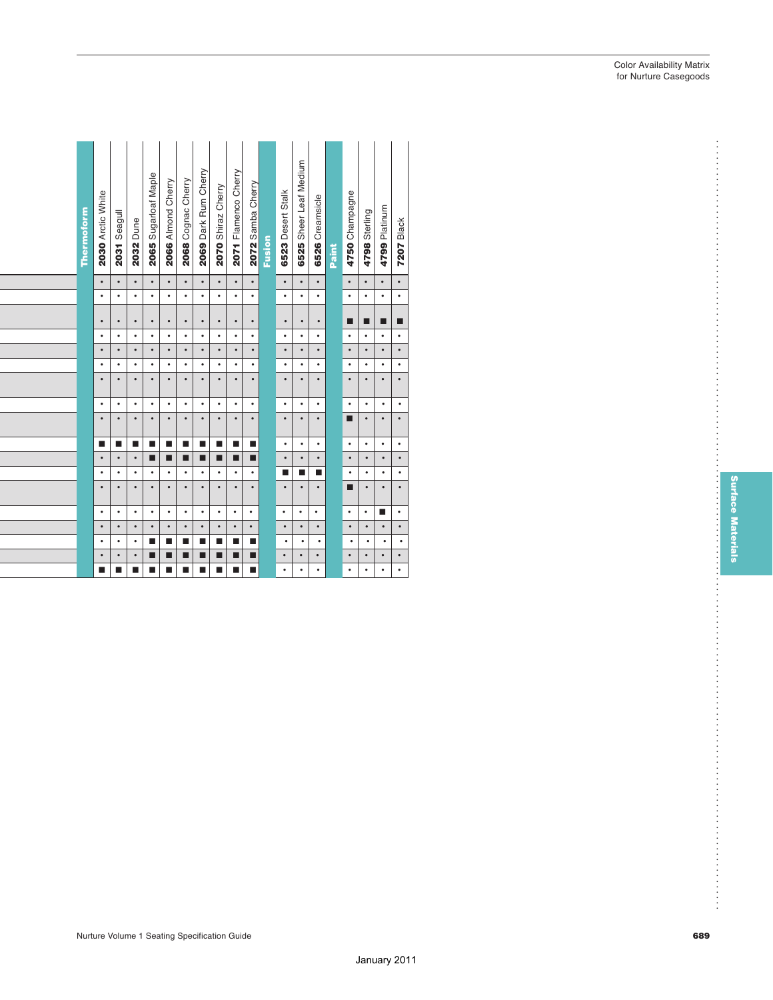| Thermoform | 2030 Arctic White | 2031 Seagull | 2032 Dune | 2065 Sugarloaf Maple | 2066 Almond Cherry | 2068 Cognac Cherry | 2069 Dark Rum Cherry | 2070 Shiraz Cherry | 2071 Flamenco Cherry | 2072 Samba Cherry | Fusion | 6523 Desert Stalk | 6525 Sheer Leaf Medium | 6526 Creamsicle | Paint | 4750 Champagne | 4798 Sterling | 4799 Platinum | <b>7207 Black</b> |  |
|------------|-------------------|--------------|-----------|----------------------|--------------------|--------------------|----------------------|--------------------|----------------------|-------------------|--------|-------------------|------------------------|-----------------|-------|----------------|---------------|---------------|-------------------|--|
|            | $\bullet$         | $\bullet$    | $\bullet$ | $\bullet$            | $\bullet$          | $\bullet$          | $\bullet$            | $\bullet$          | $\bullet$            | $\bullet$         |        | $\bullet$         | $\bullet$              | $\bullet$       |       | $\bullet$      | $\bullet$     | $\bullet$     | $\bullet$         |  |
|            | $\bullet$         | $\bullet$    | $\bullet$ | $\bullet$            | $\bullet$          | $\bullet$          | $\bullet$            | $\bullet$          | $\bullet$            | $\bullet$         |        | $\bullet$         | $\bullet$              | $\bullet$       |       | $\bullet$      | $\bullet$     | $\bullet$     |                   |  |
|            | $\bullet$         | $\bullet$    | $\bullet$ | $\bullet$            |                    | $\bullet$          | $\bullet$            | $\bullet$          | $\bullet$            | $\bullet$         |        | $\bullet$         | $\bullet$              | $\bullet$       |       | ■              | ┓             | П             | ٦                 |  |
|            | $\bullet$         | $\bullet$    | $\bullet$ | ۰                    | $\bullet$          | $\bullet$          | $\bullet$            | $\bullet$          | $\bullet$            | $\bullet$         |        | $\bullet$         | $\bullet$              | $\bullet$       |       | $\bullet$      | $\bullet$     | $\bullet$     | $\bullet$         |  |
|            | $\bullet$         | $\bullet$    | $\bullet$ | $\bullet$            | $\bullet$          | $\bullet$          | $\bullet$            | $\bullet$          | $\bullet$            | $\bullet$         |        | $\bullet$         | $\bullet$              | $\bullet$       |       | $\bullet$      | $\bullet$     | $\bullet$     | $\bullet$         |  |
|            | $\bullet$         | ۰            | ٠         | $\bullet$            | ۰                  | $\bullet$          | $\bullet$            | $\bullet$          | ۰                    | $\bullet$         |        | $\bullet$         | $\bullet$              | $\bullet$       |       | $\bullet$      | $\bullet$     | ۰             | $\bullet$         |  |
|            | $\bullet$         | $\bullet$    | ۰         | ٠                    | $\bullet$          | $\bullet$          | $\bullet$            | $\bullet$          | $\bullet$            | $\bullet$         |        | $\bullet$         | $\bullet$              | $\bullet$       |       | $\bullet$      | $\bullet$     | $\bullet$     | $\bullet$         |  |
|            | $\bullet$         | $\bullet$    | $\bullet$ | $\bullet$            | $\bullet$          | $\bullet$          | $\bullet$            | $\bullet$          | $\bullet$            | $\bullet$         |        | $\bullet$         | $\bullet$              | $\bullet$       |       | $\bullet$      | $\bullet$     | $\bullet$     | $\bullet$         |  |
|            | $\bullet$         | $\bullet$    |           |                      |                    | $\bullet$          | $\bullet$            | $\bullet$          |                      | ٠                 |        | $\epsilon$        | $\bullet$              | $\bullet$       |       | ■              | $\bullet$     | $\bullet$     | $\bullet$         |  |
|            | ■                 | ■            | п         | П                    | $\blacksquare$     | ■                  | $\blacksquare$       | ■                  | ■                    | ■                 |        | $\bullet$         | $\bullet$              | $\bullet$       |       | $\bullet$      | $\bullet$     | $\bullet$     | $\bullet$         |  |
|            | $\bullet$         | $\bullet$    | $\bullet$ | ┓                    | ■                  | ■                  | ∎                    | ■                  | ■                    | П                 |        | $\bullet$         | $\bullet$              | $\bullet$       |       | $\bullet$      | $\bullet$     | $\bullet$     | $\bullet$         |  |
|            | $\bullet$         | $\bullet$    | $\bullet$ | $\bullet$            | $\bullet$          | $\bullet$          | $\bullet$            | $\bullet$          | $\bullet$            | $\bullet$         |        | П                 |                        |                 |       | $\bullet$      | $\bullet$     | $\bullet$     | $\bullet$         |  |
|            | $\bullet$         | $\bullet$    | ۰         | $\bullet$            | $\bullet$          | $\bullet$          | $\bullet$            | $\bullet$          | $\bullet$            | $\bullet$         |        | $\bullet$         | $\bullet$              | $\bullet$       |       | ■              | $\bullet$     | $\bullet$     | $\bullet$         |  |
|            | $\bullet$         | $\bullet$    | $\bullet$ | $\bullet$            | ۰                  | $\bullet$          |                      |                    | $\bullet$            | ۰                 |        | ۰                 | ۰                      | ۰               |       | ۰              | ۰             | ۰             | $\bullet$         |  |
|            | $\bullet$         | $\bullet$    | $\bullet$ | $\bullet$            | $\bullet$          | $\bullet$          | $\bullet$            | $\bullet$          | $\bullet$            | $\bullet$         |        | $\bullet$         | $\bullet$              | $\bullet$       |       | $\bullet$      | $\bullet$     | $\bullet$     | $\bullet$         |  |
|            | $\bullet$         | $\bullet$    | $\bullet$ |                      |                    | ■                  | ٦                    | ■                  |                      | ■                 |        | $\bullet$         | $\bullet$              | $\bullet$       |       | $\bullet$      | $\bullet$     | $\bullet$     | $\bullet$         |  |
|            | $\bullet$         | $\bullet$    | ۰         |                      | ш                  | ▉                  | ٠                    | - 1                |                      |                   |        | $\bullet$         | $\bullet$              | $\bullet$       |       | $\bullet$      | $\bullet$     | $\bullet$     | $\bullet$         |  |
|            | ■                 | ┓            | ٠         |                      | ■                  | ■                  | L.                   | ■                  | ■                    | ■                 |        | $\bullet$         | $\bullet$              | $\bullet$       |       | $\bullet$      | $\bullet$     | $\bullet$     | $\bullet$         |  |

Color Availability Matrix for Nurture Casegoods

,我的时候,我的时候,我的时候我的时候,我的时候我的时候,我的时候我的时候,我的时候我的时候,我的时候我的时候,我的时候我的时候,我的时候我的时候,我的时候我的时候,我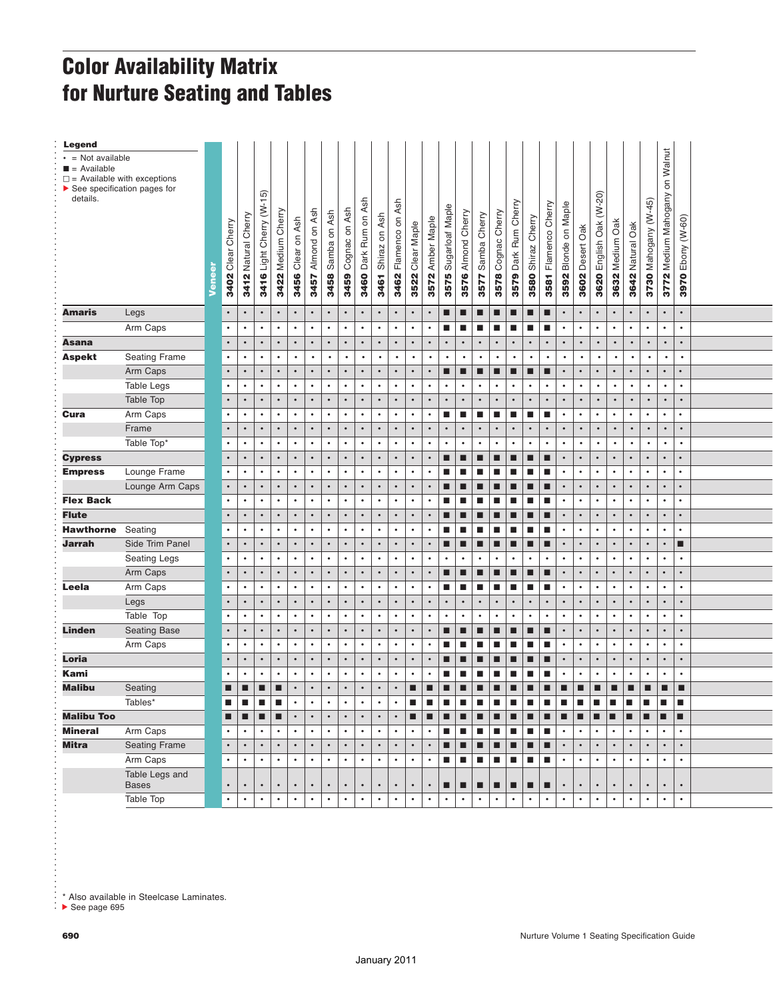## <span id="page-17-0"></span>**Color Availability Matrix for Nurture Seating and Tables**

| Legend<br>$\bullet$ = Not available<br>$\blacksquare$ = Available<br>details. | $\square$ = Available with exceptions<br>$\blacktriangleright$ See specification pages for | Š | 3402 Clear Cherry | 3412 Natural Cherry | 5<br>$(N-1)$<br>Cherry<br>Light<br>3416 | Cherry<br>Medium<br>3422 | Ash<br>Clear on<br>3456 | Ash<br>$\overline{\rm s}$<br>Almond<br>3457 | Ash<br>$\overline{6}$<br>Samba<br>3458 | Ash<br>$\mathsf{S}% _{T}=\mathsf{S}_{T}\!\left( a,b\right) ,\mathsf{S}_{T}=\mathsf{S}_{T}\!\left( a,b\right) ,\mathsf{S}_{T}=\mathsf{S}_{T}\!\left( a,b\right) ,$<br>Cognac<br>3459 | Ash<br>$\mathsf{S}% _{T}=\mathsf{S}_{T}\!\left( a,b\right) ,\mathsf{S}_{T}=\mathsf{S}_{T}\!\left( a,b\right) ,\mathsf{S}_{T}=\mathsf{S}_{T}\!\left( a,b\right) ,$<br>Rum<br>Dark<br>3460 | Ash<br>$\overline{\rm o}$<br>Shiraz<br>3461 | Ash<br>$\overline{\rm o}$<br>Flamenco<br>3462 | Clear Maple<br>3522 | Amber Maple<br>3572 | ₾<br>Sugarloaf Mapl<br>3575 | Cherry<br>Almond<br>3576 | Cherry<br>Samba<br>3577 | Cherry<br>Cognac <sup>1</sup><br>3578 | Cherry<br>Dark Rum<br>3579 | Cherry<br>Shiraz<br>3580 | Flamenco Cherry<br>3581 | Maple<br><b>Blonde on</b><br>3592 | Oak<br>Desert<br>3602 | $(W-20)$<br>Oak<br>English<br>3620 | Oak<br>Medium<br>3632 | Oak<br>Natural<br>3642 | Mahogany (W-45)<br>3730 | Walnut<br>5<br>Medium Mahogany<br>3772 | $(W-60)$<br>Ebony<br>3970 |  |
|-------------------------------------------------------------------------------|--------------------------------------------------------------------------------------------|---|-------------------|---------------------|-----------------------------------------|--------------------------|-------------------------|---------------------------------------------|----------------------------------------|-------------------------------------------------------------------------------------------------------------------------------------------------------------------------------------|------------------------------------------------------------------------------------------------------------------------------------------------------------------------------------------|---------------------------------------------|-----------------------------------------------|---------------------|---------------------|-----------------------------|--------------------------|-------------------------|---------------------------------------|----------------------------|--------------------------|-------------------------|-----------------------------------|-----------------------|------------------------------------|-----------------------|------------------------|-------------------------|----------------------------------------|---------------------------|--|
| <b>Amaris</b>                                                                 | Legs                                                                                       |   | $\bullet$         | $\bullet$           | $\bullet$                               | $\bullet$                | $\bullet$               | $\bullet$                                   | $\bullet$                              | $\bullet$                                                                                                                                                                           | $\bullet$                                                                                                                                                                                | $\bullet$                                   | $\bullet$                                     | $\bullet$           | $\bullet$           | ■                           | П                        | ■                       | п                                     | п                          | п                        | п                       | $\bullet$                         | $\bullet$             | $\bullet$                          | $\bullet$             | $\bullet$              | $\bullet$               | $\bullet$                              | $\bullet$                 |  |
|                                                                               | Arm Caps                                                                                   |   | $\bullet$         | $\bullet$           | $\bullet$                               | $\bullet$                | $\bullet$               | $\bullet$                                   | $\bullet$                              | $\bullet$                                                                                                                                                                           | $\bullet$                                                                                                                                                                                | $\bullet$                                   | $\bullet$                                     | $\bullet$           | $\bullet$           | п                           | п                        | п                       | П                                     | П                          | п                        | П                       | $\bullet$                         | $\bullet$             | $\bullet$                          | $\bullet$             | $\bullet$              | $\bullet$               | $\bullet$                              | $\bullet$                 |  |
| Asana                                                                         |                                                                                            |   | $\bullet$         | $\bullet$           | $\bullet$                               | $\bullet$                | $\bullet$               | $\bullet$                                   | $\bullet$                              | $\bullet$                                                                                                                                                                           | $\bullet$                                                                                                                                                                                | $\bullet$                                   | $\bullet$                                     | $\bullet$           | $\bullet$           | $\bullet$                   | $\bullet$                | $\bullet$               | $\bullet$                             | $\bullet$                  | $\bullet$                | $\bullet$               | $\bullet$                         | $\bullet$             | $\bullet$                          | $\bullet$             | $\bullet$              | $\bullet$               | $\bullet$                              | $\bullet$                 |  |
| <b>Aspekt</b>                                                                 | <b>Seating Frame</b>                                                                       |   | $\bullet$         | ٠                   | $\bullet$                               | ٠                        | $\bullet$               | $\bullet$                                   | $\bullet$                              | $\bullet$                                                                                                                                                                           | $\bullet$                                                                                                                                                                                | $\bullet$                                   | $\bullet$                                     | $\bullet$           | $\bullet$           | $\bullet$                   | $\bullet$                | $\bullet$               | $\bullet$                             | $\bullet$                  | $\bullet$                | $\bullet$               | $\bullet$                         | $\bullet$             | $\bullet$                          | $\bullet$             | $\bullet$              | $\bullet$               | $\bullet$                              | $\bullet$                 |  |
|                                                                               | Arm Caps                                                                                   |   | $\bullet$         | $\bullet$           | $\bullet$                               | $\bullet$                | $\bullet$               | $\bullet$                                   | $\bullet$                              | $\bullet$                                                                                                                                                                           | $\bullet$                                                                                                                                                                                | $\bullet$                                   | $\bullet$                                     | $\bullet$           | $\bullet$           | ■                           | П                        | ■                       | п                                     | П                          | П                        | п                       | $\bullet$                         | $\bullet$             | $\bullet$                          | $\bullet$             | $\bullet$              | $\bullet$               | $\bullet$                              | $\bullet$                 |  |
|                                                                               | <b>Table Legs</b>                                                                          |   | $\bullet$         | $\bullet$           | $\bullet$                               | $\bullet$                | $\bullet$               | $\bullet$                                   | $\bullet$                              | $\bullet$                                                                                                                                                                           | $\bullet$                                                                                                                                                                                | $\bullet$                                   | $\bullet$                                     | $\bullet$           | $\bullet$           | $\bullet$                   | $\bullet$                | $\bullet$               | $\bullet$                             | ٠                          | $\bullet$                | $\bullet$               | $\bullet$                         | $\bullet$             | $\bullet$                          | $\bullet$             | $\bullet$              | $\bullet$               | $\bullet$                              | $\bullet$                 |  |
|                                                                               | <b>Table Top</b>                                                                           |   | $\bullet$         | $\bullet$           | $\bullet$                               | $\bullet$                | $\bullet$               | $\bullet$                                   | $\bullet$                              | $\bullet$                                                                                                                                                                           | $\bullet$                                                                                                                                                                                | $\bullet$                                   | $\bullet$                                     | $\bullet$           | $\bullet$           | $\bullet$                   | $\bullet$                | $\bullet$               | $\bullet$                             | $\bullet$                  | $\bullet$                | $\bullet$               | $\bullet$                         | $\bullet$             | $\bullet$                          | $\bullet$             | $\bullet$              | $\bullet$               | $\bullet$                              | $\bullet$                 |  |
| Cura                                                                          | Arm Caps                                                                                   |   | $\bullet$         | ٠                   | $\bullet$                               | $\bullet$                | $\bullet$               | $\bullet$                                   | $\bullet$                              | $\bullet$                                                                                                                                                                           | $\bullet$                                                                                                                                                                                | $\bullet$                                   | $\bullet$                                     | $\bullet$           | $\bullet$           | $\blacksquare$              | <b>I</b>                 | $\blacksquare$          | L.                                    | $\blacksquare$             | ш                        | П                       | $\bullet$                         | $\bullet$             | ٠                                  | $\bullet$             | $\bullet$              | $\bullet$               | $\bullet$                              | $\bullet$                 |  |
|                                                                               | Frame                                                                                      |   | $\bullet$         | $\bullet$           | $\bullet$                               | $\bullet$                | $\bullet$               | $\bullet$                                   | $\bullet$                              | $\bullet$                                                                                                                                                                           | $\bullet$                                                                                                                                                                                | $\bullet$                                   | $\bullet$                                     | $\bullet$           | $\bullet$           | $\bullet$                   | $\bullet$                | $\bullet$               | $\bullet$                             | $\bullet$                  | $\bullet$                | $\bullet$               | $\bullet$                         | $\bullet$             | $\bullet$                          | $\bullet$             | $\bullet$              | $\bullet$               | $\bullet$                              | $\bullet$                 |  |
|                                                                               | Table Top*                                                                                 |   | $\bullet$         | ٠                   | $\bullet$                               | $\bullet$                | $\bullet$               | ٠                                           | $\bullet$                              | $\bullet$                                                                                                                                                                           | $\bullet$                                                                                                                                                                                | $\bullet$                                   | $\bullet$                                     | $\bullet$           | $\bullet$           | $\bullet$                   | $\bullet$                | $\bullet$               | $\bullet$                             | ٠                          | ٠                        | $\bullet$               | $\bullet$                         | $\bullet$             | $\bullet$                          | $\bullet$             | $\bullet$              | $\bullet$               | $\bullet$                              | $\bullet$                 |  |
| <b>Cypress</b>                                                                |                                                                                            |   | $\bullet$         | $\bullet$           | $\bullet$                               | $\bullet$                | $\bullet$               | $\bullet$                                   | $\bullet$                              | $\bullet$                                                                                                                                                                           | $\bullet$                                                                                                                                                                                | $\bullet$                                   | $\bullet$                                     | $\bullet$           | $\bullet$           | П                           | П                        | П                       | П                                     | п                          | П                        | п                       | $\bullet$                         | $\bullet$             | $\bullet$                          | $\bullet$             | $\bullet$              | $\bullet$               | $\bullet$                              | $\bullet$                 |  |
| <b>Empress</b>                                                                | Lounge Frame                                                                               |   | $\bullet$         | $\bullet$           | $\bullet$                               | ٠                        | $\bullet$               | $\bullet$                                   | $\bullet$                              | $\bullet$                                                                                                                                                                           | $\bullet$                                                                                                                                                                                | $\bullet$                                   | $\bullet$                                     | $\bullet$           | $\bullet$           | п                           | п                        | п                       | П                                     | П                          | п                        | $\blacksquare$          | $\bullet$                         | $\bullet$             | $\bullet$                          | $\bullet$             | $\bullet$              | $\bullet$               | $\bullet$                              | $\bullet$                 |  |
|                                                                               | Lounge Arm Caps                                                                            |   | $\bullet$         | $\bullet$           | $\bullet$                               | $\bullet$                | $\bullet$               | $\bullet$                                   | $\bullet$                              | $\bullet$                                                                                                                                                                           | $\bullet$                                                                                                                                                                                | $\bullet$                                   | $\bullet$                                     | $\bullet$           | $\bullet$           | ■                           | ш                        | П                       | п                                     | ■                          | п                        | п                       | $\bullet$                         | $\bullet$             | $\bullet$                          | $\bullet$             | $\bullet$              | $\bullet$               | $\bullet$                              | $\bullet$                 |  |
| <b>Flex Back</b>                                                              |                                                                                            |   | $\bullet$         | ٠                   | $\bullet$                               | ٠                        | $\bullet$               | $\bullet$                                   | $\bullet$                              | $\bullet$                                                                                                                                                                           | $\bullet$                                                                                                                                                                                | $\bullet$                                   | $\bullet$                                     | $\bullet$           | $\bullet$           | $\blacksquare$              | п                        | $\blacksquare$          | п                                     | П                          | п                        | П                       | $\bullet$                         | $\bullet$             | $\bullet$                          | $\bullet$             | $\bullet$              | $\bullet$               | $\bullet$                              | ٠                         |  |
| <b>Flute</b>                                                                  |                                                                                            |   | $\bullet$         | $\bullet$           | $\bullet$                               | $\bullet$                | $\bullet$               | $\bullet$                                   | $\bullet$                              | $\bullet$                                                                                                                                                                           | $\bullet$                                                                                                                                                                                | $\bullet$                                   | $\bullet$                                     | $\bullet$           | $\bullet$           | ■                           | П                        | П                       | п                                     | П                          | П                        | п                       | $\bullet$                         | $\bullet$             | $\bullet$                          | $\bullet$             | $\bullet$              | $\bullet$               | $\bullet$                              | $\bullet$                 |  |
| <b>Hawthorne</b>                                                              | Seating                                                                                    |   | $\bullet$         | $\bullet$           | $\bullet$                               | $\bullet$                | $\bullet$               | $\bullet$                                   | $\bullet$                              | $\bullet$                                                                                                                                                                           | $\bullet$                                                                                                                                                                                | $\bullet$                                   | $\bullet$                                     | $\bullet$           | $\bullet$           | $\blacksquare$              | п                        | $\blacksquare$          | L.                                    | L.                         | L.                       | П                       | $\bullet$                         | $\bullet$             | $\bullet$                          | $\bullet$             | $\bullet$              | $\bullet$               | $\bullet$                              | $\bullet$                 |  |
| <b>Jarrah</b>                                                                 | Side Trim Panel                                                                            |   | $\bullet$         | $\bullet$           | $\bullet$                               | $\bullet$                | $\bullet$               | $\bullet$                                   | $\bullet$                              | $\bullet$                                                                                                                                                                           | $\bullet$                                                                                                                                                                                | $\bullet$                                   | $\bullet$                                     | $\bullet$           | $\bullet$           | ■                           | П                        | ■                       | П                                     | ■                          | ■                        | п                       | $\bullet$                         | $\bullet$             | $\bullet$                          | $\bullet$             | $\bullet$              | $\bullet$               | $\bullet$                              | п                         |  |
|                                                                               | <b>Seating Legs</b>                                                                        |   | $\bullet$         | $\bullet$           | $\bullet$                               | $\bullet$                | $\bullet$               | $\bullet$                                   | $\bullet$                              | $\bullet$                                                                                                                                                                           | $\bullet$                                                                                                                                                                                | $\bullet$                                   | $\bullet$                                     | $\bullet$           | $\bullet$           | $\bullet$                   | $\bullet$                | ٠                       | ٠                                     | ٠                          | ٠                        | $\bullet$               | $\bullet$                         | $\bullet$             | $\bullet$                          | $\bullet$             | $\bullet$              | $\bullet$               | $\bullet$                              | $\bullet$                 |  |
|                                                                               | Arm Caps                                                                                   |   | $\bullet$         | $\bullet$           | $\bullet$                               | $\bullet$                | $\bullet$               | $\bullet$                                   | $\bullet$                              | $\bullet$                                                                                                                                                                           | $\bullet$                                                                                                                                                                                | $\bullet$                                   | $\bullet$                                     | $\bullet$           | $\bullet$           | ■                           | П                        | ■                       | П                                     | ■                          | П                        | п                       | $\bullet$                         | $\bullet$             | $\bullet$                          | $\bullet$             | $\bullet$              | $\bullet$               | $\bullet$                              | $\bullet$                 |  |
| Leela                                                                         | Arm Caps                                                                                   |   | $\bullet$         | $\bullet$           | $\bullet$                               | $\bullet$                | $\bullet$               | ٠                                           | $\bullet$                              | $\bullet$                                                                                                                                                                           | $\bullet$                                                                                                                                                                                | $\bullet$                                   | $\bullet$                                     | $\bullet$           | $\bullet$           | П                           | п                        | п                       | п                                     | $\blacksquare$             | п                        | П                       | $\bullet$                         | $\bullet$             | $\bullet$                          | $\bullet$             | $\bullet$              | $\bullet$               | $\bullet$                              | $\bullet$                 |  |
|                                                                               | Legs                                                                                       |   | $\bullet$         | $\bullet$           | $\bullet$                               | $\bullet$                | $\bullet$               | $\bullet$                                   | $\bullet$                              | $\bullet$                                                                                                                                                                           | $\bullet$                                                                                                                                                                                | $\bullet$                                   | $\bullet$                                     | $\bullet$           | $\bullet$           | $\bullet$                   | $\bullet$                | $\bullet$               | $\bullet$                             | $\bullet$                  | $\bullet$                | $\bullet$               | $\bullet$                         | $\bullet$             | $\bullet$                          | $\bullet$             | $\bullet$              | $\bullet$               | $\bullet$                              | $\bullet$                 |  |
|                                                                               | Table Top                                                                                  |   | $\bullet$         | $\bullet$           | $\bullet$                               | $\bullet$                | $\bullet$               | $\bullet$                                   | $\bullet$                              | $\bullet$                                                                                                                                                                           | $\bullet$                                                                                                                                                                                | $\bullet$                                   | $\bullet$                                     | $\bullet$           | $\bullet$           | $\bullet$                   | $\bullet$                | $\bullet$               | $\bullet$                             | ٠                          | $\bullet$                | ٠                       | $\bullet$                         | $\bullet$             | $\bullet$                          | $\bullet$             | $\bullet$              | $\bullet$               | $\bullet$                              | $\bullet$                 |  |
| <b>Linden</b>                                                                 | <b>Seating Base</b>                                                                        |   | $\bullet$         | $\bullet$           | $\bullet$                               | $\bullet$                | $\bullet$               | $\bullet$                                   | $\bullet$                              | $\bullet$                                                                                                                                                                           | $\bullet$                                                                                                                                                                                | $\bullet$                                   | $\bullet$                                     | $\bullet$           | $\bullet$           | п                           | П                        | ■                       | п                                     | ▪                          | П                        | п                       | $\bullet$                         | $\bullet$             | $\bullet$                          | $\bullet$             | $\bullet$              | $\bullet$               | $\bullet$                              | $\bullet$                 |  |
|                                                                               | Arm Caps                                                                                   |   | $\bullet$         | ٠                   | $\bullet$                               | ٠                        | $\bullet$               | $\bullet$                                   | $\bullet$                              | $\bullet$                                                                                                                                                                           | $\bullet$                                                                                                                                                                                | $\bullet$                                   | $\bullet$                                     | $\bullet$           | $\bullet$           | $\blacksquare$              | п                        | $\blacksquare$          | п                                     | L.                         | п                        | П                       | $\bullet$                         | $\bullet$             | $\bullet$                          | $\bullet$             | $\bullet$              | $\bullet$               | $\bullet$                              | $\bullet$                 |  |
| Loria                                                                         |                                                                                            |   | $\bullet$         | $\bullet$           | $\bullet$                               | $\bullet$                | $\bullet$               | $\bullet$                                   | $\bullet$                              | $\bullet$                                                                                                                                                                           | $\bullet$                                                                                                                                                                                | $\bullet$                                   | $\bullet$                                     | $\bullet$           | $\bullet$           | ■                           | П                        | П                       | П                                     | ■                          | П                        | П                       | $\bullet$                         | $\bullet$             | $\bullet$                          | $\bullet$             | $\bullet$              | $\bullet$               | $\bullet$                              | $\bullet$                 |  |
| <b>Kami</b>                                                                   |                                                                                            |   | $\bullet$         | $\bullet$           | $\bullet$                               | ٠                        | $\bullet$               | $\bullet$                                   | $\bullet$                              | $\bullet$                                                                                                                                                                           | $\bullet$                                                                                                                                                                                | $\bullet$                                   | $\bullet$                                     | ٠                   | $\bullet$           | п                           | п                        | п                       | П                                     | П                          | п                        | $\blacksquare$          | $\bullet$                         | $\bullet$             | $\bullet$                          | $\bullet$             | $\bullet$              | $\bullet$               | $\bullet$                              | $\bullet$                 |  |
| <b>Malibu</b>                                                                 | Seating                                                                                    |   | П                 | п                   | □                                       | ■                        | $\bullet$               | $\bullet$                                   | $\bullet$                              | $\bullet$                                                                                                                                                                           | $\bullet$                                                                                                                                                                                | $\bullet$                                   | $\bullet$                                     | ■                   | П                   | ■                           | П                        | П                       | ■                                     | ■                          | ■                        | П                       | П                                 | ■                     | П                                  | П                     | П                      | ■                       | П                                      | ■                         |  |
|                                                                               | Tables*                                                                                    |   | ш                 | ш                   | ш                                       | ш                        | $\bullet$               | $\bullet$                                   | $\bullet$                              | $\bullet$                                                                                                                                                                           | $\bullet$                                                                                                                                                                                | $\bullet$                                   | $\bullet$                                     | ш                   | ш                   | ш                           | ш                        | ш                       | Е                                     | ш                          | Е                        | ш                       | ш                                 | ш                     | ш                                  | ш                     | ш                      | L.                      | ш                                      | ш                         |  |
| <b>Malibu Too</b>                                                             |                                                                                            |   | п                 | ■                   | ■                                       | п                        | $\bullet$               | $\bullet$                                   | $\bullet$                              | $\bullet$                                                                                                                                                                           | $\bullet$                                                                                                                                                                                | $\bullet$                                   | $\bullet$                                     | п                   | п                   | ■                           | П                        | п                       | п                                     | п                          | П                        | п                       | ■                                 | ■                     | п                                  | П                     | ■                      | ■                       | п                                      | п                         |  |
| <b>Mineral</b>                                                                | Arm Caps<br><b>Seating Frame</b>                                                           |   | $\bullet$         | $\bullet$           | $\bullet$                               | $\bullet$                | $\bullet$               | $\bullet$                                   | $\bullet$                              | $\bullet$                                                                                                                                                                           | $\bullet$                                                                                                                                                                                | $\bullet$                                   | $\bullet$                                     | $\bullet$           | $\bullet$           | $\blacksquare$              | L.                       | $\blacksquare$          | L.                                    | <b>The State</b>           | I.                       | $\blacksquare$          | $\bullet$                         | $\bullet$             | $\bullet$                          | $\bullet$             | $\bullet$              | $\bullet$               | $\bullet$                              | $\bullet$                 |  |
| <b>Mitra</b>                                                                  |                                                                                            |   | $\bullet$         | $\bullet$           | $\bullet$                               | $\bullet$                | $\bullet$               | $\bullet$                                   | $\bullet$                              | $\bullet$                                                                                                                                                                           | $\bullet$                                                                                                                                                                                | $\bullet$                                   | $\bullet$                                     | $\bullet$           | $\bullet$           | ■                           | п                        | П                       | п                                     | п                          | п                        | ■                       | $\bullet$                         | $\bullet$             | $\bullet$                          | $\bullet$             | $\bullet$              | $\bullet$               | $\bullet$                              | $\bullet$                 |  |
|                                                                               | Arm Caps                                                                                   |   | $\bullet$         | $\bullet$           | $\bullet$                               | $\bullet$                | $\bullet$               | $\bullet$                                   | $\bullet$                              | $\bullet$                                                                                                                                                                           | $\bullet$                                                                                                                                                                                | $\bullet$                                   | $\bullet$                                     | $\bullet$           | $\bullet$           | $\blacksquare$              | L.                       | $\blacksquare$          | п                                     | П                          | П                        | П                       | $\bullet$                         | $\bullet$             | $\bullet$                          | $\bullet$             | $\bullet$              | $\bullet$               | $\bullet$                              | $\bullet$                 |  |
|                                                                               | Table Legs and<br><b>Bases</b>                                                             |   | $\bullet$         | $\bullet$           | $\bullet$                               | $\bullet$                | $\bullet$               | $\bullet$                                   | $\bullet$                              | $\bullet$                                                                                                                                                                           | $\bullet$                                                                                                                                                                                | $\bullet$                                   | $\bullet$                                     | $\bullet$           | $\bullet$           | ■                           | П                        | ■                       | П                                     | $\blacksquare$             | п                        | ■                       | $\bullet$                         | $\bullet$             | $\bullet$                          | $\bullet$             | $\bullet$              | $\bullet$               | $\bullet$                              | $\bullet$                 |  |
|                                                                               | Table Top                                                                                  |   | $\bullet$         | $\bullet$           | $\bullet$                               | $\bullet$                | $\bullet$               | ٠                                           | $\bullet$                              | $\bullet$                                                                                                                                                                           | $\bullet$                                                                                                                                                                                | $\bullet$                                   | $\bullet$                                     | $\bullet$           | $\bullet$           | $\bullet$                   | $\bullet$                | $\bullet$               | $\bullet$                             | $\bullet$                  | $\bullet$                | $\bullet$               | $\bullet$                         | $\bullet$             | $\bullet$                          | $\bullet$             | $\bullet$              | $\bullet$               | $\bullet$                              | $\bullet$                 |  |
|                                                                               |                                                                                            |   |                   |                     |                                         |                          |                         |                                             |                                        |                                                                                                                                                                                     |                                                                                                                                                                                          |                                             |                                               |                     |                     |                             |                          |                         |                                       |                            |                          |                         |                                   |                       |                                    |                       |                        |                         |                                        |                           |  |

:<br>: \* Also available in Steelcase Laminates.<br>: ▶ See page 695

 $\blacktriangleright$  See [page 695](#page-22-0)

. . .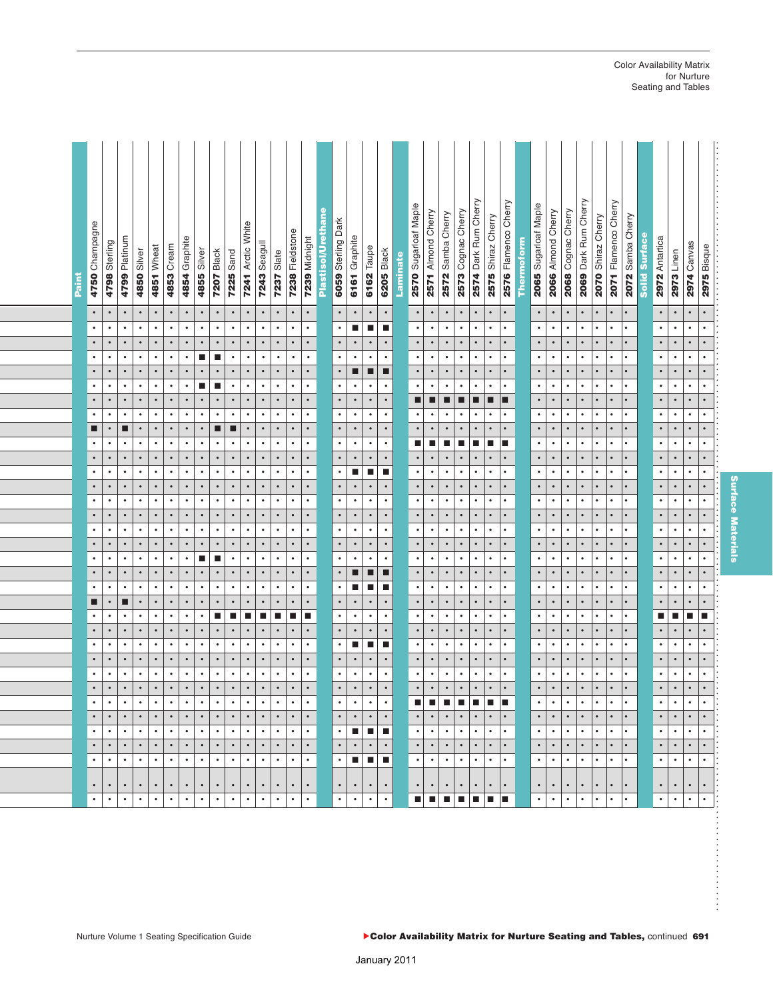| Paint | 4750 Champagne         | 4798 Sterling          | 4799 Platinum          | <b>4850 Silver</b>     | 4851 Wheat             | 4853 Cream             | 4854 Graphite            | <b>4855 Silver</b>     | 7207 Black              | 7225 Sand              | 7241 Arctic White      | 7243 Seagull           | <b>7237</b> Slate      | 7238 Fieldstone        | 7239 Midnight          | <b>Plastisol/Urethane</b> | 6059 Sterling Dark     | 6161 Graphite          | Taupe<br>6162          | 6205 Black             | Laminate | 2570 Sugarloaf Maple   | 2571 Almond Cherry     | 2572 Samba Cherry      | 2573 Cognac Cherry          | Dark Rum Cherry<br>2574 | 2575 Shiraz Cherry     | 2576 Flamenco Cherry | <b>Thermoform</b> | 2065 Sugarloaf Maple   | 2066 Almond Cherry     | 2068 Cognac Cherry     | 2069 Dark Rum Cherry                                         | 2070 Shiraz Cherry     | 2071 Flamenco Cherry     | 2072 Samba Cherry | <b>Surfac</b><br>Solid | 2972 Antartica         | 2973 Linen             | 2974 Canvas            | 2975 Bisque            |  |
|-------|------------------------|------------------------|------------------------|------------------------|------------------------|------------------------|--------------------------|------------------------|-------------------------|------------------------|------------------------|------------------------|------------------------|------------------------|------------------------|---------------------------|------------------------|------------------------|------------------------|------------------------|----------|------------------------|------------------------|------------------------|-----------------------------|-------------------------|------------------------|----------------------|-------------------|------------------------|------------------------|------------------------|--------------------------------------------------------------|------------------------|--------------------------|-------------------|------------------------|------------------------|------------------------|------------------------|------------------------|--|
|       | $\bullet$              | $\bullet$              | $\bullet$              | $\bullet$              | $\bullet$              | $\bullet$              | $\bullet$                | $\bullet$              | $\bullet$               | $\bullet$              | $\bullet$              | $\bullet$              | $\bullet$              | $\bullet$              | $\bullet$              |                           | $\bullet$              | $\bullet$              | $\bullet$              | $\bullet$              |          | $\bullet$              | $\bullet$              | $\bullet$              | $\bullet$                   | $\bullet$               | $\bullet$              | $\bullet$            |                   | $\bullet$              | $\bullet$              | $\bullet$              | $\bullet$                                                    | $\bullet$              | $\bullet$                | ٠                 |                        | $\bullet$              | $\bullet$              | $\bullet$              | $\bullet$              |  |
|       | $\bullet$              |                        | $\bullet$              | $\bullet$              | $\bullet$              | $\bullet$              | $\bullet$                | $\bullet$              | ٠                       | $\bullet$              | ٠                      | ٠                      |                        | ٠                      | $\bullet$              |                           | $\bullet$              | ■                      | П                      | $\blacksquare$         |          | $\bullet$              | $\bullet$              | $\bullet$              | $\bullet$                   | $\bullet$               | ٠                      | ٠                    |                   | $\bullet$              | $\bullet$              |                        |                                                              |                        |                          |                   |                        | $\bullet$              |                        | $\bullet$              |                        |  |
|       | $\bullet$              | $\bullet$              | $\bullet$              | $\bullet$              | $\bullet$              | $\bullet$              | $\bullet$                | $\bullet$              | $\bullet$               | $\bullet$              | $\bullet$              | $\bullet$              | $\bullet$              | $\bullet$              | $\bullet$              |                           | $\bullet$              | $\bullet$              | $\bullet$              | $\bullet$              |          | $\bullet$              | $\bullet$              | $\bullet$              | $\bullet$                   | $\bullet$               | $\bullet$              | $\bullet$            |                   | $\bullet$              | $\bullet$              | $\bullet$              | $\bullet$                                                    | $\bullet$              |                          |                   |                        | $\bullet$              | $\bullet$              | $\bullet$              | $\bullet$              |  |
|       | $\bullet$              | $\bullet$              | $\bullet$              | $\bullet$              | $\bullet$              | $\bullet$              | $\bullet$                | п                      | E                       | $\bullet$              | $\bullet$              | $\bullet$              | $\bullet$              | $\bullet$              | $\bullet$              |                           | $\bullet$              | $\bullet$              | $\bullet$              | $\bullet$              |          | $\bullet$              | $\bullet$              | $\bullet$              | $\bullet$                   | ٠                       | $\bullet$              | ٠                    |                   | $\bullet$              | $\bullet$              | $\bullet$              | ٠                                                            |                        |                          |                   |                        | $\bullet$              | $\bullet$              | $\bullet$              | $\bullet$              |  |
|       | $\bullet$              | $\bullet$              | $\bullet$              | $\bullet$              | $\bullet$              | $\bullet$              | $\bullet$                | $\bullet$              | $\bullet$               | $\bullet$              | $\bullet$              | $\bullet$              | $\bullet$              | $\bullet$              | $\bullet$              |                           | $\bullet$              | П                      | ■                      | П                      |          | $\bullet$              | $\bullet$              | $\bullet$              | $\bullet$                   | $\bullet$               | $\bullet$              |                      |                   | $\bullet$              | $\bullet$              | $\bullet$              | $\bullet$                                                    | $\bullet$              |                          |                   |                        | $\bullet$              | $\bullet$              | $\bullet$              |                        |  |
|       | $\bullet$              | $\bullet$              | $\bullet$              | $\bullet$              | $\bullet$              | $\bullet$              | $\bullet$                | $\blacksquare$         | П                       | $\bullet$              | $\bullet$              | $\bullet$              | $\bullet$              | $\bullet$              | $\bullet$              |                           | $\bullet$              | ٠                      | $\bullet$              | $\bullet$              |          | $\bullet$              | $\bullet$              | $\bullet$              | $\bullet$                   |                         |                        |                      |                   | $\bullet$              | $\bullet$              | $\bullet$              | ٠                                                            | $\bullet$              |                          |                   |                        | $\bullet$              | ٠                      | ٠                      | ٠                      |  |
|       | $\bullet$              |                        | $\bullet$              | $\bullet$              | $\bullet$              | $\bullet$              | $\bullet$                |                        |                         | $\bullet$              | $\bullet$              | $\bullet$              | $\bullet$              | $\bullet$              | $\bullet$              |                           | $\bullet$              |                        | $\bullet$              | $\bullet$              |          | П                      |                        | ■                      | ■                           | □                       |                        |                      |                   | $\bullet$              | $\bullet$              |                        |                                                              | $\bullet$              |                          |                   |                        | $\bullet$              |                        |                        |                        |  |
|       | $\bullet$              | $\bullet$              | $\bullet$              | $\bullet$              | $\bullet$              | $\bullet$              | $\bullet$                | $\bullet$              | $\bullet$               | $\bullet$              | $\bullet$              | $\bullet$              | $\bullet$              | $\bullet$              | $\bullet$              |                           | $\bullet$              | $\bullet$              | $\bullet$              | $\bullet$              |          | $\bullet$              | $\bullet$              | ٠                      | $\bullet$                   |                         | ۰                      |                      |                   | $\bullet$              | $\bullet$              | $\bullet$              | $\bullet$                                                    | $\bullet$              |                          |                   |                        | $\bullet$              | $\bullet$              | $\bullet$              | $\bullet$              |  |
|       | п                      | $\bullet$              | П                      | $\bullet$              | $\bullet$              | $\bullet$              | $\bullet$                | $\bullet$              | ■                       | П                      | $\bullet$              | $\bullet$              | $\bullet$              | $\bullet$              | $\bullet$              |                           | $\bullet$              | $\bullet$              | $\bullet$              | $\bullet$              |          | $\bullet$              | $\bullet$              | $\bullet$              | $\bullet$                   |                         | $\bullet$              |                      |                   | $\bullet$              | $\bullet$              | $\bullet$              | $\bullet$                                                    | $\bullet$              |                          |                   |                        | $\bullet$              | $\bullet$              | $\bullet$              | $\bullet$              |  |
|       | $\bullet$              | $\bullet$              | $\bullet$              | $\bullet$              | $\bullet$              | $\bullet$              | $\bullet$                | $\bullet$              | $\bullet$               | $\bullet$              | $\bullet$              | $\bullet$              | $\bullet$              | $\bullet$              | $\bullet$              |                           | $\bullet$              | $\bullet$              | $\bullet$              | $\bullet$              |          | П                      | П                      | $\blacksquare$         | L.                          | $\blacksquare$          | ■                      | ■                    |                   | $\bullet$              | $\bullet$              | ٠                      | $\bullet$                                                    | ٠                      | $\bullet$                |                   |                        | $\bullet$              | $\bullet$              | $\bullet$              | $\bullet$              |  |
|       | $\bullet$              | $\bullet$              | $\bullet$              | $\bullet$              | $\bullet$              | $\bullet$              | $\bullet$                | $\bullet$              | $\bullet$               | $\bullet$              | $\bullet$              | $\bullet$              | $\bullet$              | $\bullet$              | $\bullet$              |                           | $\bullet$              | $\bullet$              | $\bullet$              | $\bullet$              |          | $\bullet$              | $\bullet$              | $\bullet$              | $\bullet$                   | $\bullet$               | $\bullet$              |                      |                   | $\bullet$              | $\bullet$              | $\bullet$              | $\bullet$                                                    | $\bullet$              |                          |                   |                        | $\bullet$              | $\bullet$              | $\bullet$              | $\bullet$              |  |
|       | $\bullet$              | ٠                      | $\bullet$              | $\bullet$              | $\bullet$              | $\bullet$              | $\bullet$                | $\bullet$              | ٠                       | $\bullet$              | ٠                      | ٠                      | $\bullet$              | ٠                      | $\bullet$              |                           | $\bullet$              | ■                      | П                      | $\blacksquare$         |          | $\bullet$              | $\bullet$              | $\bullet$              | $\bullet$                   | ٠                       | ۰                      |                      |                   | $\bullet$              | $\bullet$              |                        | ٠                                                            |                        |                          |                   |                        | $\bullet$              |                        | $\bullet$              |                        |  |
|       | $\bullet$<br>$\bullet$ | $\bullet$<br>$\bullet$ | $\bullet$<br>$\bullet$ | $\bullet$<br>$\bullet$ | $\bullet$<br>$\bullet$ | $\bullet$<br>$\bullet$ | $\bullet$<br>$\bullet$   | $\bullet$<br>$\bullet$ | $\bullet$<br>$\bullet$  | $\bullet$<br>$\bullet$ | $\bullet$<br>$\bullet$ | $\bullet$<br>$\bullet$ | $\bullet$<br>$\bullet$ | $\bullet$<br>$\bullet$ | $\bullet$<br>$\bullet$ |                           | $\bullet$<br>$\bullet$ | $\bullet$<br>$\bullet$ | $\bullet$<br>$\bullet$ | $\bullet$<br>$\bullet$ |          | $\bullet$<br>$\bullet$ | $\bullet$<br>$\bullet$ | $\bullet$<br>$\bullet$ | $\bullet$<br>$\bullet$      | $\bullet$<br>$\bullet$  | $\bullet$<br>$\bullet$ | ٠                    |                   | $\bullet$<br>$\bullet$ | $\bullet$<br>$\bullet$ | $\bullet$<br>$\bullet$ | $\bullet$<br>$\bullet$                                       | $\bullet$<br>$\bullet$ |                          |                   |                        | $\bullet$<br>$\bullet$ | $\bullet$<br>$\bullet$ | $\bullet$<br>$\bullet$ | $\bullet$<br>$\bullet$ |  |
|       | $\bullet$              | $\bullet$              | $\bullet$              | $\bullet$              | $\bullet$              | $\bullet$              | $\bullet$                | $\bullet$              | $\bullet$               | $\bullet$              | ٠                      | $\bullet$              | $\bullet$              | $\bullet$              | $\bullet$              |                           | $\bullet$              | $\bullet$              | $\bullet$              | $\bullet$              |          | $\bullet$              | $\bullet$              | $\bullet$              | $\bullet$                   | $\bullet$               | $\bullet$              |                      |                   | $\bullet$              | $\bullet$              | $\bullet$              | $\bullet$                                                    | $\bullet$              |                          |                   |                        | $\bullet$              | $\bullet$              | $\bullet$              | $\bullet$              |  |
|       | $\bullet$              | $\bullet$              | $\bullet$              | $\bullet$              | $\bullet$              | $\bullet$              | $\bullet$                | $\bullet$              | ٠                       | $\bullet$              | $\bullet$              | $\bullet$              | $\bullet$              | $\bullet$              | $\bullet$              |                           | $\bullet$              | ٠                      | $\bullet$              | $\bullet$              |          | $\bullet$              | $\bullet$              | $\bullet$              | $\bullet$                   | ٠                       | $\bullet$              |                      |                   | $\bullet$              | $\bullet$              | $\bullet$              | ٠                                                            | ٠                      |                          |                   |                        | $\bullet$              | ٠                      | ٠                      | ٠                      |  |
|       | $\bullet$              |                        | $\bullet$              | $\bullet$              | $\bullet$              | $\bullet$              | $\bullet$                | $\bullet$              |                         | $\bullet$              | $\bullet$              | $\bullet$              | $\bullet$              | $\bullet$              | $\bullet$              |                           | $\bullet$              |                        | $\bullet$              | $\bullet$              |          | $\bullet$              |                        | $\bullet$              | $\bullet$                   |                         | $\bullet$              |                      |                   | $\bullet$              | $\bullet$              |                        |                                                              | $\bullet$              |                          |                   |                        | $\bullet$              |                        | $\bullet$              | $\bullet$              |  |
|       | $\bullet$              | $\bullet$              | $\bullet$              | $\bullet$              | $\bullet$              | $\bullet$              | $\bullet$                | $\blacksquare$         | Е                       | $\bullet$              | $\bullet$              | $\bullet$              | $\bullet$              | $\bullet$              | $\bullet$              |                           | $\bullet$              | $\bullet$              | $\bullet$              | $\bullet$              |          | $\bullet$              | $\bullet$              | $\bullet$              | $\bullet$                   | ٠                       | $\bullet$              | $\bullet$            |                   | $\bullet$              | $\bullet$              | $\bullet$              | $\bullet$                                                    | $\bullet$              |                          |                   |                        | $\bullet$              | $\bullet$              | $\bullet$              | $\bullet$              |  |
|       | $\bullet$              | $\bullet$              | $\bullet$              | $\bullet$              | $\bullet$              | $\bullet$              | $\bullet$                | $\bullet$              | $\bullet$               | $\bullet$              | $\bullet$              | $\bullet$              | $\bullet$              | $\bullet$              | $\bullet$              |                           | $\bullet$              | □                      | ■                      | ■                      |          | $\bullet$              | $\bullet$              | $\bullet$              | $\bullet$                   | $\bullet$               | $\bullet$              |                      |                   | $\bullet$              | $\bullet$              | $\bullet$              | ٠                                                            |                        |                          |                   |                        | $\bullet$              | $\bullet$              | $\bullet$              | $\bullet$              |  |
|       | $\bullet$              | $\bullet$              | $\bullet$              | $\bullet$              | $\bullet$              | $\bullet$              | $\bullet$                | $\bullet$              | $\bullet$               | $\bullet$              | $\bullet$              | $\bullet$              | $\bullet$              | $\bullet$              | $\bullet$              |                           | $\bullet$              | $\blacksquare$         | L.                     | $\blacksquare$         |          | $\bullet$              | $\bullet$              | $\bullet$              | $\bullet$                   | $\bullet$               | ٠                      | ٠                    |                   | $\bullet$              | $\bullet$              | ٠                      | $\bullet$                                                    | ٠                      | $\bullet$                |                   |                        | $\bullet$              | ٠                      | $\bullet$              | $\bullet$              |  |
|       | ■                      | $\bullet$              | ■                      | $\bullet$              | $\bullet$              | $\bullet$              | $\bullet$                | $\bullet$              | $\bullet$               | $\bullet$              | $\bullet$              | $\bullet$              | $\bullet$              | $\bullet$              | $\bullet$              |                           | $\bullet$              | $\bullet$              | $\bullet$              | $\bullet$              |          | $\bullet$              | $\bullet$              | $\bullet$              | $\bullet$                   | $\bullet$               | $\bullet$              |                      |                   | $\bullet$              | $\bullet$              | $\bullet$              | $\bullet$                                                    | $\bullet$              |                          |                   |                        | $\bullet$              | $\bullet$              | $\bullet$              | $\bullet$              |  |
|       | $\bullet$              |                        | $\bullet$              | $\bullet$              | $\bullet$              | $\bullet$              | $\bullet$                | $\bullet$              | ■                       | п                      | П                      | ■                      | ■                      | П                      | П                      |                           | $\bullet$              | ٠                      | $\bullet$              | $\bullet$              |          | $\bullet$              | $\bullet$              | $\bullet$              | ٠                           | ٠                       |                        |                      |                   | $\bullet$              | $\bullet$              |                        |                                                              |                        |                          |                   |                        | ■                      | ■                      | П                      | ▅                      |  |
|       | $\bullet$              | $\bullet$              | $\bullet$              | $\bullet$              | $\bullet$              | $\bullet$              | $\bullet$                | $\bullet$              | $\bullet$               | $\bullet$              | $\bullet$              | $\bullet$              | $\bullet$              | $\bullet$              | $\bullet$              |                           | $\bullet$              | $\bullet$              | $\bullet$              | $\bullet$              |          | $\bullet$              | $\bullet$              | $\bullet$              | $\bullet$                   | $\bullet$               | $\bullet$              | $\bullet$            |                   | $\bullet$              | $\bullet$              | $\bullet$              | $\bullet$                                                    | $\bullet$              |                          |                   |                        | $\bullet$              | $\bullet$              | $\bullet$              | $\bullet$              |  |
|       | $\bullet$              | $\bullet$              | $\bullet$              | $\bullet$              | $\bullet$              | $\bullet$              | $\bullet$                | $\bullet$              | $\bullet$               | $\bullet$              | $\bullet$              | $\bullet$              | $\bullet$              | $\bullet$              | $\bullet$              |                           | $\bullet$              | ■                      | П                      | п                      |          | $\bullet$              | $\bullet$              | $\bullet$              | $\bullet$                   | ٠                       | $\bullet$              |                      |                   | $\bullet$              | $\bullet$              | $\bullet$              | ٠                                                            | $\bullet$              |                          |                   |                        | $\bullet$              | $\bullet$              | $\bullet$              |                        |  |
|       | $\bullet$              | $\bullet$              | $\bullet$              | $\bullet$              | $\bullet$              | $\bullet$              | $\bullet$                | $\bullet$              | $\bullet$               | $\bullet$              | $\bullet$              | $\bullet$              | $\bullet$              | $\bullet$              | $\bullet$              |                           | $\bullet$              | $\bullet$              | $\bullet$              | $\bullet$              |          | $\bullet$              | $\bullet$              | $\bullet$              | $\bullet$                   | $\bullet$               | $\bullet$              |                      |                   | $\bullet$              | $\bullet$              | $\bullet$              | $\bullet$                                                    | $\bullet$              | ٠                        |                   |                        | $\bullet$              | $\bullet$              | $\bullet$              | $\bullet$              |  |
|       | $\bullet$              | $\bullet$              | $\bullet$              | $\bullet$              | $\bullet$              | $\bullet$              | $\bullet$                | ٠                      | ٠                       | $\bullet$              | $\bullet$              | $\bullet$              | ٠                      | $\bullet$              | $\bullet$              |                           | $\bullet$              | ٠                      | $\bullet$              | $\bullet$              |          | $\bullet$              | $\bullet$              | $\bullet$              | $\bullet$                   | ٠                       | $\bullet$              |                      |                   | $\bullet$              | $\bullet$              | $\bullet$              |                                                              | ٠                      |                          |                   |                        | $\bullet$              | ٠                      |                        |                        |  |
|       | $\bullet$              |                        | $\bullet$              | $\bullet$              |                        | $\bullet$              |                          | $\bullet$              |                         | $\bullet$              |                        | $\bullet$              | $\bullet$              | $\bullet$              | $\bullet$              |                           | $\bullet$              | $\bullet$              |                        | $\bullet$              |          | $\bullet$              |                        | $\bullet$              | $\bullet$                   |                         |                        |                      |                   | $\bullet$              | $\bullet$              |                        |                                                              | $\bullet$              |                          |                   |                        | $\bullet$              |                        |                        |                        |  |
|       | $\bullet$              |                        |                        |                        |                        |                        |                          |                        |                         |                        |                        |                        |                        |                        |                        |                           |                        |                        |                        |                        |          | E                      |                        | ш                      | $\blacksquare$              | п                       |                        |                      |                   |                        |                        |                        |                                                              |                        |                          |                   |                        |                        |                        |                        |                        |  |
|       | $\bullet$              | $\bullet$              | $\bullet$              | $\bullet$              | $\bullet$              | $\bullet$              | $\overline{\phantom{a}}$ | $\bullet$              | $\bullet$               | $\bullet$              | $\bullet$              | $\bullet$              | $\bullet$              | ∣•∣                    | $\bullet$              |                           | $\bullet$              | $\bullet$              | $\bullet$              | $\bullet$              |          | $\bullet$              | $\bullet$              | $\bullet$              | $\bullet$                   | $\bullet$               | $\bullet$              | ∣•.                  |                   | $\cdot$                | $\bullet$              | $\bullet$              | $\overline{\phantom{a}}$                                     | $\bullet$              | $\bullet$                | $\bullet$         |                        | $\bullet$              | $\bullet$              | $\bullet$              | $\bullet$              |  |
|       | $\bullet$              | $\bullet$              | $\bullet$              | $\cdot$ .              | $\bullet$              | $\bullet$              | $\bullet$                | $\bullet$              | $\bullet$               | $\bullet$              | $\bullet$              | $\bullet$              | $\bullet$              | $\bullet$              | $\bullet$              |                           | $\bullet$              |                        | a i a                  | $\blacksquare$         |          | $\bullet$              | $\cdot$                | $\bullet$              |                             | $\cdot$ $\cdot$ $\cdot$ |                        | $\cdot$ $\cdot$      |                   | $\bullet$              | $\bullet$              |                        | $\cdot$ $\cdot$ $\cdot$                                      | $\bullet$              | $\left  \cdot \right $ . |                   |                        | $\bullet$              | $\bullet$              | $\bullet$              | $\bullet$              |  |
|       | $\bullet$              | $\bullet$              | $\bullet$              | $\bullet$              | $\bullet$              | $\cdot$                | $\bullet$                |                        | $\bullet$ $\bullet$     | $\bullet$              | $\bullet$              | $\bullet$              |                        | $\bullet$ $\bullet$    | $\bullet$              |                           | $\bullet$              | $\bullet$              | $\bullet$              | $\bullet$              |          | $\bullet$              | $\bullet$              | $\bullet$              |                             | $\cdot$ $\cdot$ $\cdot$ |                        | $\bullet$ $\bullet$  |                   | $\bullet$              | $\bullet$              |                        | $\begin{array}{c c} \bullet & \bullet & \bullet \end{array}$ | $\bullet$              | $\vert \cdot \vert$      | $\bullet$         |                        | $\bullet$              |                        | $\cdot$ $\cdot$        | $\bullet$              |  |
|       | $\bullet$              | $\bullet$              | $\bullet$              | $\cdot$ $\cdot$        | $\bullet$              | $\bullet$              | $\bullet$                | $\bullet$              | $\cdot$ $\cdot$ $\cdot$ | $\bullet$              | $\bullet$              | $\bullet$              | $\bullet$              | $\bullet$              | $\bullet$              |                           | $\bullet$              |                        | a katika Indonesia.    | п.                     |          | $\bullet$              |                        | $\cdot$ $\cdot$        |                             | $ \cdot  \cdot  $       | $\cdot$ $\cdot$        |                      |                   |                        | $\cdot$   $\cdot$      |                        | $\cdot$ $\cdot$ $\cdot$                                      | $\bullet$              | $\bullet$                | $\bullet$         |                        | $\bullet$              | $\cdot$ 1              | $\bullet$              | $\bullet$              |  |
|       | $\bullet$              | $\bullet$              | $\bullet$              | $\bullet$              | $\bullet$              | $\bullet$              | $\bullet$                | $\bullet$              | $\bullet$               | $\bullet$              | $\bullet$              | $\bullet$              | $\bullet$              | $\bullet$              | $\bullet$              |                           | $\bullet$              | $\bullet$              | $\bullet$              | $\bullet$              |          | $\bullet$              |                        | $\bullet$              |                             | $\cdot$ $\cdot$         | $\bullet$              | $\bullet$            |                   | $\bullet$              | $\bullet$              | $\bullet$ $\bullet$    |                                                              | $\bullet$              | $\bullet$                |                   |                        | $\bullet$              | $\bullet$              | $\bullet$              | $\bullet$              |  |
|       | $\bullet$              | $\bullet$              | $\bullet$              | $\cdot$                | $\bullet$              | $\bullet$              | $\bullet$                | $\bullet$              | $\bullet$               | $\bullet$              | $\bullet$              | $\bullet$              | $\bullet$              | $\bullet$              | $\bullet$              |                           | $\bullet$              | $\bullet$              | $\bullet$              | $\bullet$              |          | ш                      | $\blacksquare$         | $\blacksquare$         | $\mathcal{L}_{\mathcal{A}}$ |                         | n In                   | I.                   |                   | $\bullet$              | $\bullet$              | $\bullet$              | $\bullet$                                                    | $\bullet$              | $\bullet$                | ٠                 |                        | $\bullet$              | $\bullet$              | $\bullet$              | $\bullet$              |  |
|       |                        |                        |                        |                        |                        |                        |                          |                        |                         |                        |                        |                        |                        |                        |                        |                           |                        |                        |                        |                        |          |                        |                        |                        |                             |                         |                        |                      |                   |                        |                        |                        |                                                              |                        |                          |                   |                        |                        |                        |                        |                        |  |

### Color Availability Matrix for Nurture Seating and Tables

. . .

. . . . . . . . . . . . . . . .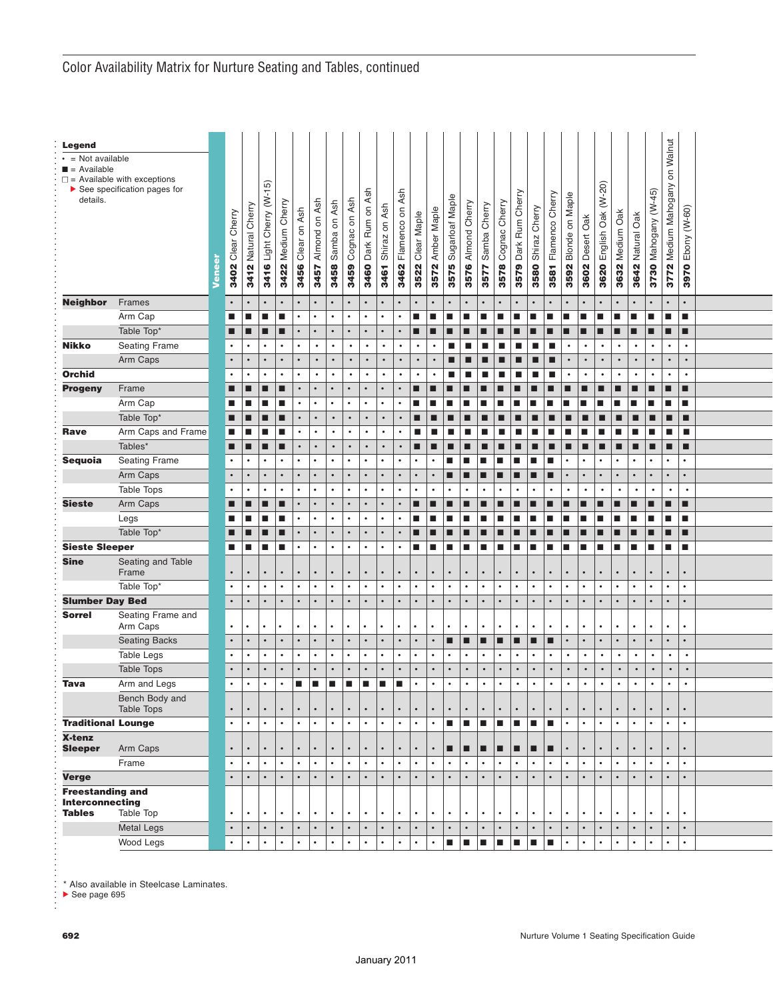| Legend<br>$=$ Not available<br>$\blacksquare$ = Available<br>details. | $\square$ = Available with exceptions<br>$\blacktriangleright$ See specification pages for | Venee | Cherry<br>Clear<br>3402 | Cherry<br>Natural <sup></sup><br>3412 | Light Cherry (W-15)<br>3416 | Cherry<br>Medium (<br>3422 | on Ash<br>Clear<br>3456 | Almond on Ash<br>3457 | Samba on Ash<br>3458 | Cognac on Ash<br>3459 | Ash<br>3460 Dark Rum on | Ash<br>Shiraz on<br>3461 | Ash<br>$\mathsf{S}$<br>Flamenco<br>3462 | Clear Maple<br>3522 | Amber Maple<br>3572 | Sugarloaf Maple<br>3575 | Almond Cherry<br>3576 | Samba Cherry<br>3577        | Cherry<br>Cognac<br>3578 | Rum Cherry<br>Dark  <br>3579 | Shiraz Cherry<br>3580 | Flamenco Cherry<br>3581 | 3592 Blonde on Maple | 3602 Desert Oak | 3620 English Oak (W-20) | Oak<br>3632 Medium | Oak<br><b>3642 Natural</b> | 3730 Mahogany (W-45) | Walnut<br>$\overline{5}$<br>Medium Mahogany<br>3772 | Ebony (W-60)<br>3970 |  |
|-----------------------------------------------------------------------|--------------------------------------------------------------------------------------------|-------|-------------------------|---------------------------------------|-----------------------------|----------------------------|-------------------------|-----------------------|----------------------|-----------------------|-------------------------|--------------------------|-----------------------------------------|---------------------|---------------------|-------------------------|-----------------------|-----------------------------|--------------------------|------------------------------|-----------------------|-------------------------|----------------------|-----------------|-------------------------|--------------------|----------------------------|----------------------|-----------------------------------------------------|----------------------|--|
| <b>Neighbor</b>                                                       | Frames                                                                                     |       | $\bullet$               | $\bullet$                             | $\bullet$                   | $\bullet$                  | $\bullet$               | $\bullet$             | $\bullet$            | $\bullet$             | $\bullet$               | $\bullet$                | $\bullet$                               | $\bullet$           | $\bullet$           | $\bullet$               | $\bullet$             | $\bullet$                   | $\bullet$                | $\bullet$                    | $\bullet$             |                         | $\bullet$            | $\bullet$       | $\bullet$               |                    | $\bullet$                  | $\bullet$            | $\bullet$                                           | $\bullet$            |  |
|                                                                       | Arm Cap                                                                                    |       | п                       | ш                                     | $\blacksquare$              | П                          | $\bullet$               | $\bullet$             | $\bullet$            | $\bullet$             | $\bullet$               | $\bullet$                | $\bullet$                               | п                   | п                   | $\blacksquare$          | $\blacksquare$        | П                           | п                        | L.                           | п                     | ■                       | п                    | П               | $\blacksquare$          | п                  | $\blacksquare$             | E                    | $\mathcal{L}_{\mathcal{A}}$                         | ш                    |  |
|                                                                       | Table Top*                                                                                 |       | ■                       | П                                     | П                           | ■                          | $\bullet$               | $\bullet$             | $\bullet$            | $\bullet$             | $\bullet$               | $\bullet$                | $\bullet$                               | ■                   | ■                   | П                       | ■                     | ■                           | п                        | П                            | ■                     | ■                       | ■                    | ■               | ٠                       | П                  | ■                          | П                    | $\blacksquare$                                      | п                    |  |
| Nikko                                                                 | <b>Seating Frame</b>                                                                       |       | $\bullet$               | ٠                                     | $\bullet$                   | $\bullet$                  | $\bullet$               | $\bullet$             | $\bullet$            | $\bullet$             | $\bullet$               | $\bullet$                | $\bullet$                               | ٠                   | $\bullet$           | П                       | $\blacksquare$        | L.                          | п                        | ш                            | $\blacksquare$        | ш                       | $\bullet$            | ٠               | $\bullet$               | $\bullet$          | $\bullet$                  | $\bullet$            | $\bullet$                                           | $\bullet$            |  |
|                                                                       | Arm Caps                                                                                   |       | $\bullet$               | $\bullet$                             | $\bullet$                   | $\bullet$                  | $\bullet$               | $\bullet$             | $\bullet$            | $\bullet$             | $\bullet$               | $\bullet$                | $\bullet$                               | $\bullet$           | $\bullet$           | П                       | П                     | ■                           | ш                        | ■                            | П                     | П                       | $\bullet$            | $\bullet$       | $\bullet$               | $\bullet$          | $\bullet$                  | $\bullet$            | $\bullet$                                           | $\bullet$            |  |
| Orchid                                                                |                                                                                            |       | $\bullet$               | ٠                                     | $\bullet$                   | ٠                          | $\bullet$               | ٠                     | $\bullet$            | ٠                     | $\bullet$               | $\bullet$                | $\bullet$                               | ٠                   | $\bullet$           | П                       | п                     | П                           | п                        | ш                            | п                     | ш                       | $\bullet$            | $\bullet$       | $\bullet$               | $\bullet$          | $\bullet$                  | $\bullet$            | $\bullet$                                           | $\bullet$            |  |
| <b>Progeny</b>                                                        | Frame                                                                                      |       | ■                       | П                                     | ■                           | ■                          | $\bullet$               | $\bullet$             | $\bullet$            |                       | $\bullet$               | $\bullet$                | $\bullet$                               | П                   | П                   | П                       | ■                     | ■                           | ■                        | ■                            | ■                     | ■                       | П                    | ■               | ■                       | ■                  | ■                          | п                    | ■                                                   | п                    |  |
|                                                                       | Arm Cap                                                                                    |       | $\blacksquare$          | п                                     | п                           | п                          | $\bullet$               | $\bullet$             | $\bullet$            | $\bullet$             | $\bullet$               | $\bullet$                | $\bullet$                               | п                   | п                   | п                       | п                     | L.                          | ш                        | П                            | п                     | П                       | ■                    | П               | $\blacksquare$          | $\blacksquare$     | ▉                          | П                    | П                                                   | П                    |  |
|                                                                       | Table Top*                                                                                 |       | ■                       | П                                     | П                           | ■                          | $\bullet$               | $\bullet$             | $\bullet$            | $\bullet$             | $\bullet$               | $\bullet$                | $\bullet$                               | п                   | п                   | П                       | ■                     | ■                           | ■                        | П                            | п                     | п                       | ■                    | п               | $\blacksquare$          | п                  | ■                          | п                    | ■                                                   | п                    |  |
| Rave                                                                  | Arm Caps and Frame                                                                         |       | п                       | п                                     | ■                           | ■                          | ٠                       | $\bullet$             | $\bullet$            | $\bullet$             | $\bullet$               | $\bullet$                | $\bullet$                               | L.                  | $\blacksquare$      | $\blacksquare$          | L.                    | L.                          | $\blacksquare$           | ш                            | $\blacksquare$        | П                       | п                    | ■               | п                       | п                  | П                          | п                    | П                                                   | п                    |  |
|                                                                       | Tables*                                                                                    |       | п                       | ■                                     | П                           | ■                          | $\bullet$               | $\bullet$             | $\bullet$            | $\bullet$             | $\bullet$               | $\bullet$                | $\bullet$                               | п                   | П                   | п                       | П                     | ■                           | П                        | п                            | П                     | П                       | П                    | П               | ■                       | ■                  | п                          | П                    | п                                                   | П                    |  |
| Sequoia                                                               | <b>Seating Frame</b>                                                                       |       | $\bullet$               | $\bullet$                             | $\bullet$                   | ۰                          | $\bullet$               | $\bullet$             | $\bullet$            | $\bullet$             | $\bullet$               | $\bullet$                | $\bullet$                               | $\bullet$           | $\bullet$           | п                       | п                     | П                           | п                        | П                            | п                     | ■                       | $\bullet$            |                 | $\bullet$               |                    | $\bullet$                  | $\bullet$            | $\bullet$                                           | $\bullet$            |  |
|                                                                       | Arm Caps                                                                                   |       | $\bullet$               | $\bullet$                             | $\bullet$                   | $\bullet$                  | $\bullet$               | $\bullet$             | $\bullet$            | $\bullet$             | $\bullet$               | $\bullet$                | $\bullet$                               | $\bullet$           | $\bullet$           | П                       | ■                     | ■                           | ■                        | ■                            | ■                     | П                       | $\bullet$            | $\bullet$       | $\bullet$               | $\bullet$          | $\bullet$                  | $\bullet$            | $\bullet$                                           | $\bullet$            |  |
|                                                                       | <b>Table Tops</b>                                                                          |       | $\bullet$               | $\bullet$                             | $\bullet$                   | $\bullet$                  | $\bullet$               | $\bullet$             | $\bullet$            | $\bullet$             | $\bullet$               | $\bullet$                | $\bullet$                               | $\bullet$           | $\bullet$           | $\bullet$               | $\bullet$             | $\bullet$                   | $\bullet$                | $\bullet$                    | $\bullet$             | $\bullet$               | $\bullet$            | $\bullet$       | $\bullet$               | $\bullet$          | $\bullet$                  | $\bullet$            | $\bullet$                                           | $\bullet$            |  |
| <b>Sieste</b>                                                         | Arm Caps                                                                                   |       | П                       | ■                                     | П                           | ■                          | $\bullet$               | $\bullet$             | $\bullet$            | $\bullet$             | $\bullet$               | $\bullet$                | $\bullet$                               | □                   | П                   | П                       | ■                     | ■                           | П                        | П                            | П                     | П                       | ■                    | ■               | ■                       | ■                  | ■                          | П                    | ■                                                   | п                    |  |
|                                                                       | Legs                                                                                       |       | п                       | п                                     | п                           | П                          | $\bullet$               | ٠                     | $\bullet$            | $\bullet$             | $\bullet$               | $\bullet$                | $\bullet$                               | п                   | п                   | п                       | п                     | П                           | п                        | П                            | п                     | П                       | п                    | П               | $\blacksquare$          | П                  | п                          | E                    | $\blacksquare$                                      | п                    |  |
|                                                                       | Table Top*                                                                                 |       | П                       | П                                     | П                           | ■                          | $\bullet$               | $\bullet$             | $\bullet$            |                       | $\bullet$               | $\bullet$                | $\bullet$                               | □                   | П                   | П                       | ■                     | ■                           | П                        | п                            | П                     | П                       | ■                    | ■               | ■                       | П                  | П                          | ■                    | ■                                                   | П                    |  |
| <b>Sieste Sleeper</b>                                                 |                                                                                            |       | $\blacksquare$          | п                                     | п                           | п                          | $\bullet$               | ٠                     | $\bullet$            | $\bullet$             | $\bullet$               | $\bullet$                | $\bullet$                               | $\blacksquare$      | $\blacksquare$      | п                       | п                     | $\mathcal{L}_{\mathcal{A}}$ | $\blacksquare$           | П                            | П                     | П                       | ■                    | П               | $\blacksquare$          | ш                  | $\blacksquare$             | п                    | П                                                   | $\blacksquare$       |  |
| <b>Sine</b>                                                           | Seating and Table<br>Frame                                                                 |       | $\bullet$               | $\bullet$                             | $\bullet$                   |                            | $\bullet$               | $\bullet$             | $\bullet$            |                       | $\bullet$               | $\bullet$                | $\bullet$                               |                     |                     | $\bullet$               | $\bullet$             |                             | $\bullet$                | $\bullet$                    | $\bullet$             |                         |                      | $\bullet$       | $\bullet$               |                    | $\bullet$                  | $\bullet$            | $\bullet$                                           | $\bullet$            |  |
|                                                                       | Table Top*                                                                                 |       | $\bullet$               | ٠                                     | $\bullet$                   | ٠                          | $\bullet$               | ٠                     | $\bullet$            | $\bullet$             | $\bullet$               | $\bullet$                | $\bullet$                               | $\bullet$           | $\bullet$           | $\bullet$               | $\bullet$             | $\bullet$                   | $\bullet$                | $\bullet$                    | $\bullet$             | $\bullet$               | $\bullet$            | $\bullet$       | $\bullet$               | ٠                  | $\bullet$                  | ٠                    | ٠                                                   | $\bullet$            |  |
| <b>Slumber Day Bed</b>                                                |                                                                                            |       | $\bullet$               | $\bullet$                             | $\bullet$                   |                            | $\bullet$               | $\bullet$             | $\bullet$            | $\bullet$             | $\bullet$               | $\bullet$                | $\bullet$                               |                     | $\bullet$           | $\bullet$               | $\bullet$             | $\bullet$                   | $\bullet$                | $\bullet$                    | $\bullet$             | $\bullet$               | $\bullet$            | $\bullet$       | $\bullet$               |                    | $\bullet$                  | $\bullet$            | $\bullet$                                           | $\bullet$            |  |
| Sorrel                                                                | Seating Frame and<br>Arm Caps                                                              |       | $\bullet$               |                                       |                             |                            | $\bullet$               | $\bullet$             | $\bullet$            | $\bullet$             | $\bullet$               | $\bullet$                | $\bullet$                               | $\bullet$           | $\bullet$           | $\bullet$               | $\bullet$             | $\bullet$                   | $\bullet$                | $\bullet$                    | $\bullet$             | ٠                       | $\bullet$            | $\bullet$       | $\bullet$               | $\bullet$          | $\bullet$                  | $\bullet$            | $\bullet$                                           | $\bullet$            |  |
|                                                                       | <b>Seating Backs</b>                                                                       |       | $\bullet$               | $\bullet$                             | $\bullet$                   | $\bullet$                  | $\bullet$               | $\bullet$             | $\bullet$            | $\bullet$             | $\bullet$               | $\bullet$                | $\bullet$                               | $\bullet$           | $\bullet$           | П                       | ■                     | ■                           | ■                        | ■                            | ■                     | ■                       | $\bullet$            | $\bullet$       | $\bullet$               |                    | $\bullet$                  | $\bullet$            | $\bullet$                                           |                      |  |
|                                                                       | <b>Table Legs</b>                                                                          |       | $\bullet$               | ٠                                     | $\bullet$                   | ٠                          | $\bullet$               | $\bullet$             | $\bullet$            | ٠                     | $\bullet$               | $\bullet$                | $\bullet$                               | $\bullet$           | $\bullet$           | $\bullet$               | $\bullet$             | $\bullet$                   | $\bullet$                | $\bullet$                    | $\bullet$             | ٠                       | $\bullet$            | $\bullet$       | $\bullet$               | $\bullet$          | $\bullet$                  | $\bullet$            | $\bullet$                                           | $\bullet$            |  |
|                                                                       | <b>Table Tops</b>                                                                          |       | $\bullet$               | $\bullet$                             | $\bullet$                   | $\bullet$                  | $\bullet$               | $\bullet$             | $\bullet$            | $\bullet$             | $\bullet$               | $\bullet$                | $\bullet$                               | $\bullet$           | $\bullet$           | $\bullet$               | $\bullet$             | $\bullet$                   | $\bullet$                | $\bullet$                    | $\bullet$             | $\bullet$               | $\bullet$            | $\bullet$       | $\bullet$               | $\bullet$          | $\bullet$                  | $\bullet$            | $\bullet$                                           | $\bullet$            |  |
| <b>Tava</b>                                                           | Arm and Legs                                                                               |       | $\bullet$               | $\bullet$                             | $\bullet$                   | $\bullet$                  | П                       | п                     | П                    | п                     | П                       | п                        | П                                       | $\bullet$           | $\bullet$           | $\bullet$               | $\bullet$             | $\bullet$                   | $\bullet$                | $\bullet$                    | $\bullet$             | $\bullet$               | $\bullet$            | $\bullet$       | $\bullet$               | $\bullet$          | $\bullet$                  | $\bullet$            | $\bullet$                                           | $\bullet$            |  |
|                                                                       | Bench Body and<br><b>Table Tops</b>                                                        |       | $\bullet$               | $\bullet$                             | $\bullet$                   | $\bullet$                  |                         | $\bullet$             | $\bullet$            |                       | $\bullet$               | $\bullet$                | $\bullet$                               |                     |                     | $\bullet$               | $\bullet$             |                             | $\bullet$                | $\bullet$                    | $\bullet$             |                         |                      | $\bullet$       | $\bullet$               |                    |                            | $\bullet$            | $\bullet$                                           | $\bullet$            |  |
| <b>Traditional Lounge</b>                                             |                                                                                            |       | $\bullet$               | $\bullet$                             | $\bullet$                   | $\bullet$                  | $\bullet$               | $\bullet$             | $\bullet$            | $\bullet$             | $\bullet$               | $\bullet$                | $\bullet$                               | $\bullet$           | $\bullet$           | п                       | п                     | $\blacksquare$              | п                        | $\blacksquare$               | п                     | $\blacksquare$          | $\bullet$            | $\bullet$       | $\bullet$               | $\bullet$          | $\bullet$                  | $\bullet$            | $\bullet$                                           | $\bullet$            |  |
| X-tenz<br><b>Sleeper</b>                                              | Arm Caps                                                                                   |       | $\bullet$               | $\bullet$                             | $\bullet$                   | $\bullet$                  | $\bullet$               |                       | $\bullet$            | $\bullet$             | $\bullet$               | $\bullet$                | $\bullet$                               | $\bullet$           | $\bullet$           | ■                       | ▪                     | ▪                           | п                        | п                            | ▪                     | ■                       |                      |                 | $\bullet$               |                    | $\bullet$                  |                      | $\bullet$                                           | $\bullet$            |  |
|                                                                       | Frame                                                                                      |       | $\bullet$               | $\bullet$                             | $\bullet$                   | $\bullet$                  | $\bullet$               | $\bullet$             | $\bullet$            | $\bullet$             | $\bullet$               | $\bullet$                | $\bullet$                               | $\bullet$           | $\bullet$           | $\bullet$               | $\bullet$             | $\bullet$                   | $\bullet$                | $\bullet$                    | $\bullet$             | $\bullet$               | $\bullet$            | $\bullet$       | $\bullet$               | $\bullet$          | $\bullet$                  | $\bullet$            | $\bullet$                                           | $\bullet$            |  |
| Verge                                                                 |                                                                                            |       | $\bullet$               | $\bullet$                             | $\bullet$                   | $\bullet$                  | $\bullet$               | $\bullet$             | $\bullet$            | $\bullet$             | $\bullet$               | $\bullet$                | $\bullet$                               | $\bullet$           | $\bullet$           | $\bullet$               | $\bullet$             | $\bullet$                   | $\bullet$                | $\bullet$                    | $\bullet$             | $\bullet$               | $\bullet$            | $\bullet$       | $\bullet$               | $\bullet$          | $\bullet$                  | $\bullet$            | $\bullet$                                           | $\bullet$            |  |
| <b>Freestanding and</b><br><b>Interconnecting</b><br><b>Tables</b>    | Table Top                                                                                  |       | $\bullet$               | $\bullet$                             | $\bullet$                   | $\bullet$                  | $\bullet$               | $\bullet$             | $\bullet$            |                       | $\bullet$               | $\bullet$                | $\bullet$                               | $\bullet$           | $\bullet$           | $\bullet$               | $\bullet$             | $\bullet$                   | $\bullet$                | $\bullet$                    | $\bullet$             | $\bullet$               | $\bullet$            | $\bullet$       | $\bullet$               | $\bullet$          | $\bullet$                  | $\bullet$            | $\bullet$                                           | $\bullet$            |  |
|                                                                       | <b>Metal Legs</b>                                                                          |       | $\bullet$               | $\bullet$                             | $\bullet$                   | $\bullet$                  | $\bullet$               | $\bullet$             | $\bullet$            | $\bullet$             | $\bullet$               | $\bullet$                | $\bullet$                               | $\bullet$           | $\bullet$           | $\bullet$               | $\bullet$             | $\bullet$                   | $\bullet$                | $\bullet$                    | $\bullet$             | $\bullet$               | $\bullet$            | $\bullet$       | $\bullet$               | $\bullet$          | $\bullet$                  | $\bullet$            | $\bullet$                                           | $\bullet$            |  |
|                                                                       |                                                                                            |       |                         |                                       |                             |                            |                         |                       |                      |                       |                         |                          |                                         |                     |                     |                         |                       |                             |                          |                              |                       |                         |                      |                 |                         |                    |                            |                      |                                                     |                      |  |

\* Also available in Steelcase Laminates.

 $\blacktriangleright$  See [page 695](#page-22-0)

Color Availability Matrix for Nurture Seating and Tables, continued

. . . . . . .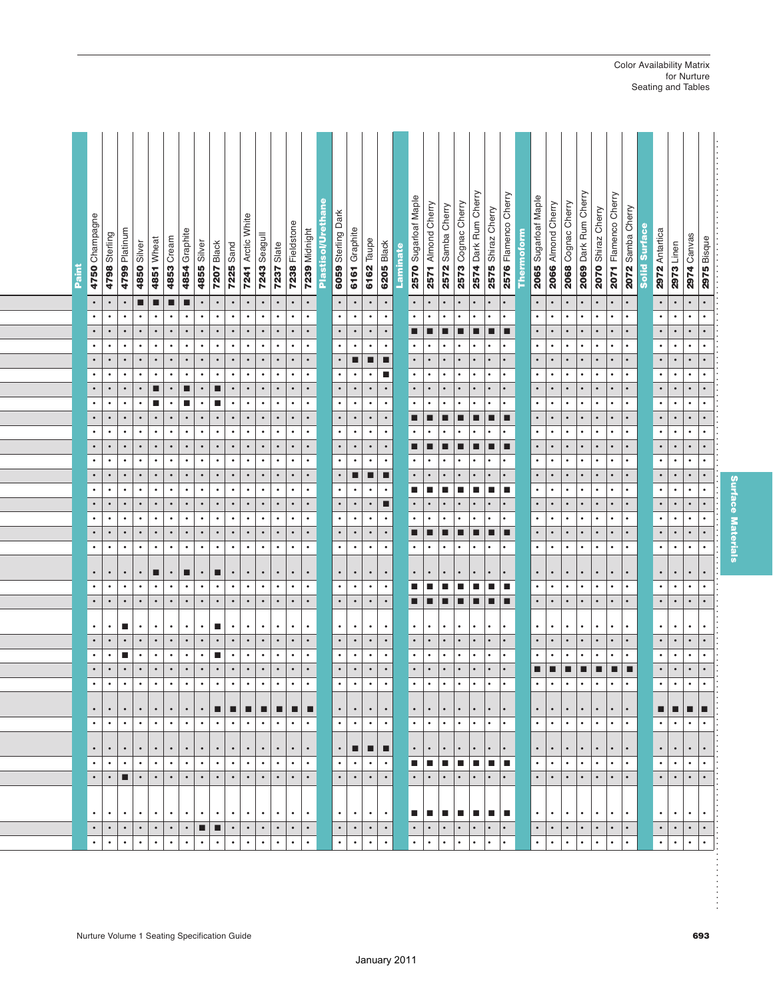| Paint | 4750 Champagne         | 4798 Sterling          | 4799 Platinum          | 4850 Silver            | 4851 Wheat             | 4853 Cream             | 4854 Graphite          | <b>4855 Silver</b>     | 7207 Black             | 7225 Sand              | 7241 Arctic White      | 7243 Seagull           | 7237 Slate             | 7238 Fieldstone        | 7239 Midnight          | Plastisol/Urethane | 6059 Sterling Dark     | 6161 Graphite  | 6162 Taupe     | 6205 Black     | Laminate | 2570 Sugarloaf Maple   | 2571 Almond Cherry          | 2572 Samba Cherry | 2573 Cognac Cherry          | 2574 Dark Rum Cherry | 2575 Shiraz Cherry | 2576 Flamenco Cherry | Thermoform | 2065 Sugarloaf Maple   | 2066 Almond Cherry     | 2068 Cognac Cherry     | 2069 Dark Rum Cherr    | 2070 Shiraz Cherry | 2071 Flamenco Cherry | 2072 Samba Cherry      | Surfa<br>Solid | 2972 Antartica         | 2973 Linen             | 2974 Canvas    | 2975 Bisque |
|-------|------------------------|------------------------|------------------------|------------------------|------------------------|------------------------|------------------------|------------------------|------------------------|------------------------|------------------------|------------------------|------------------------|------------------------|------------------------|--------------------|------------------------|----------------|----------------|----------------|----------|------------------------|-----------------------------|-------------------|-----------------------------|----------------------|--------------------|----------------------|------------|------------------------|------------------------|------------------------|------------------------|--------------------|----------------------|------------------------|----------------|------------------------|------------------------|----------------|-------------|
|       | $\bullet$              |                        | $\bullet$              | □                      | ■                      | П                      | П                      | $\bullet$              | $\bullet$              | $\bullet$              | $\bullet$              | $\bullet$              | $\bullet$              | $\bullet$              | $\bullet$              |                    | $\bullet$              | $\bullet$      | $\bullet$      | $\bullet$      |          | $\bullet$              | $\bullet$                   | $\bullet$         | $\bullet$                   |                      |                    | $\bullet$            |            | $\bullet$              | $\bullet$              | $\bullet$              | $\bullet$              | $\bullet$          | $\bullet$            | $\bullet$              |                | $\bullet$              |                        | $\bullet$      | $\bullet$   |
|       | $\bullet$              | $\bullet$              | $\bullet$              | $\bullet$              | $\bullet$              | $\bullet$              | $\bullet$              | $\bullet$              | $\bullet$              | $\bullet$              | $\bullet$              | $\bullet$              | $\bullet$              | $\bullet$              | $\bullet$              |                    | $\bullet$              | $\bullet$      | $\bullet$      | $\bullet$      |          | $\bullet$              | ٠                           | $\bullet$         | $\bullet$                   | ٠                    | ٠                  | ۰                    |            | $\bullet$              | $\bullet$              | $\bullet$              | $\bullet$              | $\bullet$          | $\bullet$            | $\bullet$              |                | $\bullet$              | $\bullet$              | ٠              | $\bullet$   |
|       | $\bullet$              | $\bullet$              | $\bullet$              | $\bullet$              | $\bullet$              | $\bullet$              | $\bullet$              | $\bullet$              | $\bullet$              | $\bullet$              | $\bullet$              | $\bullet$              | $\bullet$              | $\bullet$              | $\bullet$              |                    | $\bullet$              | $\bullet$      | $\bullet$      | $\bullet$      |          | ■                      | $\blacksquare$              | ■                 | □                           | ■                    | ■                  | ■                    |            | $\bullet$              | $\bullet$              | $\bullet$              | $\bullet$              | $\bullet$          | $\bullet$            | $\bullet$              |                | $\bullet$              | $\bullet$              | $\bullet$      | $\bullet$   |
|       | $\bullet$              |                        |                        |                        | $\bullet$              | $\bullet$              | $\bullet$              | $\bullet$              | $\bullet$              | $\bullet$              |                        | $\bullet$              | $\bullet$              | $\bullet$              | $\bullet$              |                    | $\bullet$              | $\bullet$      | ٠              | $\bullet$      |          | $\bullet$              |                             |                   |                             |                      |                    |                      |            | $\bullet$              | ٠                      |                        |                        | ٠                  | $\bullet$            | $\bullet$              |                | $\bullet$              |                        | ٠              |             |
|       | $\bullet$              | $\bullet$              | $\bullet$              | $\bullet$              | $\bullet$              | $\bullet$              | $\bullet$              | $\bullet$              | $\bullet$              | $\bullet$              | $\bullet$              | $\bullet$              | $\bullet$              | $\bullet$              | $\bullet$              |                    | $\bullet$              | П              | ■              | п              |          | $\bullet$              | $\bullet$                   | $\bullet$         | $\bullet$                   | $\bullet$            |                    | $\bullet$            |            | $\bullet$              | $\bullet$              | $\bullet$              | $\bullet$              | $\bullet$          | $\bullet$            | $\bullet$              |                | $\bullet$              | $\bullet$              | $\bullet$      | $\bullet$   |
|       | $\bullet$              | $\bullet$              | $\bullet$              | $\bullet$              | $\bullet$              | $\bullet$              | $\bullet$              | $\bullet$              | $\bullet$              | $\bullet$              | $\bullet$              | $\bullet$              | $\bullet$              | $\bullet$              | $\bullet$              |                    | $\bullet$              | $\bullet$      | ٠              | ш              |          | $\bullet$              | $\bullet$                   | $\bullet$         | $\bullet$                   |                      |                    | ۰                    |            | $\bullet$              | $\bullet$              | $\bullet$              | $\bullet$              | ٠                  | $\bullet$            | $\bullet$              |                | $\bullet$              | $\bullet$              | $\bullet$      | $\bullet$   |
|       | $\bullet$              | $\bullet$              | $\bullet$              | $\bullet$              | П                      | $\bullet$              | ■                      | $\bullet$              | ■                      | $\bullet$              | $\bullet$              | $\bullet$              | $\bullet$              | $\bullet$              | $\bullet$              |                    | $\bullet$              | $\bullet$      | $\bullet$      | $\bullet$      |          | $\bullet$              | $\bullet$                   | $\bullet$         | $\bullet$                   | $\bullet$            |                    | $\bullet$            |            | $\bullet$              | $\bullet$              | $\bullet$              | $\bullet$              | $\bullet$          | $\bullet$            | $\bullet$              |                | $\bullet$              | $\bullet$              | $\bullet$      | $\bullet$   |
|       | $\bullet$              | $\bullet$              | $\bullet$              | $\bullet$              | $\blacksquare$         | $\bullet$              | $\blacksquare$         | $\bullet$              | $\blacksquare$         | $\bullet$              | $\bullet$              | $\bullet$              | $\bullet$              | $\bullet$              | $\bullet$              |                    | $\bullet$              | $\bullet$      | $\bullet$      | $\bullet$      |          | $\bullet$              | $\bullet$                   | ٠                 | $\bullet$                   |                      |                    |                      |            | $\bullet$              | ٠                      | $\bullet$              | ٠                      | ٠                  | $\bullet$            | $\bullet$              |                | $\bullet$              | $\bullet$              | ٠              | $\bullet$   |
|       | $\bullet$              |                        | $\bullet$              | $\bullet$              | $\bullet$              | $\bullet$              | $\bullet$              | $\bullet$              | $\bullet$              | $\bullet$              | $\bullet$              | $\bullet$              | $\bullet$              | $\bullet$              | $\bullet$              |                    | $\bullet$              | $\bullet$      | $\bullet$      | $\bullet$      |          | П                      | ■                           |                   | ■                           | ■                    | П                  | П                    |            | $\bullet$              | $\bullet$              | $\bullet$              | $\bullet$              | $\bullet$          | $\bullet$            | $\bullet$              |                | $\bullet$              |                        | $\bullet$      | $\bullet$   |
|       | $\bullet$              | ٠                      | $\bullet$              | $\bullet$              | $\bullet$              | $\bullet$              | $\bullet$              | $\bullet$              | $\bullet$              | $\bullet$              | $\bullet$              | $\bullet$              | $\bullet$              | $\bullet$              | $\bullet$              |                    | $\bullet$              | $\bullet$      | $\bullet$      | $\bullet$      |          | $\bullet$              | $\bullet$                   | ٠                 | ٠                           |                      |                    |                      |            | $\bullet$              | ٠                      | $\bullet$              | ٠                      | ٠                  | $\bullet$            | $\bullet$              |                | $\bullet$              | $\bullet$              | ٠              | $\bullet$   |
|       | $\bullet$              |                        |                        | $\bullet$              | $\bullet$              | $\bullet$              | $\bullet$              | $\bullet$              | $\bullet$              | $\bullet$              | $\bullet$              | $\bullet$              | $\bullet$              | $\bullet$              | $\bullet$              |                    | $\bullet$              | $\bullet$      | $\bullet$      | $\bullet$      |          | П                      | ■                           | П                 | □                           | ■                    | П                  | П                    |            | $\bullet$              |                        | $\bullet$              | $\bullet$              | $\bullet$          | $\bullet$            | $\bullet$              |                | $\bullet$              |                        | $\bullet$      | $\bullet$   |
|       | $\bullet$<br>$\bullet$ | $\bullet$<br>$\bullet$ | $\bullet$<br>$\bullet$ | $\bullet$<br>$\bullet$ | $\bullet$<br>$\bullet$ | $\bullet$<br>$\bullet$ | $\bullet$<br>$\bullet$ | $\bullet$<br>$\bullet$ | $\bullet$<br>$\bullet$ | $\bullet$<br>$\bullet$ | $\bullet$<br>$\bullet$ | $\bullet$<br>$\bullet$ | $\bullet$<br>$\bullet$ | $\bullet$<br>$\bullet$ | $\bullet$<br>$\bullet$ |                    | $\bullet$<br>$\bullet$ | $\bullet$<br>■ | $\bullet$<br>▉ | $\bullet$<br>■ |          | $\bullet$<br>$\bullet$ | ٠<br>$\bullet$              | ٠<br>$\bullet$    | ٠<br>$\bullet$              | $\bullet$            |                    |                      |            | $\bullet$<br>$\bullet$ | $\bullet$<br>$\bullet$ | $\bullet$<br>$\bullet$ | $\bullet$<br>$\bullet$ | ٠<br>$\bullet$     | ٠<br>$\bullet$       | $\bullet$<br>$\bullet$ |                | $\bullet$<br>$\bullet$ | $\bullet$<br>$\bullet$ | ٠<br>$\bullet$ | $\bullet$   |
|       | $\bullet$              |                        |                        |                        | $\bullet$              | $\bullet$              | $\bullet$              | $\bullet$              | $\bullet$              | $\bullet$              |                        | $\bullet$              | $\bullet$              | $\bullet$              | $\bullet$              |                    | $\bullet$              | $\bullet$      | $\bullet$      | $\bullet$      |          | П                      | П                           | П                 | ■                           | ■                    | $\blacksquare$     | $\blacksquare$       |            | $\bullet$              | ٠                      |                        |                        | ٠                  | ٠                    | ۰                      |                | $\bullet$              |                        | ٠              |             |
|       | $\bullet$              | $\bullet$              | $\bullet$              | $\bullet$              | $\bullet$              | $\bullet$              | $\bullet$              | $\bullet$              | $\bullet$              | $\bullet$              | $\bullet$              | $\bullet$              | $\bullet$              | $\bullet$              | $\bullet$              |                    | $\bullet$              | $\bullet$      | $\bullet$      | ■              |          | $\bullet$              | $\bullet$                   | $\bullet$         | $\bullet$                   | $\bullet$            |                    | $\bullet$            |            | $\bullet$              | $\bullet$              | $\bullet$              | $\bullet$              | $\bullet$          | $\bullet$            | $\bullet$              |                | $\bullet$              | $\bullet$              | $\bullet$      | $\bullet$   |
|       | $\bullet$              | $\bullet$              | $\bullet$              | $\bullet$              | $\bullet$              | $\bullet$              | $\bullet$              | $\bullet$              | $\bullet$              | $\bullet$              | $\bullet$              | $\bullet$              | $\bullet$              | $\bullet$              | $\bullet$              |                    | $\bullet$              | $\bullet$      | $\bullet$      | $\bullet$      |          | $\bullet$              | ٠                           | $\bullet$         | $\bullet$                   |                      |                    | ۰                    |            | $\bullet$              | $\bullet$              | $\bullet$              | ٠                      | ٠                  | $\bullet$            | $\bullet$              |                | $\bullet$              | $\bullet$              | $\bullet$      | $\bullet$   |
|       | $\bullet$              | $\bullet$              | $\bullet$              | $\bullet$              | $\bullet$              | $\bullet$              | $\bullet$              | $\bullet$              | $\bullet$              | $\bullet$              | $\bullet$              | $\bullet$              | $\bullet$              | $\bullet$              | $\bullet$              |                    | $\bullet$              | $\bullet$      | $\bullet$      | $\bullet$      |          | ■                      | ■                           | П                 | ■                           | ▁                    | ■                  | $\blacksquare$       |            | $\bullet$              | $\bullet$              | $\bullet$              | $\bullet$              | $\bullet$          | $\bullet$            | $\bullet$              |                | $\bullet$              | $\bullet$              | $\bullet$      | $\bullet$   |
|       | $\bullet$              | ٠                      | $\bullet$              | $\bullet$              | $\bullet$              | $\bullet$              | $\bullet$              | $\bullet$              | $\bullet$              | $\bullet$              | $\bullet$              | $\bullet$              | $\bullet$              | $\bullet$              | $\bullet$              |                    | $\bullet$              | $\bullet$      | $\bullet$      | $\bullet$      |          | $\bullet$              | $\bullet$                   | ٠                 | ۰                           |                      |                    |                      |            | $\bullet$              | ٠                      | $\bullet$              | ٠                      | ٠                  | $\bullet$            | $\bullet$              |                | $\bullet$              | $\bullet$              | ٠              | $\bullet$   |
|       |                        |                        |                        |                        |                        |                        |                        |                        |                        |                        |                        |                        |                        |                        |                        |                    |                        |                |                |                |          |                        |                             |                   |                             |                      |                    |                      |            |                        |                        |                        |                        |                    |                      |                        |                |                        |                        |                |             |
|       | $\bullet$              | $\bullet$              |                        | $\bullet$              | П                      | $\bullet$              | □                      | $\bullet$              | П                      | $\bullet$              |                        | $\bullet$              | $\bullet$              |                        | $\bullet$              |                    | $\bullet$              |                | $\bullet$      | $\bullet$      |          | $\bullet$              |                             |                   |                             |                      |                    |                      |            | $\bullet$              |                        | $\bullet$              |                        | $\bullet$          | $\bullet$            | $\bullet$              |                | $\bullet$              |                        | $\bullet$      | $\bullet$   |
|       | $\bullet$              | ٠                      | $\bullet$              | $\bullet$              | $\bullet$              | $\bullet$              | $\bullet$              | $\bullet$              | $\bullet$              | $\bullet$              | $\bullet$              | $\bullet$              | $\bullet$              | $\bullet$              | $\bullet$              |                    | $\bullet$              | $\bullet$      | $\bullet$      | $\bullet$      |          | ▉                      | ■                           | ш                 | ■                           | ш                    | $\blacksquare$     | $\blacksquare$       |            | $\bullet$              | ٠                      | $\bullet$              | ٠                      | ٠                  | $\bullet$            | $\bullet$              |                | $\bullet$              |                        | $\bullet$      | $\bullet$   |
|       | $\bullet$              | $\bullet$              | $\bullet$              | $\bullet$              | $\bullet$              | $\bullet$              | $\bullet$              | $\bullet$              | $\bullet$              | $\bullet$              | $\bullet$              | $\bullet$              | $\bullet$              | $\bullet$              | $\bullet$              |                    | $\bullet$              | $\bullet$      | $\bullet$      | $\bullet$      |          | ■                      | ■                           | ■                 | ■                           | ш                    | ■                  | $\blacksquare$       |            | $\bullet$              | $\bullet$              | $\bullet$              | $\bullet$              | $\bullet$          | $\bullet$            | $\bullet$              |                | $\bullet$              | $\bullet$              | $\bullet$      | $\bullet$   |
|       | $\bullet$              | $\bullet$              | $\blacksquare$         |                        | $\bullet$              | $\bullet$              | $\bullet$              | $\bullet$              | Е                      | $\bullet$              | $\bullet$              | $\bullet$              | $\bullet$              |                        | $\bullet$              |                    | $\bullet$              |                | $\bullet$      | $\bullet$      |          | $\bullet$              | $\bullet$                   | $\bullet$         |                             |                      |                    |                      |            | ٠                      | ٠                      |                        |                        | ۰                  | $\bullet$            | ۰                      |                | $\bullet$              |                        | ٠              | $\bullet$   |
|       | $\bullet$              | $\bullet$              | $\bullet$              | $\bullet$              | $\bullet$              | $\bullet$              | $\bullet$              | $\bullet$              | $\bullet$              | $\bullet$              | $\bullet$              | $\bullet$              | $\bullet$              | $\bullet$              | $\bullet$              |                    | $\bullet$              | $\bullet$      | $\bullet$      | $\bullet$      |          | $\bullet$              | $\bullet$                   | $\bullet$         | $\bullet$                   | $\bullet$            |                    | $\bullet$            |            | $\bullet$              | $\bullet$              | $\bullet$              | $\bullet$              | $\bullet$          | $\bullet$            | $\bullet$              |                | $\bullet$              | $\bullet$              | $\bullet$      | $\bullet$   |
|       | $\bullet$              | $\bullet$              | $\blacksquare$         | $\bullet$              | $\bullet$              | $\bullet$              | $\bullet$              | $\bullet$              | ш                      | $\bullet$              | $\bullet$              | $\bullet$              | $\bullet$              | $\bullet$              | $\bullet$              |                    | $\bullet$              | $\bullet$      | $\bullet$      | $\bullet$      |          | $\bullet$              | $\bullet$                   | $\bullet$         | $\bullet$                   | ٠                    |                    | ۰                    |            | $\bullet$              | ٠                      | $\bullet$              | ٠                      | ٠                  | $\bullet$            | $\bullet$              |                | $\bullet$              | $\bullet$              | $\bullet$      | $\bullet$   |
|       | $\bullet$              |                        |                        | $\bullet$              | $\bullet$              |                        | $\bullet$              | $\bullet$              |                        | $\bullet$              | $\bullet$              | $\bullet$              | $\bullet$              | $\bullet$              | $\bullet$              |                    | $\bullet$              | $\bullet$      | $\bullet$      | $\bullet$      |          | $\bullet$              |                             | $\bullet$         | $\bullet$                   |                      |                    | $\bullet$            |            | ■                      | $\blacksquare$         | ■                      | $\blacksquare$         | ■                  | □                    | П                      |                | $\bullet$              |                        | $\bullet$      | $\bullet$   |
|       | $\bullet$              | $\bullet$              | $\bullet$              | $\bullet$              | $\bullet$              | $\bullet$              | $\bullet$              | $\bullet$              | $\bullet$              | $\bullet$              | $\bullet$              | $\bullet$              | $\bullet$              | $\bullet$              | $\bullet$              |                    | $\bullet$              | $\bullet$      | $\bullet$      | $\bullet$      |          | $\bullet$              | ٠                           | $\bullet$         | $\bullet$                   |                      |                    |                      |            | $\bullet$              | $\bullet$              | $\bullet$              |                        |                    |                      | $\bullet$              |                | $\bullet$              | $\bullet$              | $\bullet$      | $\bullet$   |
|       | $\bullet$              |                        |                        | $\bullet$              |                        | $\bullet$              | $\bullet$              | $\bullet$              | П                      |                        |                        |                        | П                      | ■                      | п                      |                    | $\bullet$              |                | $\bullet$      | $\bullet$      |          | $\bullet$              |                             |                   |                             |                      |                    | $\bullet$            |            | $\bullet$              |                        |                        |                        |                    |                      |                        |                |                        |                        |                | П           |
|       | $\bullet$              | $\bullet$              | $\bullet$              | $\bullet$              | $\bullet$              | $\bullet$              | $\bullet$              | $\bullet$              |                        | $\bullet$              |                        |                        |                        | $\bullet$              | $\bullet$              |                    | $\bullet$              | $\bullet$      | $\bullet$      | $\bullet$      |          | $\bullet$              | $\bullet$                   | $\bullet$         | $\bullet$                   | $\bullet$            | $\bullet$          | $\bullet$            |            | $\bullet$              | $\bullet$              | $\bullet$              | $\bullet$              | $\bullet$          | $\bullet$            | $\bullet$              |                |                        |                        |                | $\bullet$   |
|       |                        |                        |                        |                        |                        |                        |                        |                        |                        |                        |                        |                        |                        |                        |                        |                    |                        |                |                |                |          |                        |                             |                   |                             |                      |                    |                      |            |                        |                        |                        |                        |                    |                      |                        |                |                        |                        |                |             |
|       | $\bullet$              | $\bullet$              | $\bullet$              | $\bullet$              | $\bullet$              | $\bullet$              | $\bullet$              | $\bullet$              | $\bullet$              | $\bullet$              | $\bullet$              | $\bullet$              | $\bullet$              | $\bullet$              | $\bullet$              |                    | $\bullet$              | п              | п              | п              |          | $\bullet$              | $\bullet$                   | $\bullet$         |                             |                      |                    | $\bullet$            |            | $\bullet$              | $\bullet$              | $\bullet$              | $\bullet$              | $\bullet$          | $\bullet$            | $\bullet$              |                | $\bullet$              | $\bullet$              | $\bullet$      | $\bullet$   |
|       | $\bullet$              |                        |                        |                        | $\bullet$              | $\bullet$              | $\bullet$              | $\bullet$              | $\bullet$              | $\bullet$              |                        | $\bullet$              | $\bullet$              | $\bullet$              | $\bullet$              |                    | $\bullet$              |                |                | $\bullet$      |          | П                      | <b>The State</b>            | ш                 | $\mathcal{L}_{\mathcal{A}}$ | <b>The State</b>     | $\blacksquare$     | П                    |            | $\bullet$              | $\bullet$              |                        |                        |                    |                      | $\bullet$              |                | $\bullet$              | $\bullet$              |                | $\bullet$   |
|       | $\bullet$              | $\bullet$              | п                      | $\bullet$              | $\bullet$              | $\bullet$              | $\bullet$              | $\bullet$              | $\bullet$              | $\bullet$              |                        | $\bullet$              | $\bullet$              | $\bullet$              | $\bullet$              |                    | $\bullet$              | $\bullet$      | $\bullet$      | $\bullet$      |          | $\bullet$              |                             | $\bullet$         |                             |                      |                    | $\bullet$            |            | $\bullet$              | $\bullet$              | $\bullet$              | $\bullet$              | $\bullet$          | $\bullet$            |                        |                | $\bullet$              | $\bullet$              | $\bullet$      |             |
|       |                        |                        |                        |                        |                        |                        |                        |                        |                        |                        |                        |                        |                        |                        |                        |                    |                        |                |                |                |          |                        |                             |                   |                             |                      |                    |                      |            |                        |                        |                        |                        |                    |                      |                        |                |                        |                        |                |             |
|       | $\bullet$              | $\bullet$              | $\bullet$              | $\bullet$              | $\bullet$              | $\bullet$              | $\bullet$              | $\bullet$              | $\bullet$              | $\bullet$              | $\bullet$              | $\bullet$              | $\bullet$              | $\bullet$              | $\bullet$              |                    | $\bullet$              | $\bullet$      | $\bullet$      | $\bullet$      |          | ш.                     | $\mathcal{L}_{\mathcal{A}}$ | п                 | $\blacksquare$              | <b>The State</b>     | ш                  | П                    |            | $\bullet$              | $\bullet$              | $\bullet$              | $\bullet$              | $\bullet$          | $\bullet$            | $\bullet$              |                | $\bullet$              | $\bullet$              | $\bullet$      | $\bullet$   |
|       | $\bullet$              | $\bullet$              | $\bullet$              | $\bullet$              | $\bullet$              | $\bullet$              | $\bullet$              | п                      | п                      | $\bullet$              | $\bullet$              | $\bullet$              | $\bullet$              | $\bullet$              | $\bullet$              |                    | $\bullet$              | $\bullet$      | $\bullet$      | $\bullet$      |          | $\bullet$              |                             |                   | $\bullet$                   |                      |                    |                      |            | $\bullet$              | $\bullet$              | $\bullet$              | $\bullet$              | $\bullet$          | $\bullet$            | $\bullet$              |                | $\bullet$              | $\bullet$              | $\bullet$      | $\bullet$   |
|       | $\bullet$              | $\bullet$              | $\bullet$              | $\bullet$              | $\bullet$              | $\bullet$              | $\bullet$              | $\bullet$              | $\bullet$              | $\bullet$              | $\bullet$              | $\bullet$              | $\bullet$              | $\bullet$              | $\bullet$              |                    | $\bullet$              | $\bullet$      | $\bullet$      | $\bullet$      |          | $\bullet$              | $\bullet$                   | $\bullet$         | $\bullet$                   | $\bullet$            | $\bullet$          |                      |            | $\bullet$              | $\bullet$              | $\bullet$              | $\bullet$              | $\bullet$          | $\bullet$            | $\bullet$              |                | $\bullet$              | $\bullet$              | $\bullet$      |             |
|       |                        |                        |                        |                        |                        |                        |                        |                        |                        |                        |                        |                        |                        |                        |                        |                    |                        |                |                |                |          |                        |                             |                   |                             |                      |                    |                      |            |                        |                        |                        |                        |                    |                      |                        |                |                        |                        |                |             |

**Surface Materials**

**Surface Materials**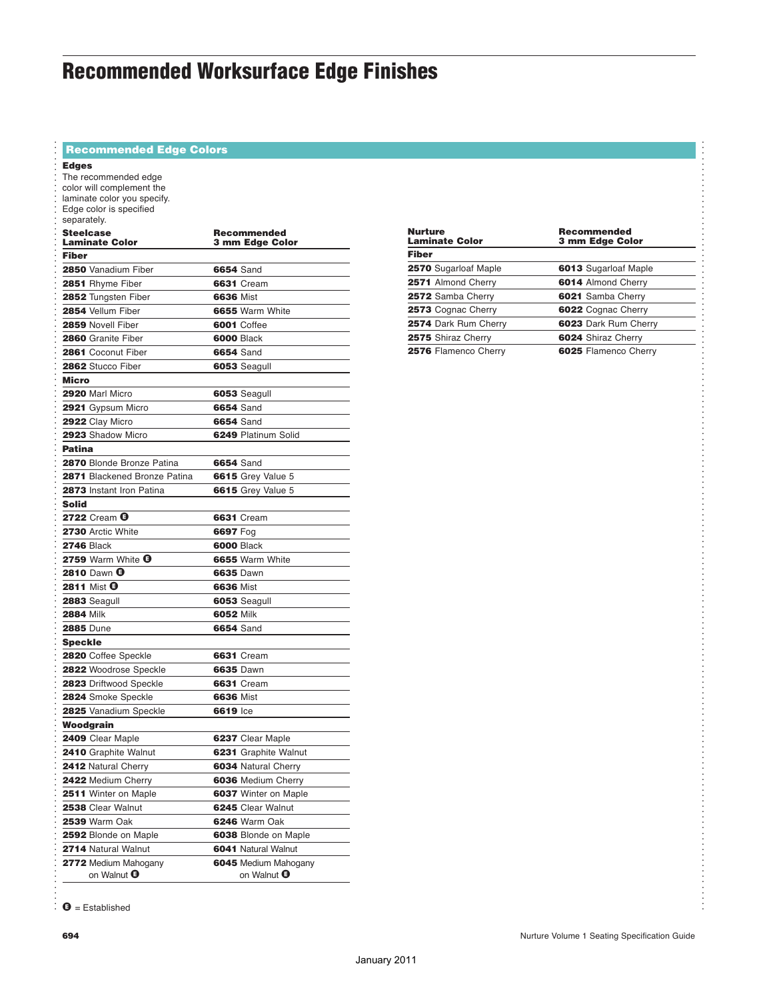## <span id="page-21-0"></span>**Recommended Worksurface Edge Finishes**

## .<br>**Recommended Edge Colors**

| <b>Edges</b>                           |                  |                          |
|----------------------------------------|------------------|--------------------------|
| The recommended edge                   |                  |                          |
| color will complement the              |                  |                          |
| laminate color you specify.            |                  |                          |
| Edge color is specified<br>separately. |                  |                          |
| <b>Steelcase</b>                       |                  | Recommended              |
| <b>Laminate Color</b>                  |                  | 3 mm Edge Color          |
| Fiber                                  |                  |                          |
| 2850 Vanadium Fiber                    | <b>6654 Sand</b> |                          |
| 2851 Rhyme Fiber                       |                  | <b>6631</b> Cream        |
| 2852 Tungsten Fiber                    | <b>6636 Mist</b> |                          |
| 2854 Vellum Fiber                      |                  | 6655 Warm White          |
| 2859 Novell Fiber                      |                  | 6001 Coffee              |
| 2860 Granite Fiber                     |                  | <b>6000 Black</b>        |
| 2861 Coconut Fiber                     | <b>6654 Sand</b> |                          |
| 2862 Stucco Fiber                      |                  | 6053 Seagull             |
| <b>Micro</b>                           |                  |                          |
| 2920 Marl Micro                        |                  | 6053 Seagull             |
| 2921 Gypsum Micro                      | <b>6654 Sand</b> |                          |
| 2922 Clay Micro                        | <b>6654 Sand</b> |                          |
| 2923 Shadow Micro                      |                  | 6249 Platinum Solid      |
| <b>Patina</b>                          |                  |                          |
| 2870 Blonde Bronze Patina              | <b>6654 Sand</b> |                          |
| 2871 Blackened Bronze Patina           |                  | 6615 Grey Value 5        |
| 2873 Instant Iron Patina               |                  | <b>6615</b> Grey Value 5 |
| Solid                                  |                  |                          |
| 2722 Cream $\bm{\Theta}$               |                  | <b>6631</b> Cream        |
| 2730 Arctic White                      | 6697 Fog         |                          |
| <b>2746 Black</b>                      |                  | <b>6000 Black</b>        |
| 2759 Warm White <b>O</b>               |                  | 6655 Warm White          |
| 2810 Dawn <sup>+</sup>                 |                  | <b>6635</b> Dawn         |
| 2811 Mist <sup>@</sup>                 | <b>6636 Mist</b> |                          |
| 2883 Seagull                           |                  | 6053 Seagull             |
| <b>2884 Milk</b>                       | <b>6052 Milk</b> |                          |
| 2885 Dune                              | <b>6654 Sand</b> |                          |
| <b>Speckle</b>                         |                  |                          |
| 2820 Coffee Speckle                    |                  | <b>6631</b> Cream        |
| 2822 Woodrose Speckle                  |                  | <b>6635 Dawn</b>         |
| 2823 Driftwood Speckle                 |                  | <b>6631</b> Cream        |
| 2824 Smoke Speckle                     | <b>6636 Mist</b> |                          |
| 2825 Vanadium Speckle                  | 6619 Ice         |                          |
| Woodgrain                              |                  |                          |
| 2409 Clear Maple                       |                  | 6237 Clear Maple         |
| 2410 Graphite Walnut                   |                  | 6231 Graphite Walnut     |
| 2412 Natural Cherry                    |                  | 6034 Natural Cherry      |
| 2422 Medium Cherry                     |                  | 6036 Medium Cherry       |
| 2511 Winter on Maple                   |                  | 6037 Winter on Maple     |
| 2538 Clear Walnut                      |                  | 6245 Clear Walnut        |
| <b>2539 Warm Oak</b>                   |                  | <b>6246</b> Warm Oak     |
| 2592 Blonde on Maple                   |                  | 6038 Blonde on Maple     |
| 2714 Natural Walnut                    |                  | 6041 Natural Walnut      |
| 2772 Medium Mahogany                   |                  | 6045 Medium Mahogany     |
| on Walnut <sup>O</sup>                 |                  | on Walnut <sup>O</sup>   |

**Nurture Recommended Laminate Color 3 mm Edge Color Fiber** Sugarloaf Maple **6013** Sugarloaf Maple Almond Cherry **6014** Almond Cherry Samba Cherry **6021** Samba Cherry Cognac Cherry **6022** Cognac Cherry Dark Rum Cherry **6023** Dark Rum Cherry Shiraz Cherry **6024** Shiraz Cherry Flamenco Cherry **6025** Flamenco Cherry

. . . . . . . . . . . . . . . . . . . . . . . . . . . . . . . . . . . . . . . . . . . . . . . . . . . . . . . . . . . . . . . . . . . . . . . . . . . . . . . . . . . . . . . . . . . . . . . . . . . . . . . . . . . . . . . . . . . . . . . . . . . . . . . . . . . . . . . . . . . . .

 $\mathbf \Theta = \mathsf{Estabilished}$  . The stablished is a set of the stabilished in the stabilished in the stabilished in the stabilished in the stabilished in the stabilished in the stabilished in the stabilished in the stabilished in the

. . . . .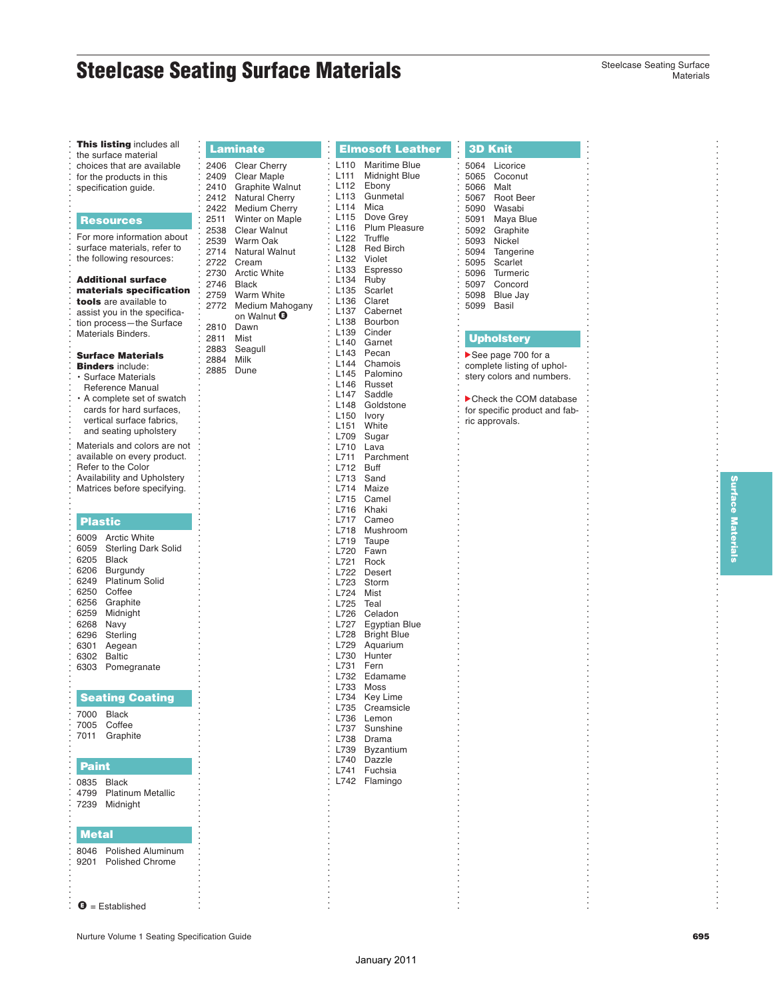## <span id="page-22-0"></span>**Steelcase Seating Surface Materials**

. . . . . . . . . . . . . . . . . . . . . . . . . . . . . . . . . . . . . . . . . . . . . . . . . . . . . . . . . . . . . . . . . . . . . . . . . . . . . . . . . . . . . . . . . . . . . . . . . . . . . . . . . . . . . . . . . . . . . . . . . . . . . . . . . . . . . . . . . . . . . . .

| This listing includes all                           |              | <b>Laminate</b>    |
|-----------------------------------------------------|--------------|--------------------|
| the surface material                                |              |                    |
| choices that are available                          | 2406         | Clear <sup>(</sup> |
| for the products in this                            | 2409         | Clear I            |
| specification guide.                                | 2410         | Graph              |
|                                                     | 2412         | Natura             |
|                                                     | 2422         | Mediu<br>Winter    |
| <b>Resources</b>                                    | 2511<br>2538 | Clear <sup>1</sup> |
| For more information about                          | 2539         | Warm               |
| surface materials, refer to                         | 2714         | Natura             |
| the following resources:                            | 2722         | Cream              |
|                                                     | 2730         | Arctic             |
| <b>Additional surface</b>                           | 2746         | Black              |
| materials specification                             | 2759         | Warm               |
| tools are available to                              | 2772         | Mediu              |
| assist you in the specifica-                        |              | on Wa              |
| tion process-the Surface                            | 2810         | Dawn               |
| Materials Binders.                                  | 2811         | Mist               |
|                                                     | 2883         | Seagu              |
| <b>Surface Materials</b><br><b>Binders include:</b> | 2884         | Milk               |
| · Surface Materials                                 | 2885         | Dune               |
| Reference Manual                                    |              |                    |
| • A complete set of swatch                          |              |                    |
| cards for hard surfaces,                            |              |                    |
| vertical surface fabrics,                           |              |                    |
| and seating upholstery                              |              |                    |
|                                                     |              |                    |
| Materials and colors are not                        |              |                    |
| available on every product.<br>Refer to the Color   |              |                    |
| Availability and Upholstery                         |              |                    |
| Matrices before specifying.                         |              |                    |
|                                                     |              |                    |
|                                                     |              |                    |
| <b>Plastic</b>                                      |              |                    |
|                                                     |              |                    |
| Arctic White<br>6009                                |              |                    |
| 6059<br><b>Sterling Dark Solid</b>                  |              |                    |
| <b>Black</b><br>6205                                |              |                    |
| Burgundy<br>6206<br><b>Platinum Solid</b><br>6249   |              |                    |
| 6250<br>Coffee                                      |              |                    |
| Graphite<br>6256                                    |              |                    |
| Midnight<br>6259                                    |              |                    |
| 6268<br>Navy                                        |              |                    |
| Sterling<br>6296                                    |              |                    |
| 6301<br>Aegean                                      |              |                    |
| 6302<br><b>Baltic</b>                               |              |                    |
| 6303<br>Pomegranate                                 |              |                    |
|                                                     |              |                    |
|                                                     |              |                    |
| <b>Seating Coating</b>                              |              |                    |
| 7000<br>Black                                       |              |                    |
| Coffee<br>7005                                      |              |                    |
| 7011<br>Graphite                                    |              |                    |
|                                                     |              |                    |
| <b>Paint</b>                                        |              |                    |
|                                                     |              |                    |
| 0835<br><b>Black</b><br>4799                        |              |                    |
| <b>Platinum Metallic</b><br>Midnight                |              |                    |
| 7239                                                |              |                    |
|                                                     |              |                    |
| <b>Metal</b>                                        |              |                    |
| <b>Polished Aluminum</b><br>8046                    |              |                    |
| <b>Polished Chrome</b><br>9201                      |              |                    |
|                                                     |              |                    |
|                                                     |              |                    |
|                                                     |              |                    |
| $\mathbf{\Theta}$ = Established                     |              |                    |

| ate                                                                                                                                                                                                                                                         |                                                                                                                                                                                                                                                                                                                                                                                                                                                                                                              | <b>Elmosoft Leather</b>                                                                                                                                                                                                                                                                                                                                                                                                                                                                                                                                                                                                                                                                                       |
|-------------------------------------------------------------------------------------------------------------------------------------------------------------------------------------------------------------------------------------------------------------|--------------------------------------------------------------------------------------------------------------------------------------------------------------------------------------------------------------------------------------------------------------------------------------------------------------------------------------------------------------------------------------------------------------------------------------------------------------------------------------------------------------|---------------------------------------------------------------------------------------------------------------------------------------------------------------------------------------------------------------------------------------------------------------------------------------------------------------------------------------------------------------------------------------------------------------------------------------------------------------------------------------------------------------------------------------------------------------------------------------------------------------------------------------------------------------------------------------------------------------|
| ear Cherry<br>ear Maple<br>aphite Walnut<br>tural Cherry<br>edium Cherry<br>nter on Maple<br>ear Walnut<br>arm Oak<br>ıtural Walnut<br>eam<br>ctic White<br>ack<br>arm White<br>edium Mahogany<br>Walnut <b>O</b><br>เพท<br>st<br>agull<br>lk<br><b>Ine</b> | L110<br>L111<br>L112<br>L113<br>L114<br>L <sub>115</sub><br>L116<br>L122<br>L128<br>L132<br>L133<br>L134<br>L135<br>L <sub>136</sub><br>L137<br>L138<br>L139<br>L140<br>L144<br>L145<br>L146<br>L147<br>L148<br>L150<br>L151<br>L709<br>L710<br>L711<br>L712<br>L713<br>L714<br>L715<br>L716<br>L717<br>L718<br>L719<br>L720<br>L721<br>L722<br>L723<br>L724<br>L725<br>L726<br>L727<br>L728<br>L729<br>L730<br>L731<br>L732<br>L733<br>L734<br>L735<br>L736<br>L737<br>L738<br>L739<br>L740<br>L741<br>L742 | Maritime Blue<br>Midnight Blue<br>Ebony<br>Gunmetal<br>Mica<br>Dove Grey<br><b>Plum Pleasure</b><br>Truffle<br><b>Red Birch</b><br>Violet<br>Espresso<br>Ruby<br>Scarlet<br>Claret<br>Cabernet<br>Bourbon<br>Cinder<br>Garnet<br>L143 Pecan<br>Chamois<br>Palomino<br>Russet<br>Saddle<br>Goldstone<br>Ivory<br>White<br>Sugar<br>Lava<br>Parchment<br><b>Buff</b><br>Sand<br>Maize<br>Camel<br>Khaki<br>Cameo<br>Mushroom<br>Taupe<br>Fawn<br>Rock<br><b>Desert</b><br>Storm<br>Mist<br>Teal<br>Celadon<br>Egyptian Blue<br><b>Bright Blue</b><br>Aquarium<br>Hunter<br>Fern<br>Edamame<br>Moss<br><b>Key Lime</b><br>Creamsicle<br>Lemon<br>Sunshine<br>Drama<br>Byzantium<br>Dazzle<br>Fuchsia<br>Flamingo |

|                                  |                                                                                        | <b>3D Knit</b>                                                                                                                   |
|----------------------------------|----------------------------------------------------------------------------------------|----------------------------------------------------------------------------------------------------------------------------------|
| $\vdots$<br>$\vdots$<br>$\vdots$ | 5064<br>5065<br>5066<br>5067<br>5090<br>5091<br>5092<br>5093<br>5094<br>5095<br>: 5096 | Licorice<br>Coconut<br>Malt<br>Root Beer<br>Wasabi<br>Maya Blue<br>Graphite<br>Nickel<br>Tangerine<br>Scarlet<br><b>Turmeric</b> |
| $\ddot{\cdot}$<br>$\vdots$       | 5097<br>5098<br>5099                                                                   | Concord<br><b>Blue Jay</b><br>Basil                                                                                              |
|                                  |                                                                                        | <b>Upholstery</b>                                                                                                                |

### **Upholstery**

. . . . . . . . . . . . . . . . . . . . . . . . . . . . . . . . . . . . . . . . . . . . . . . . . . . . . . . . . . . . . . . . . . . . . . . . . . . . . . . . . . . . . . . . . . . . . . . . . . . . . . . .  $\blacktriangleright$  See [page 700](#page-27-0) for a complete listing of upholstery colors and numbers.

 $\blacktriangleright$  Check the COM database for specific product and fabric approvals.

. . . . . . . . . . . . . . . . . . . . . . . .

. . . . . . . . . . .

. . . . . . . . . . .

.

. . . . . . . . . . . . . . . . . . . . . . . . . . . . . . . . . . . . . .

. . . . . . . . . . . . . . . . . . . . . . . . . . . . . . .

. . . . . . . . . . . . . . . . . . . . . . . . . . .

Nurture Volume 1 Seating Specification Guide **695**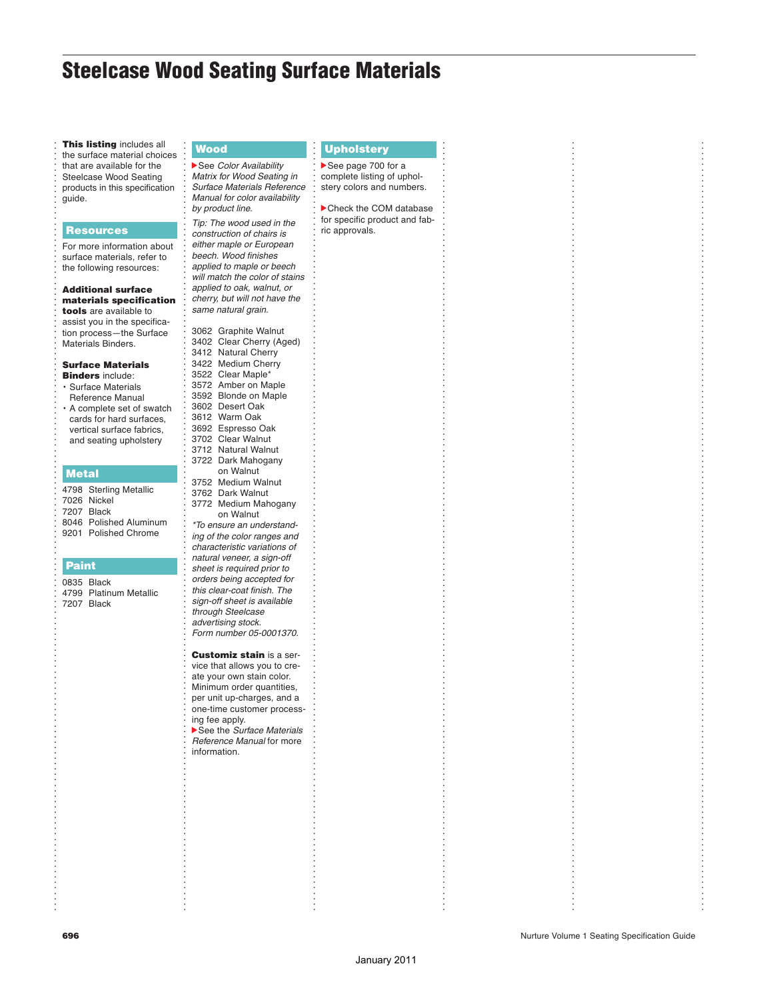# <span id="page-23-0"></span>**Steelcase Wood Seating Surface Materials**

| <b>This listing</b> includes all<br>the surface material choices               | Wood                                                                                      | <b>Upholstery</b>                                                         |  |
|--------------------------------------------------------------------------------|-------------------------------------------------------------------------------------------|---------------------------------------------------------------------------|--|
| that are available for the<br>Steelcase Wood Seating                           | See Color Availability<br>Matrix for Wood Seating in                                      | See page 700 for a<br>complete listing of uphol-                          |  |
| products in this specification<br>guide.                                       | Surface Materials Reference<br>Manual for color availability                              | stery colors and numbers.                                                 |  |
| <b>Resources</b>                                                               | by product line.<br>Tip: The wood used in the<br>construction of chairs is                | Check the COM database<br>for specific product and fab-<br>ric approvals. |  |
| For more information about<br>surface materials, refer to                      | either maple or European<br>beech. Wood finishes                                          |                                                                           |  |
| the following resources:                                                       | applied to maple or beech<br>will match the color of stains                               |                                                                           |  |
| <b>Additional surface</b><br>materials specification<br>tools are available to | applied to oak, walnut, or<br>cherry, but will not have the<br>same natural grain.        |                                                                           |  |
| assist you in the specifica-<br>tion process—the Surface                       | 3062 Graphite Walnut                                                                      |                                                                           |  |
| Materials Binders.<br>Surface Materials                                        | 3402 Clear Cherry (Aged)<br>3412 Natural Cherry<br>3422 Medium Cherry                     |                                                                           |  |
| <b>Binders</b> include:<br>· Surface Materials                                 | 3522 Clear Maple*<br>3572 Amber on Maple                                                  |                                                                           |  |
| Reference Manual<br>A complete set of swatch<br>cards for hard surfaces,       | 3592 Blonde on Maple<br>3602 Desert Oak<br>3612 Warm Oak                                  |                                                                           |  |
| vertical surface fabrics,<br>and seating upholstery                            | 3692 Espresso Oak<br>3702 Clear Walnut                                                    |                                                                           |  |
| <b>Metal</b>                                                                   | 3712 Natural Walnut<br>3722 Dark Mahogany<br>on Walnut                                    |                                                                           |  |
| 4798 Sterling Metallic<br>7026 Nickel                                          | 3752 Medium Walnut<br>3762 Dark Walnut<br>3772 Medium Mahogany                            |                                                                           |  |
| 7207 Black<br>8046 Polished Aluminum                                           | on Walnut<br>*To ensure an understand-                                                    |                                                                           |  |
| 9201 Polished Chrome                                                           | ing of the color ranges and<br>characteristic variations of<br>natural veneer, a sign-off |                                                                           |  |
| <b>Paint</b><br>0835 Black                                                     | sheet is required prior to<br>orders being accepted for                                   |                                                                           |  |
| 4799 Platinum Metallic<br>7207 Black                                           | this clear-coat finish. The<br>sign-off sheet is available<br>through Steelcase           |                                                                           |  |
|                                                                                | advertising stock.<br>Form number 05-0001370.                                             |                                                                           |  |
|                                                                                | <b>Customiz stain is a ser-</b><br>vice that allows you to cre-                           |                                                                           |  |
|                                                                                | ate your own stain color.<br>Minimum order quantities,<br>per unit up-charges, and a      |                                                                           |  |
|                                                                                | one-time customer process-<br>ing fee apply.                                              |                                                                           |  |
|                                                                                | See the Surface Materials<br>Reference Manual for more<br>information.                    |                                                                           |  |
|                                                                                |                                                                                           |                                                                           |  |
|                                                                                |                                                                                           |                                                                           |  |
|                                                                                |                                                                                           |                                                                           |  |
|                                                                                |                                                                                           |                                                                           |  |
|                                                                                |                                                                                           |                                                                           |  |
|                                                                                |                                                                                           |                                                                           |  |

. . . . . . . . . . . . . . . . . . . . . . .

. . . . . . . . . . . . . . . . . . . .

. . . . . . . . . . . . . . . . . . . . . . . . . . . . . . . . . . . . . . . . . . . . . . . . . . . . . . . . . . . . . . . . . . . . . . . . . . . . . . . . . . . . . . . . . . . . . . . . . . . . . . . . . . . . . . . . . . . . . . . . . . . . . . . . . . . . . . . . . . . . . . . . . . . . . . . . . . . . . . . . . . . . . . . . . . . . . . . . . . . . . . . . . . . . . . . . . . . . . . . . . . . . . . . . . . . . . . . . . . . . . . . . . . . . . . . . . . . . . . . . . . .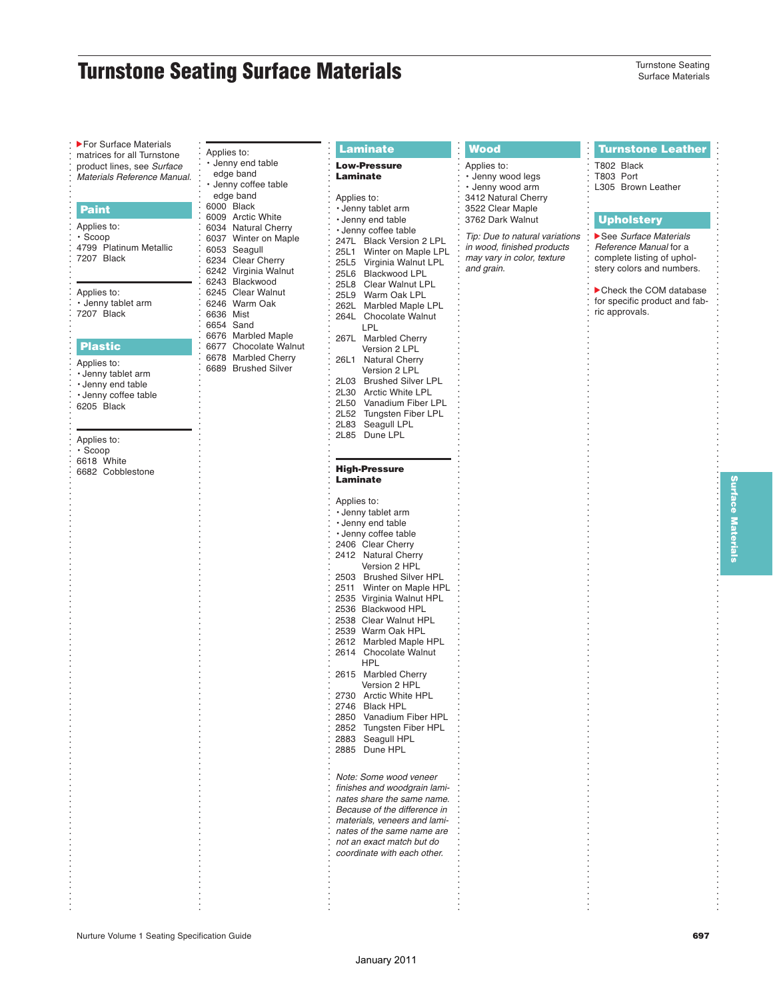# <span id="page-24-0"></span>**Turnstone Seating Surface Materials**

. . . . . . . . . .

. . . . . . . . . . . . . .

. . . . . . . . . . .

.

. . . . . . . . . . . . . . . .

. . . . .

. . . . . . .

.

| For Surface Materials<br>matrices for all Turnstone                                                         | Applies to:                                                                       | <b>Laminate</b>                                                                                                                                                                                                                                                                                                                                                                                                                                                                                                                                                                                                                           | Wood                                                                                                     | <b>Turnstone Leather</b>                                                                                   |
|-------------------------------------------------------------------------------------------------------------|-----------------------------------------------------------------------------------|-------------------------------------------------------------------------------------------------------------------------------------------------------------------------------------------------------------------------------------------------------------------------------------------------------------------------------------------------------------------------------------------------------------------------------------------------------------------------------------------------------------------------------------------------------------------------------------------------------------------------------------------|----------------------------------------------------------------------------------------------------------|------------------------------------------------------------------------------------------------------------|
| product lines, see Surface<br>Materials Reference Manual.                                                   | • Jenny end table<br>edge band<br>• Jenny coffee table<br>edge band               | <b>Low-Pressure</b><br>Laminate                                                                                                                                                                                                                                                                                                                                                                                                                                                                                                                                                                                                           | Applies to:<br>• Jenny wood legs<br>• Jenny wood arm                                                     | T802 Black<br>T803 Port<br>L305 Brown Leather                                                              |
| Paint                                                                                                       | 6000 Black                                                                        | Applies to:<br>· Jenny tablet arm                                                                                                                                                                                                                                                                                                                                                                                                                                                                                                                                                                                                         | 3412 Natural Cherry<br>3522 Clear Maple                                                                  |                                                                                                            |
| Applies to:                                                                                                 | 6009 Arctic White<br>6034 Natural Cherry                                          | • Jenny end table                                                                                                                                                                                                                                                                                                                                                                                                                                                                                                                                                                                                                         | 3762 Dark Walnut                                                                                         | <b>Upholstery</b>                                                                                          |
| $\cdot$ Scoop<br>4799 Platinum Metallic<br>7207 Black                                                       | 6037 Winter on Maple<br>6053 Seagull<br>6234 Clear Cherry<br>6242 Virginia Walnut | • Jenny coffee table<br>247L Black Version 2 LPL<br>25L1<br>Winter on Maple LPL<br>25L5<br>Virginia Walnut LPL<br>25L6 Blackwood LPL                                                                                                                                                                                                                                                                                                                                                                                                                                                                                                      | Tip: Due to natural variations<br>in wood, finished products<br>may vary in color, texture<br>and grain. | See Surface Materials<br>Reference Manual for a<br>complete listing of uphol-<br>stery colors and numbers. |
| Applies to:<br>• Jenny tablet arm<br>7207 Black                                                             | 6243 Blackwood<br>6245 Clear Walnut<br>6246 Warm Oak<br>6636 Mist<br>6654 Sand    | <b>Clear Walnut LPL</b><br>25L8<br>25L9<br>Warm Oak LPL<br>262L Marbled Maple LPL<br>264L Chocolate Walnut<br>LPL                                                                                                                                                                                                                                                                                                                                                                                                                                                                                                                         |                                                                                                          | Check the COM database<br>for specific product and fab-<br>ric approvals.                                  |
| <b>Plastic</b>                                                                                              | 6676 Marbled Maple<br>6677 Chocolate Walnut                                       | 267L Marbled Cherry<br>Version 2 LPL                                                                                                                                                                                                                                                                                                                                                                                                                                                                                                                                                                                                      |                                                                                                          |                                                                                                            |
| Applies to:<br>· Jenny tablet arm<br>• Jenny end table<br>• Jenny coffee table<br>6205 Black<br>Applies to: | 6678 Marbled Cherry<br>6689 Brushed Silver                                        | 26L1 Natural Cherry<br>Version 2 LPL<br>2L03 Brushed Silver LPL<br>2L30<br><b>Arctic White LPL</b><br>2L50 Vanadium Fiber LPL<br>2L52 Tungsten Fiber LPL<br>2L83 Seagull LPL<br>2L85 Dune LPL                                                                                                                                                                                                                                                                                                                                                                                                                                             |                                                                                                          |                                                                                                            |
| $\cdot$ Scoop                                                                                               |                                                                                   |                                                                                                                                                                                                                                                                                                                                                                                                                                                                                                                                                                                                                                           |                                                                                                          |                                                                                                            |
| 6618 White<br>6682 Cobblestone                                                                              |                                                                                   | <b>High-Pressure</b><br><b>Laminate</b>                                                                                                                                                                                                                                                                                                                                                                                                                                                                                                                                                                                                   |                                                                                                          |                                                                                                            |
|                                                                                                             |                                                                                   | Applies to:<br>• Jenny tablet arm<br>• Jenny end table<br>• Jenny coffee table<br>2406 Clear Cherry<br>2412 Natural Cherry<br>Version 2 HPL<br>2503 Brushed Silver HPL<br>2511 Winter on Maple HPL<br>2535 Virginia Walnut HPL<br>2536 Blackwood HPL<br>2538 Clear Walnut HPL<br>2539 Warm Oak HPL<br>2612 Marbled Maple HPL<br>2614 Chocolate Walnut<br><b>HPL</b><br>2615 Marbled Cherry<br>Version 2 HPL<br>2730 Arctic White HPL<br>2746 Black HPL<br>2850 Vanadium Fiber HPL<br>2852 Tungsten Fiber HPL<br>2883 Seagull HPL<br>2885 Dune HPL<br>Note: Some wood veneer<br>finishes and woodgrain lami-<br>nates share the same name. |                                                                                                          |                                                                                                            |
|                                                                                                             |                                                                                   | Because of the difference in<br>materials, veneers and lami-<br>nates of the same name are<br>not an exact match but do<br>coordinate with each other.                                                                                                                                                                                                                                                                                                                                                                                                                                                                                    |                                                                                                          |                                                                                                            |
|                                                                                                             |                                                                                   |                                                                                                                                                                                                                                                                                                                                                                                                                                                                                                                                                                                                                                           |                                                                                                          |                                                                                                            |
|                                                                                                             |                                                                                   |                                                                                                                                                                                                                                                                                                                                                                                                                                                                                                                                                                                                                                           |                                                                                                          |                                                                                                            |

**Surface Materials**

**Surface Materials**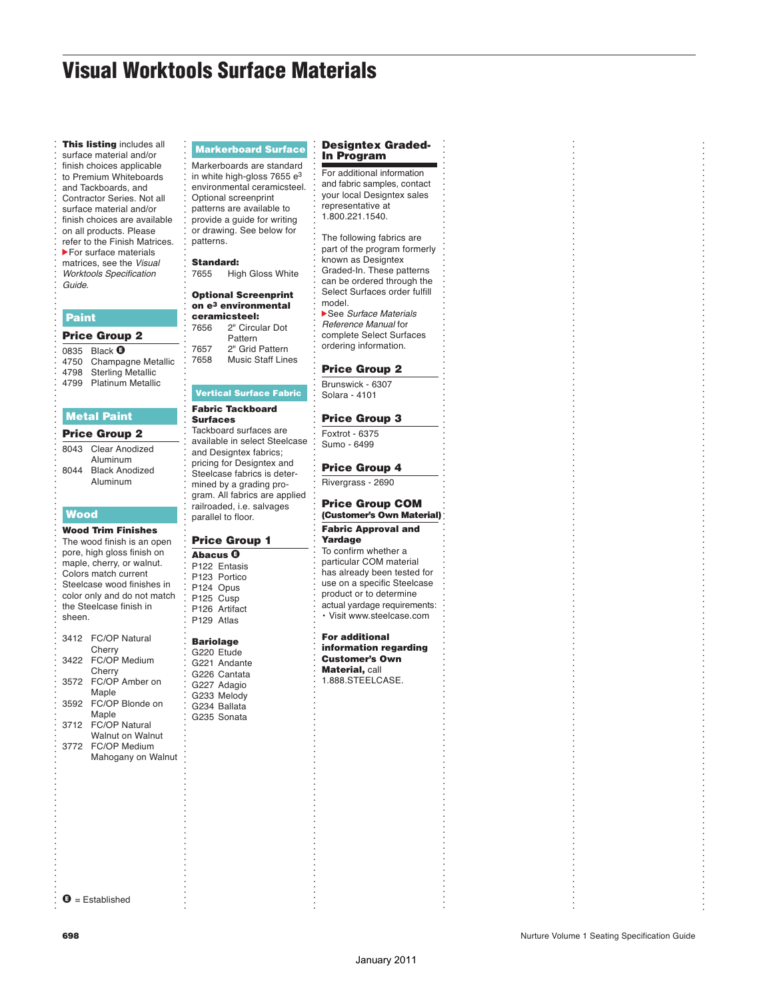## <span id="page-25-0"></span>**Visual Worktools Surface Materials**

**This listing** includes all surface material and/or finish choices applicable to Premium Whiteboards and Tackboards, and Contractor Series. Not all surface material and/or finish choices are available on all products. Please refer to the Finish Matrices.  $\blacktriangleright$  For surface materials matrices, see the Visual Worktools Specification Guide.

### **Paint**

. . . . . . . . . . . . . . . . . . . . . . . . . . . . . . . . . . . . . . . . . . . . . . . . . . . . . . . . . . . . . . . . . . . . . . . . . . . . . . . . . . . . . . . . . . . . . . . . . . . . . . . . . . . . . . . . . . . . . . . . . . . . . . . . . . . . . . . . . . . . . . .

### **Price Group 2**

0835 Black **O** 4750 Champagne Metallic<br>4798 Sterling Metallic Sterling Metallic 4799 Platinum Metallic

### **Metal Paint**

### **Price Group 2**

8043 Clear Anodized Aluminum 8044 Black Anodized Aluminum

### **Wood**

**Wood Trim Finishes** The wood finish is an open pore, high gloss finish on maple, cherry, or walnut. Colors match current Steelcase wood finishes in color only and do not match the Steelcase finish in sheen.

3412 FC/OP Natural

|      | Cherry               |
|------|----------------------|
| 3422 | FC/OP Medium         |
|      | Cherry               |
| 3572 | FC/OP Amber on       |
|      | Maple                |
| 3592 | FC/OP Blonde on      |
|      | Maple                |
| 3712 | <b>FC/OP Natural</b> |
|      | Walnut on Walnut     |
| 3772 | FC/OP Medium         |
|      | Mahogany on Walnut   |
|      |                      |
|      |                      |
|      |                      |
|      |                      |
|      |                      |

### **Markerboard Surface** . . . .

.

. . . . . . . . . . . . . . . . . . . . . . . . . . . . . . . . . . . . . . . . . . Markerboards are standard in white high-gloss 7655 e<sup>3</sup> environmental ceramicsteel. Optional screenprint patterns are available to provide a guide for writing or drawing. See below for patterns.

### **Standard:**

7655 High Gloss White

### **Optional Screenprint on e3 environmental ceramicsteel:** 7656 2" Circular Dot

Pattern 7657 2" Grid Pattern **Music Staff Lines** 

### **Vertical Surface Fabric**

### **Fabric Tackboard Surfaces** . . . . . . . . . .

. . . . . . . . . . . . . . . . . . . . . . . . . . . . . . . . . . . . . . . . . . . . . . . . . . . . . . . . . . . . . . . . . . . . . . . . . . . . . . . . . . . . . .

Tackboard surfaces are available in select Steelcase and [Designtex](http://www.designtex.com) fabrics; pricing for [Designtex](http://www.designtex.com) and Steelcase fabrics is determined by a grading program. All fabrics are applied railroaded, i.e. salvages parallel to floor.

### **Price Group 1**

**Abacus**  $\Theta$ P122 Entasis P123 Portico P124 Opus P125 Cusp P126 Artifact P129 Atlas

### **Bariolage**

| .            |
|--------------|
| G220 Etude   |
| G221 Andante |
| G226 Cantata |
| G227 Adagio  |
| G233 Melody  |
| G234 Ballata |
| G235 Sonata  |
|              |
|              |

### **[Designtex](http://www.designtex.com) Graded-In Program**

. . . . . . . . . . . . . . . . . . . . . . . . . . . . . . . . . . . . . . . . . . . . . . . . . . . . . . . . . . . . . . . . . . . .

. . . . . . . . . . . . . . . . . . . . . . . . . . . . . . . . . . . . . . . . . . . . . . . . . . . . . . . . . . . . . . . . . . . . . . . . . . . . . . . . . . . . . . . . . . . . . . . . . . . . . . . . . . . . . . . . . . . . . . . . . . . . . . . . . . . . . . . . . . . . . . .

For additional information and fabric samples, contact your local [Designtex](http://www.designtex.com) sales representative at 1.800.221.1540.

The following fabrics are part of the program formerly known as [Designtex](http://www.designtex.com) Graded-In. These patterns can be ordered through the Select Surfaces order fulfill model. See Surface Materials Reference Manual for

complete Select Surfaces ordering information.

### **Price Group 2**

Brunswick - 6307 Solara - 4101

### **Price Group 3**

Foxtrot - 6375 Sumo - 6499

### **Price Group 4**

Rivergrass - 2690

### **Price Group COM** Price Group COM<br>(Customer's Own Material)<br>——————————————————— **Fabric Approval and**

. . . . . . . . . . . . . . . . . . . . . . . . . . . . . . . . . . . . . . . . . . . . . . . . . . . . . . . . . . . . . . . . . . . . . .

### **Yardage**

To confirm whether a particular COM material has already been tested for use on a specific Steelcase product or to determine actual yardage requirements: • Visit [www.steelcase.com](http://www.steelcase.com)

**For additional information regarding Customer's Own Material,** call 1.888.STEELCASE.

 $\bullet$  = Established  $\qquad \qquad \vdots$ 

. . . . . . . . . . . . . . . . . . . . . . . . . . . . . . . . . . . . . . . . . . . . . . . . . . . . . . . . . . . . . . . . . . . . . . . . . . . . . . . . . . . . . . . . . . . . . . . . . . . . . . . . . . . . . . . . . . . . . . . . . . . . . . . . . . . . . . . . . . . . . . .

. . . . . . . . . . . . . . . . . . . . . . . . . . . . . . . . . . . . . . . . . . . . . . . . . . . . . . . . . . . . . . . . . . . . . . . . . . . . . . . . . . . . . . . . . . . . . . . . . . . . . . . . . . . . . . . . . . . . . . . . . . . . . . . . . . . . . . . . . . . . . . .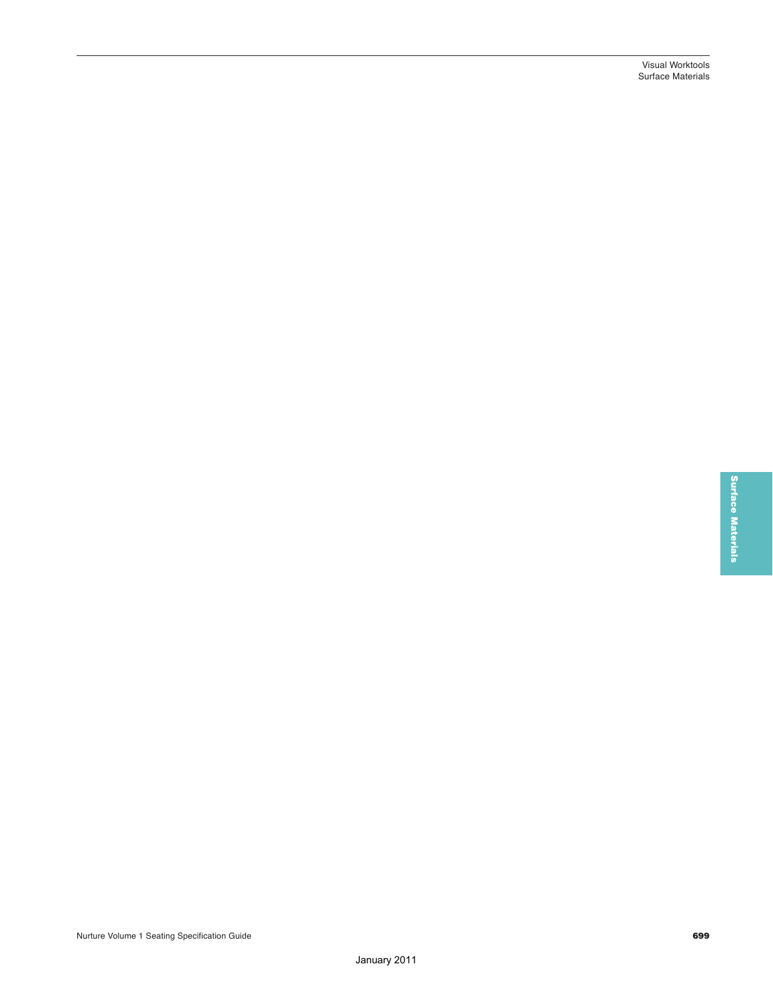Visual Worktools Surface Materials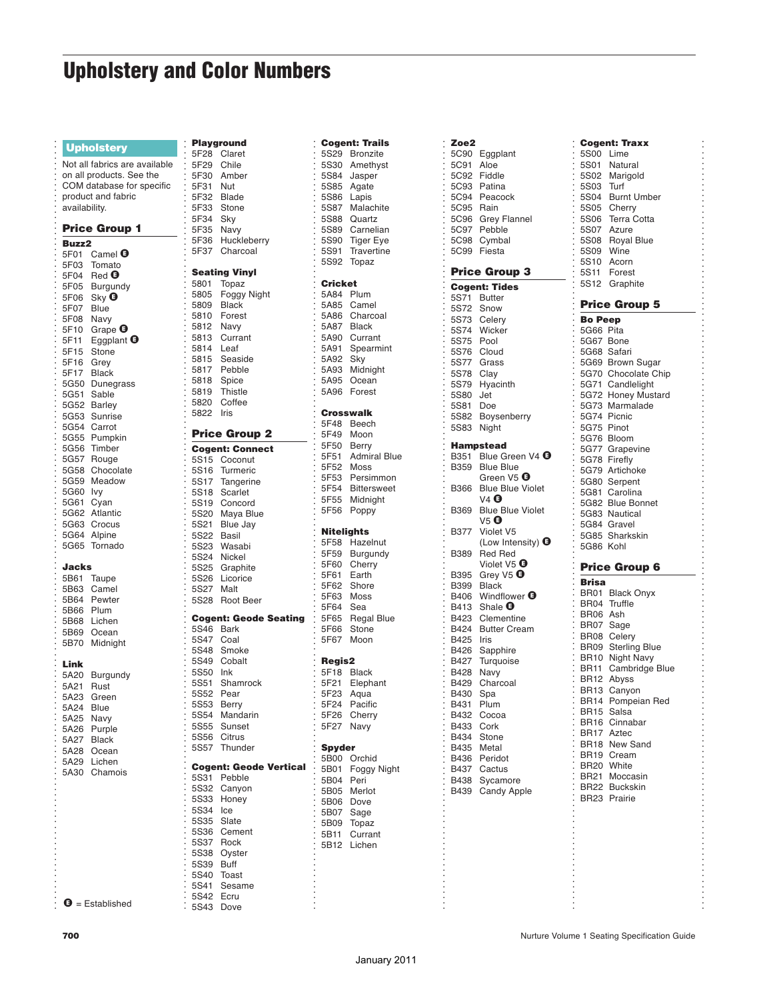## <span id="page-27-0"></span>**Upholstery and Color Numbers**

. . . . . . . . . . . . . . . . . . . . . . . . . . . . . . . . . . . . . . . . . . . . . . . . . . . . . . . . . . . . . . . . . . . . . . . . . . . . . . . . . . . . . . . . . . . . . . . . . . . . . . . . . . . . . . . . . . . . . . . . . . . . . . . . . . . . . . . . . . . . . . .

. . . . . . . . . . . . . . . . . . . . . . . . . . . . . . . . . . . . . . . . . . . . . . . . . . . . . . . . . . . . . . . . . . . . . . . . . . . . . . . . . . . . . . . . . . . . . . . . . . . . . . . . . . . . . . . . . . . . . . . . . . . . . . . . . . . . . . . . . . . . . . .

| <b>Ipholstery</b>             |                                 |  |  |
|-------------------------------|---------------------------------|--|--|
| Not all fabrics are available |                                 |  |  |
| on all products. See the      |                                 |  |  |
| COM database for specific     |                                 |  |  |
|                               | product and fabric              |  |  |
| availability.                 |                                 |  |  |
|                               | Price Group 1                   |  |  |
|                               |                                 |  |  |
| <b>Buzz2</b><br>5F01          | Camel $\bullet$                 |  |  |
| 5F03                          | Tomato                          |  |  |
| 5F04                          | Red $\boldsymbol{\Theta}$       |  |  |
| 5F05                          | Burgundy                        |  |  |
| 5F06                          | Sky ❶                           |  |  |
| 5F07                          | Blue                            |  |  |
| 5F08                          | Navy                            |  |  |
| 5F10                          | Grape $\boldsymbol{\Theta}$     |  |  |
| 5F11                          | Eggplant $\boldsymbol{\Theta}$  |  |  |
| 5F15                          | Stone<br>Grey                   |  |  |
| 5F16<br>5F17                  | <b>Black</b>                    |  |  |
| 5G50                          | Dunegrass                       |  |  |
| 5G51                          | Sable                           |  |  |
| 5G52                          | Barley                          |  |  |
| 5G53                          | Sunrise                         |  |  |
| 5G54                          | Carrot                          |  |  |
| 5G55                          | Pumpkin                         |  |  |
| 5G56                          | Timber                          |  |  |
| 5G57<br>5G58                  | Rouge<br>Chocolate              |  |  |
| 5G59                          | Meadow                          |  |  |
| 5G60                          | Ivy                             |  |  |
| 5G61                          | Cyan                            |  |  |
| 5G62                          | Atlantic                        |  |  |
| 5G63                          | Crocus                          |  |  |
| 5G64                          | Alpine                          |  |  |
| 5G65                          | Tornado                         |  |  |
| Jacks                         |                                 |  |  |
| 5B61                          | Taupe                           |  |  |
| 5B63                          | Camel                           |  |  |
| 5B64                          | Pewter                          |  |  |
| 5B66                          | Plum                            |  |  |
| 5B68                          | Lichen                          |  |  |
| 5B69                          | Ocean                           |  |  |
| 5B70                          | Midnight                        |  |  |
| Link                          |                                 |  |  |
| 5A20                          | Burgundy                        |  |  |
| 5A21                          | Rust                            |  |  |
| 5A23                          | Green                           |  |  |
| 5A24                          | Blue                            |  |  |
| 5A25                          | Navy                            |  |  |
| 5A26<br>5A27                  | Purple<br>Black                 |  |  |
| 5A28                          | Ocean                           |  |  |
| 5A29                          | Lichen                          |  |  |
| 5A30                          | Chamois                         |  |  |
|                               |                                 |  |  |
|                               |                                 |  |  |
|                               |                                 |  |  |
|                               |                                 |  |  |
|                               |                                 |  |  |
|                               |                                 |  |  |
|                               |                                 |  |  |
|                               |                                 |  |  |
|                               |                                 |  |  |
|                               |                                 |  |  |
|                               | $\mathbf{\Theta}$ = Established |  |  |

| 5F29<br>5F30<br>5F31<br>5F32<br>5F33<br>5F34<br>5F35<br>5F36<br>5F37                                         | <b>Playground</b><br>5F28 Claret<br>Chile<br>Amber<br>Nut<br><b>Blade</b><br>Stone<br>Sky<br>Navy<br>Huckleberry<br>Charcoal                                        |
|--------------------------------------------------------------------------------------------------------------|---------------------------------------------------------------------------------------------------------------------------------------------------------------------|
| 5801<br>5805<br>5809<br>5810<br>5812<br>5813<br>5814<br>5815<br>5817<br>5818<br>5819<br>5820<br>5822         | <b>Seating Vinyl</b><br>Topaz<br>Foggy Night<br><b>Black</b><br>Forest<br>Navy<br>Currant<br>Leaf<br>Seaside<br>Pebble<br>Spice<br><b>Thistle</b><br>Coffee<br>Iris |
|                                                                                                              | <b>Price Group 2</b><br><b>Cogent: Connect</b>                                                                                                                      |
| 5S15<br>5S16<br>5S17<br>5S18<br>5S19<br>5S20<br>5S21<br>5S22<br>5S23<br>5S24<br>5S25<br>5S26<br>5S27<br>5S28 | Coconut<br>Turmeric<br>Tangerine<br>Scarlet<br>Concord<br>Maya Blue<br><b>Blue Jay</b><br>Basil<br>Wasabi<br>Nickel<br>Graphite<br>Licorice<br>Malt<br>Root Beer    |
| 5S46                                                                                                         | <b>Cogent: Geode Seating</b><br>Bark                                                                                                                                |
| 5S47<br>5S48<br>5S49<br>5S50<br>5S51<br>5S52<br>5S53<br>5S54<br>5S55<br>5S56<br>5S57                         | Coal<br>Smoke<br>Cobalt<br>Ink<br>Shamrock<br>Pear<br>Berry<br>Mandarin<br>Sunset<br>Citrus<br>Thunder                                                              |
| 5S31                                                                                                         | <b>Cogent: Geode Vertical</b><br>Pebble                                                                                                                             |
| 5S32<br>5S33<br>5S34<br>5S35<br>5S36<br>5S37<br>5S38<br>5S39<br>5S40<br>5S41<br>5S42<br>5S43                 | Canyon<br>Honey<br>Ice<br>Slate<br>Cement<br>Rock<br>Oyster<br>Buff<br>Toast<br>Sesame<br>Ecru<br>Dove                                                              |

|            | Cogent: Trails     |
|------------|--------------------|
|            |                    |
| 5S29       | <b>Bronzite</b>    |
| 5S30       | Amethyst           |
|            |                    |
| 5S84       | Jasper             |
| 5S85       | Agate              |
| 5S86       | Lapis              |
|            |                    |
| 5S87       | Malachite          |
| 5S88       | Quartz             |
|            |                    |
| 5S89       | Carnelian          |
| 5S90       | <b>Tiger Eye</b>   |
| 5S91       | Travertine         |
|            |                    |
| 5S92       | Topaz              |
|            |                    |
| Cricket    |                    |
|            |                    |
| 5A84       | Plum               |
| 5A85       | Camel              |
| 5A86       | Charcoal           |
|            |                    |
| 5A87       | <b>Black</b>       |
| 5A90       | Currant            |
| 5A91       |                    |
|            | Spearmint          |
| 5A92       | Sky                |
| 5A93       | Midnight           |
|            |                    |
| 5A95       | Ocean              |
| 5A96       | Forest             |
|            |                    |
|            |                    |
|            | Crosswalk          |
| 5F48       | Beech              |
|            |                    |
| 5F49       | Moon               |
| 5F50       | Berry              |
| 5F51       | Admiral Blue       |
|            |                    |
| 5F52       | Moss               |
| 5F53       | Persimmon          |
| 5F54       | <b>Bittersweet</b> |
|            |                    |
| 5F55       | Midnight           |
| 5F56       | Poppy              |
|            |                    |
|            |                    |
|            |                    |
| Nitelights |                    |
|            |                    |
| 5F58       | Hazelnut           |
| 5F59       | Burgundy           |
| 5F60       | Cherry             |
|            |                    |
| 5F61       | Earth              |
| 5F62       | Shore              |
|            |                    |
| 5F63       | Moss               |
| 5F64       | Sea                |
| 5F65       | Regal Blue         |
|            |                    |
| 5F66       | Stone              |
| 5F67       | Moon               |
|            |                    |
|            |                    |
| Regis2     |                    |
| 5F18       | <b>Black</b>       |
| 5F21       | Elephant           |
|            |                    |
| 5F23       | Aqua               |
| 5F24       | Pacific            |
| 5F26       |                    |
|            | Cherry             |
| 5F27       | Navy               |
|            |                    |
| Spyder     |                    |
|            |                    |
| 5B00       | Orchid             |
| 5B01       | Foggy Night        |
| 5B04       | Peri               |
|            |                    |
| 5B05       | Merlot             |
| 5B06       | Dove               |
|            |                    |
| 5B07       | Sage               |
| 5B09       | Topaz              |
| 5B11       | Currant            |
|            |                    |
| 5B12       | Lichen             |
|            |                    |
|            |                    |
|            |                    |
|            |                    |
|            |                    |
|            |                    |

```
.
.
.
.
.
.
.
.
.
.
.
.
.
.
.
.
.
.
.
.
.
.
.
.
.
.
.
.
.
.
.
.
.
.
.
.
.
.
.
.
.
.
.
.
.
.
.
.
.
.
.
.
.
.
.
.
.
.
.
.
.
.
.
.
.
.
.
.
.
.
.
.
.
.
.
.
.
.
.
.
.
.
.
.
.
.
.
.
.
.
.
.
.
.
.
.
.
.
.
.
.
.
.
.
.
.
.
.
.
.
.
.
.
.
.
.
.
.
.
.
.
.
.
.
.
.
.
.
.
.
Zoe2
 5C90 Eggplant
 5C91 Aloe
 5C92 Fiddle
 5C93 Patina
 5C94 Peacock
 5C95 Rain
 5C96 Grey Flannel
 5C97 Pebble
 5C98 Cymbal
 5C99 Fiesta
 Price Group 3
 Cogent: Tides
 5S71 Butter
 5S72 Snow
 5S73 Celery
 5S74 Wicker
 5S75 Pool
 5S76 Cloud
 5S77 Grass
 5S78 Clay
 5S79 Hyacinth
 5S80 Jet
 5S81 Doe
 5S82 Boysenberry
 5S83 Night
 Hampstead
 B351 Blue Green V4 <sup>O</sup>
 B359 Blue Blue 
         Green V<sub>5</sub> O
 B366 Blue Blue Violet 
         V4 \bulletB369 Blue Blue Violet 
         V5 \bulletB377 Violet V5 
         (Low Intensity) \mathbf \ThetaB389 Red Red 
         Violet V<sub>5</sub> O
 B395 Grey V5 \ThetaB399 Black
 B406 Windflower<sup>9</sup>
 B413 Shale \bulletB423 Clementine
 B424 Butter Cream
 B425 Iris 
 B426 Sapphire<br>B427 Turquoise
         Turquoise
 B428 Navy
 B429 Charcoal
 B430 Spa
 B<sub>431</sub> Plum
 B432 Cocoa
 B433 Cork
 B434 Stone
 B435 Metal
 B436 Peridot
 B437 Cactus
 B438 Sycamore
 B439 Candy Apple
```
. . . . . . . . . . . . . . . . . . . . . . . . . . . . . . . . . . . . . . . . . . . . . . . . . . . . . . . . . . . . . . . . . . . . . . . . . . . . . . . . . . . . . . . . . . . . . . . . . . . . . . . . . . . . **Cogent: Traxx** 5S00 Lime<br>5S01 Natur Natural 5S02 Marigold 5S03 5S04 Burnt Umber<br>5S05 Cherry 5S05 Cherry<br>5S06 Terra C Terra Cotta 5S07 Azure 5S08 Royal Blue 5S09 Wine 5S10 Acorn 5S11 Forest 5S12 Graphite **Price Group 5 Bo Peep** 5G66 Pita 5G67 Bone 5G68 Safari 5G69 Brown Sugar 5G70 Chocolate Chip 5G71 Candlelight 5G72 Honey Mustard 5G73 Marmalade 5G74 Picnic 5G75 Pinot 5G76 Bloom 5G77 Grapevine 5G78 Firefly 5G79 Artichoke 5G80 Serpent 5G81 Carolina 5G82 Blue Bonnet 5G83 Nautical 5G84 Gravel 5G85 Sharkskin 5G86 Kohl **Price Group 6 Brisa** BR01 Black Onyx BR04 Truffle BR06 Ash BR07 Sage BR08 Celery BR09 Sterling Blue BR10 Night Navy BR11 Cambridge Blue BR12 Abyss BR13 Canyon BR14 Pompeian Red

. . . . . . . . . . . . . . . . . . . . . . . . . . . . . . . . . . . . . . . . . . . . . . . . . . . . . . . . . . . . . . . . . . . . . . . . . . . . . . . . . . . . . . . . . . . . . . . . . . . . . . . . . . . . . . . . . . . . . . . . . . . . . . . . . . . . . . . . . . . . . . .

BR15 Salsa BR16 Cinnabar BR17 Aztec BR18 New Sand BR19 Cream BR20 White

. . . . . . . . . . . . . . . . . . . . . . . . . . . . . . . . . . .

BR21 Moccasin BR22 Buckskin BR23 Prairie

. . . . . . . . . . . . .

.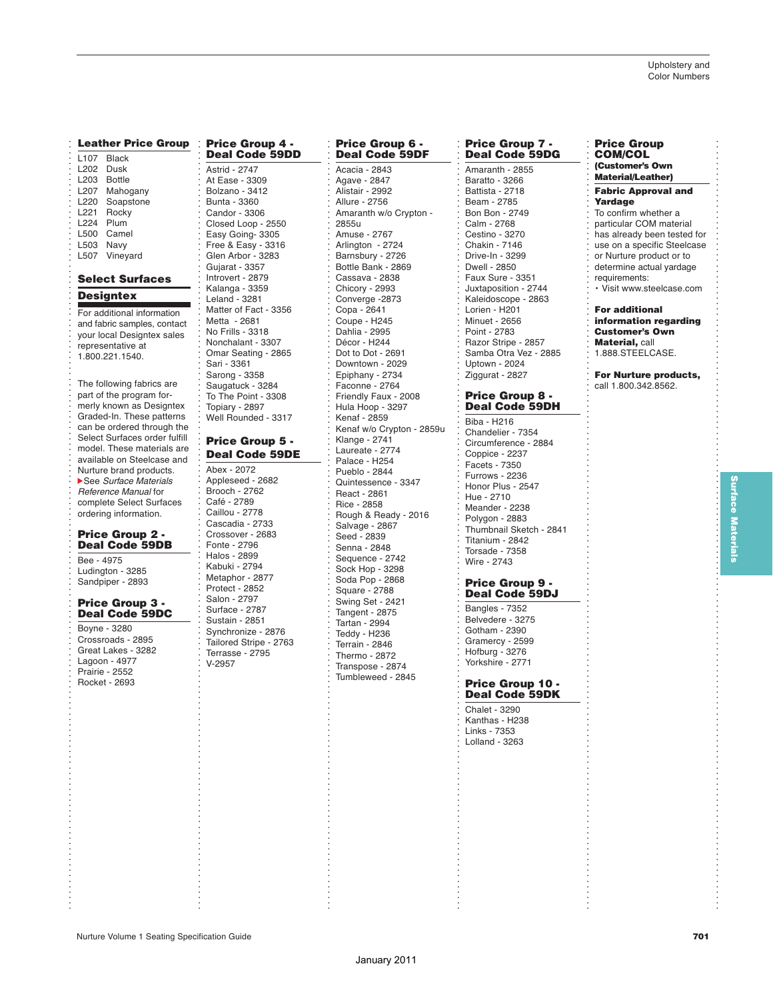. . . . . . . . . . . . . . . . . . . . . . . . . . . . . . . . . . . . . . . . . . . . . . . . . . . . . . . .

| <b>Leather Price Group</b>    | <b>Price Group 4 -</b><br><b>Deal Code 59DD</b> | <b>Price Group 6 -</b><br><b>Deal Code 59DF</b> | <b>Price Group 7 -</b><br><b>Deal Code 59DG</b>  | <b>Price Group</b><br><b>COM/COL</b> |
|-------------------------------|-------------------------------------------------|-------------------------------------------------|--------------------------------------------------|--------------------------------------|
| <b>Black</b><br>L107          |                                                 |                                                 |                                                  | (Customer's Own                      |
| L202 Dusk                     | Astrid - 2747                                   | Acacia - 2843                                   | Amaranth - 2855                                  | <b>Material/Leather)</b>             |
| L203<br><b>Bottle</b>         | At Ease - 3309                                  | Agave - 2847                                    | Baratto - 3266                                   |                                      |
| L207<br>Mahogany              | Bolzano - 3412                                  | Alistair - 2992                                 | Battista - 2718                                  | <b>Fabric Approval and</b>           |
| L220<br>Soapstone             | Bunta - 3360                                    | Allure - 2756                                   | Beam - 2785                                      | Yardage                              |
| L221<br>Rocky                 | Candor - 3306                                   | Amaranth w/o Crypton -                          | Bon Bon - 2749                                   | To confirm whether a                 |
| L224<br>Plum                  | Closed Loop - 2550                              | 2855u                                           | Calm - 2768                                      | particular COM material              |
| L500<br>Camel                 | Easy Going- 3305                                | Amuse - 2767                                    | Cestino - 3270                                   | has already been tested for          |
| L503<br>Navy                  | Free & Easy - 3316                              | Arlington - 2724                                | Chakin - 7146                                    | use on a specific Steelcase          |
| L507 Vineyard                 | Glen Arbor - 3283                               | Barnsbury - 2726                                | Drive-In - 3299                                  | or Nurture product or to             |
|                               | Gujarat - 3357                                  | Bottle Bank - 2869                              | Dwell - 2850                                     | determine actual yardage             |
| <b>Select Surfaces</b>        | Introvert - 2879                                | Cassava - 2838                                  | Faux Sure - 3351                                 | requirements:                        |
|                               | Kalanga - 3359                                  | Chicory - 2993                                  | Juxtaposition - 2744                             | · Visit www.steelcase.com            |
| Designtex                     | Leland - 3281                                   | Converge -2873                                  | Kaleidoscope - 2863                              |                                      |
| For additional information    | Matter of Fact - 3356                           | Copa - 2641                                     | Lorien - H201                                    | <b>For additional</b>                |
| and fabric samples, contact   | Metta - 2681                                    | Coupe - H245                                    | Minuet - 2656                                    | information regarding                |
| your local Designtex sales    | No Frills - 3318                                | Dahlia - 2995                                   | Point - 2783                                     | <b>Customer's Own</b>                |
| representative at             | Nonchalant - 3307                               | Décor - H244                                    | Razor Stripe - 2857                              | <b>Material, call</b>                |
|                               | Omar Seating - 2865                             | Dot to Dot - 2691                               | Samba Otra Vez - 2885                            | 1.888.STEELCASE.                     |
| 1.800.221.1540.               | Sari - 3361                                     | Downtown - 2029                                 | Uptown - 2024                                    |                                      |
|                               | Sarong - 3358                                   | Epiphany - 2734                                 | Ziggurat - 2827                                  | For Nurture products,                |
| The following fabrics are     | Saugatuck - 3284                                | Faconne - 2764                                  |                                                  | call 1.800.342.8562.                 |
| part of the program for-      | To The Point - 3308                             | Friendly Faux - 2008                            | <b>Price Group 8 -</b>                           |                                      |
| merly known as Designtex      | Topiary - 2897                                  |                                                 | <b>Deal Code 59DH</b>                            |                                      |
| Graded-In. These patterns     | Well Rounded - 3317                             | Hula Hoop - 3297                                |                                                  |                                      |
| can be ordered through the    |                                                 | Kenaf - 2859                                    | <b>Biba - H216</b>                               |                                      |
| Select Surfaces order fulfill |                                                 | Kenaf w/o Crypton - 2859u                       | Chandelier - 7354                                |                                      |
| model. These materials are    | <b>Price Group 5 -</b>                          | Klange - 2741                                   | Circumference - 2884                             |                                      |
| available on Steelcase and    | <b>Deal Code 59DE</b>                           | Laureate - 2774                                 | Coppice - 2237                                   |                                      |
|                               | Abex - 2072                                     | Palace - H254                                   | Facets - 7350                                    |                                      |
| Nurture brand products.       |                                                 | Pueblo - 2844                                   | <b>Furrows - 2236</b>                            |                                      |
| See Surface Materials         | Appleseed - 2682                                | Quintessence - 3347                             | Honor Plus - 2547                                |                                      |
| Reference Manual for          | Brooch - 2762                                   | React - 2861                                    | Hue - 2710                                       |                                      |
| complete Select Surfaces      | Café - 2789                                     | Rice - 2858                                     | Meander - 2238                                   |                                      |
| ordering information.         | Caillou - 2778                                  | Rough & Ready - 2016                            | Polygon - 2883                                   |                                      |
|                               | Cascadia - 2733                                 | Salvage - 2867                                  | Thumbnail Sketch - 2841                          |                                      |
| <b>Price Group 2 -</b>        | Crossover - 2683                                | Seed - 2839                                     | Titanium - 2842                                  |                                      |
| <b>Deal Code 59DB</b>         | Fonte - 2796                                    | Senna - 2848                                    | Torsade - 7358                                   |                                      |
| Bee - 4975                    | Halos - 2899                                    | Sequence - 2742                                 | Wire - 2743                                      |                                      |
| Ludington - 3285              | Kabuki - 2794                                   | Sock Hop - 3298                                 |                                                  |                                      |
| Sandpiper - 2893              | Metaphor - 2877                                 | Soda Pop - 2868                                 | <b>Price Group 9 -</b>                           |                                      |
|                               | Protect - 2852                                  | Square - 2788                                   |                                                  |                                      |
| <b>Price Group 3 -</b>        | Salon - 2797                                    | Swing Set - 2421                                | <b>Deal Code 59DJ</b>                            |                                      |
| <b>Deal Code 59DC</b>         | Surface - 2787                                  | Tangent - 2875                                  | Bangles - 7352                                   |                                      |
|                               | Sustain - 2851                                  | Tartan - 2994                                   | Belvedere - 3275                                 |                                      |
| Boyne - 3280                  | Synchronize - 2876                              | Teddy - H236                                    | Gotham - 2390                                    |                                      |
| Crossroads - 2895             | Tailored Stripe - 2763                          | Terrain - 2846                                  | Gramercy - 2599                                  |                                      |
| Great Lakes - 3282            | Terrasse - 2795                                 |                                                 | Hofburg - 3276                                   |                                      |
| Lagoon - 4977                 | $V-2957$                                        | Thermo - 2872                                   | Yorkshire - 2771                                 |                                      |
| Prairie - 2552                |                                                 | Transpose - 2874                                |                                                  |                                      |
| Rocket - 2693                 |                                                 | Tumbleweed - 2845                               | <b>Price Group 10 -</b><br><b>Deal Code 59DK</b> |                                      |
|                               |                                                 |                                                 | <b>Chalet - 3290</b>                             |                                      |
|                               |                                                 |                                                 |                                                  |                                      |
|                               |                                                 |                                                 | Kanthas - H238                                   |                                      |
|                               |                                                 |                                                 | Links - 7353                                     |                                      |
|                               |                                                 |                                                 | Lolland - 3263                                   |                                      |
|                               |                                                 |                                                 |                                                  |                                      |
|                               |                                                 |                                                 |                                                  |                                      |
|                               |                                                 |                                                 |                                                  |                                      |
|                               |                                                 |                                                 |                                                  |                                      |
|                               |                                                 |                                                 |                                                  |                                      |
|                               |                                                 |                                                 |                                                  |                                      |
|                               |                                                 |                                                 |                                                  |                                      |
|                               |                                                 |                                                 |                                                  |                                      |
|                               |                                                 |                                                 |                                                  |                                      |
|                               |                                                 |                                                 |                                                  |                                      |
|                               |                                                 |                                                 |                                                  |                                      |
|                               |                                                 |                                                 |                                                  |                                      |
|                               |                                                 |                                                 |                                                  |                                      |
|                               |                                                 |                                                 |                                                  |                                      |
|                               |                                                 |                                                 |                                                  |                                      |
|                               |                                                 |                                                 |                                                  |                                      |

,我的时候,我的时候,我的时候我的时候,我的时候我的时候,我的时候我的时候,我的时候我的时候,我的时候我的时候,我的时候我的时候,我的时候我的时候,我的时候我的时候,我

.

**Surface Materials**

**Surface Materials**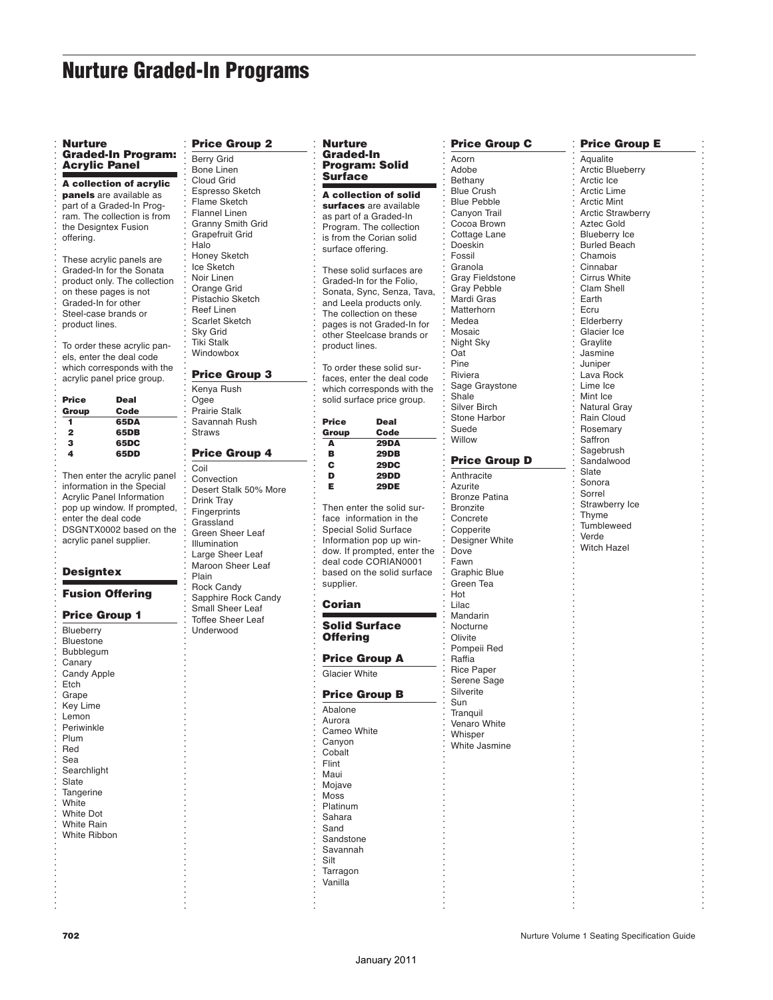## <span id="page-29-0"></span>**Nurture Graded-In Programs**

. . . . . . . . . . . . . . . . . . . . . . . . . . . . . . . . . . . . . . . . . . . . . . . . . . . . . . . . . . . . . . . . . . . . . . . . . . . . . . . . . . . . . . . . . . . . . . . . . . . . . . . . . . . . . . . . . . . .

### **Nurture Graded-In Program: Acrylic Panel**

. . . . . . . . . . . . . . . . . . . . . . . . . . . . . . . . . . . . . . . . . . . . . . . . . . . . . . . . . . . . . . . . . . . . . . . . . . . . . . . . . . . . . . . . . . . . . . . . . . . . . . . . . . . . . . . . . . . . . . . . . . . . . . . . . . . . . . . . . . . . . . .

**A collection of acrylic panels** are available as part of a Graded-In Program. The collection is from the [Designtex](http://www.designtex.com) Fusion offering.

These acrylic panels are Graded-In for the Sonata product only. The collection on these pages is not Graded-In for other Steel-case brands or product lines.

To order these acrylic panels, enter the deal code which corresponds with the acrylic panel price group.

| <b>Price</b> | Deal        |
|--------------|-------------|
| Group        | Code        |
| 1            | <b>65DA</b> |
| $\mathbf{2}$ | <b>65DB</b> |
| з            | 65DC        |
| 4            | <b>65DD</b> |

Then enter the acrylic panel information in the Special Acrylic Panel Information pop up window. If prompted, enter the deal code DSGNTX0002 based on the acrylic panel supplier.

### **[Designtex](http://www.designtex.com)**

### **Fusion Offering**

**Price Group 1**

| Blueberry           |
|---------------------|
| Bluestone           |
| Bubblegum           |
| Canary              |
| <b>Candy Apple</b>  |
| Etch                |
| Grape               |
| <b>Key Lime</b>     |
| Lemon               |
| Periwinkle          |
| Plum                |
| Red                 |
| Sea                 |
| Searchlight         |
| Slate               |
| Tangerine           |
| White               |
| <b>White Dot</b>    |
| <b>White Rain</b>   |
| <b>White Ribbon</b> |
|                     |
|                     |
|                     |
|                     |
|                     |
|                     |

### **Price Group 2** Berry Grid Bone Linen Cloud Grid Espresso Sketch Flame Sketch Flannel Linen Granny Smith Grid Grapefruit Grid Halo Honey Sketch Ice Sketch . . . . . . . . . . . . . . . . . . . . . . . . . . .

Noir Linen Orange Grid Pistachio Sketch Reef Linen Scarlet Sketch Sky Grid Tiki Stalk Windowbox

### **Price Group 3**

Kenya Rush Ogee Prairie Stalk Savannah Rush **Straws** 

**Price Group 4**

Coil Convection Desert Stalk 50% More Drink Tray Fingerprints Grassland Green Sheer Leaf Illumination Large Sheer Leaf Maroon Sheer Leaf Plain Rock Candy Sapphire Rock Candy Small Sheer Leaf Toffee Sheer Leaf

Underwood

**Nurture Graded-In Program: Solid Surface**

. . . . . . . . . . . . . . . . . . . . . . . . . . . . . . . . . . . . . . . . . . . . . . . . . . . . . . . . . . . . . . . . . . . . . . . . . . . . . . . . . . . . . . . . . . . . . . . . . . . . . . . . . . . . . . . . . . . . . . . . . . . . . . . . . . . . . . . . . . . . . . .

## **A collection of solid**

**surfaces** are available as part of a Graded-In Program. The collection is from the Corian solid surface offering.

These solid surfaces are Graded-In for the Folio, Sonata, Sync, Senza, Tava, and Leela products only. The collection on these pages is not Graded-In for other Steelcase brands or product lines.

To order these solid surfaces, enter the deal code which corresponds with the solid surface price group.

| Price | Deal        |
|-------|-------------|
| Group | Code        |
| Δ     | <b>29DA</b> |
| в     | <b>29DB</b> |
| c     | <b>29DC</b> |
| D     | <b>29DD</b> |
| Е     | <b>29DE</b> |
|       |             |

Then enter the solid surface information in the Special Solid Surface Information pop up window. If prompted, enter the deal code CORIAN0001 based on the solid surface supplier.

### **Corian**

**Solid Surface Offering**

**Price Group A**

Glacier White

### **Price Group B**

Abalone Aurora Cameo White Canyon Cobalt Flint Maui Mojave Moss Platinum Sahara Sand Sandstone Savannah Silt Tarragon Vanilla

### **Price Group C**

. . . . . . . . . . . . . . . . . . . . . . . . . . . . . . . . . . . . . . . . . . . . . . . . . . . . . . . . . . . . . . . . . . . . . . . . . . . . . . . . . . . . . . . . . . . . . . . . . . . . . . . . . . . . . . . . . . . . . . . . . . . . . . . . . . . . . . . . . . . . . . .

Acorn Adobe Bethany Blue Crush Blue Pebble Canyon Trail Cocoa Brown Cottage Lane Doeskin Fossil Granola Gray Fieldstone Gray Pebble Mardi Gras Matterhorn Medea Mosaic Night Sky Oat Pine Riviera Sage Graystone Shale Silver Birch Stone Harbor Suede **Willow** 

### **Price Group D**

Anthracite Azurite Bronze Patina Bronzite Concrete Copperite Designer White Dove Fawn Graphic Blue Green Tea Hot Lilac Mandarin Nocturne **Olivite** Pompeii Red Raffia Rice Paper Serene Sage **Silverite** Sun **Tranquil** Venaro White **Whisper** White Jasmine

Arctic Lime Arctic Mint Arctic Strawberry Aztec Gold Blueberry Ice Burled Beach Chamois Cinnabar Cirrus White Clam Shell Earth Ecru Elderberry Glacier Ice **Graylite** Jasmine Juniper Lava Rock Lime Ice Mint Ice Natural Gray Rain Cloud Rosemary Saffron Sagebrush Sandalwood Slate Sonora Sorrel Strawberry Ice Thyme **Tumbleweed** Verde Witch Hazel

**Price Group E**

. . . . . . . . . . . . . . . . . . . . . . . . . . . . . . . . . . . . . . . . . . . . . . . . . . . . . . . . . . . . . . . . . . . . . . . . . . . . . . . . . . . . . . . . . . . . . . . . . . . . . . . . . . . . . . . . . . . . . . . . . . . . . . . . . . . . . . . . . . . . . . .

Aqualite Arctic Blueberry Arctic Ice

. . . . . . . . . . . . . . . . . . . . . . . . . . . . . . . . . . . . . . . . . . . . . . . . . . . . . . . . . . . . . . . . . . . . . . . . . . . . . . . . . . . . . . . . . . . . . . . . . . . . . . . . . . . . . . . . . . . . . . . . . . . . . . . . . . . . . . . . . . . . . . .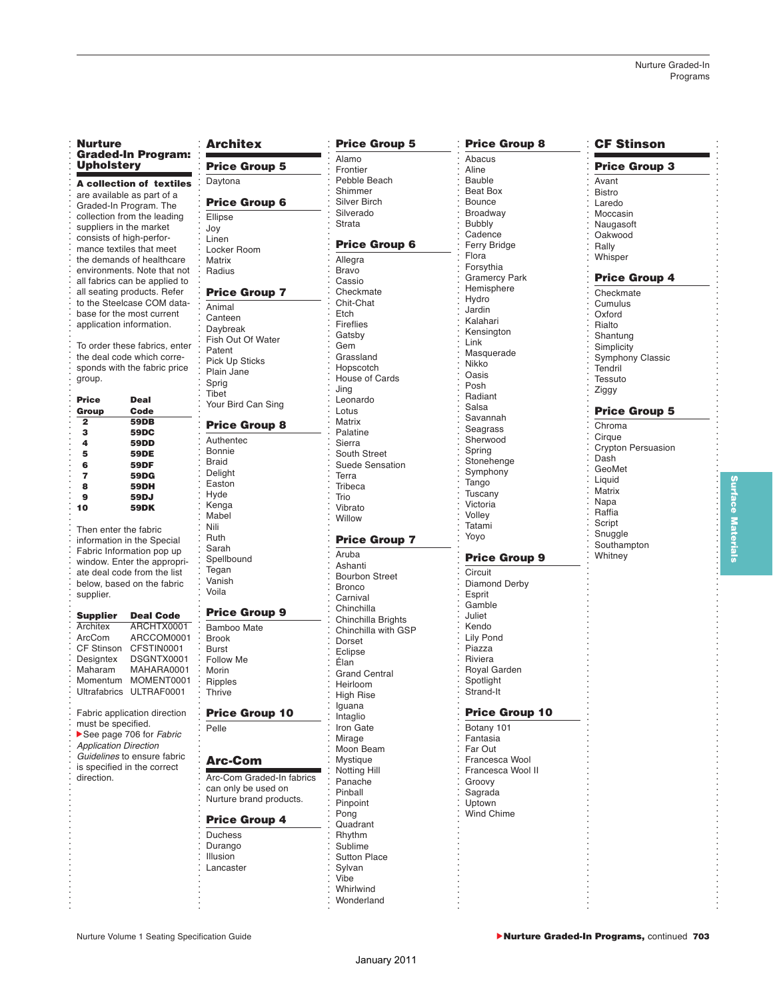. . . . . . . . . . . . . . . . . . . . . . . . . . . . . . . . . . . . . . . . . . . . . . . . . . . . . . . . . . . . . . . . . . . . . . . . . . . . . . . . . . . . . . . . . . . . . . . . . . . . . . . . . . . . . . . . . . . . . . . . . . . . . . . . . . . . . . . . . . . . . . .

### **Nurture Graded-In Program: Upholstery**

. . . . . . . . . . . . . . . . . . . . . . . . . . . . . . . . . . . . . . . . . . . . . . . . . . . . . . . . . . . . . . . . . . . . . . . . . . . . . . . . . . . . . . . . . . . . . . . . . . . . . . . . . . . . . . . . . . . . . . . . . . . . . . . . . . . . . . . . . . . . . . . . . . . . . . . . . . . . . . . . . . . . . . . . . . . . . . . . . . . . . . . . . . . . . . . . . . . . . . . . . . . . . . . . . . . . . . . . . . . . . . . . . . . . . . . . . . . . . . . . . . . . . . . . . . . . . . . . . . . . . . . . . . . . . . . . . . . . . . . . . . . . . .

**A collection of textiles** are available as part of a Graded-In Program. The collection from the leading suppliers in the market consists of high-performance textiles that meet the demands of healthcare environments. Note that not all fabrics can be applied to all seating products. Refer to the Steelcase COM database for the most current application information.

To order these fabrics, enter the deal code which corresponds with the fabric price group.

| <b>Price</b>          | Deal        |
|-----------------------|-------------|
| Group                 | Code        |
| $\mathbf{2}$          | <b>59DB</b> |
| з                     | 59DC        |
| 4                     | 59DD        |
| 5                     | <b>59DE</b> |
| 6                     | <b>59DF</b> |
| 7                     | 59DG        |
| 8                     | <b>59DH</b> |
| 9                     | 59DJ        |
| 10                    | <b>59DK</b> |
| Then enter the fabric |             |

information in the Special Fabric Information pop up window. Enter the appropriate deal code from the list below, based on the fabric supplier.

**Supplier Deal Code**<br>Architex ARCHTX000 Architex ARCHTX0001<br>ArcCom ARCCOM000 ARCCOM0001 CF Stinson CFSTIN0001<br>Designtex DSGNTX000 DSGNTX0001 Maharam MAHARA0001 Momentum MOMENT0001 Ultrafabrics ULTRAF0001 Fabric application direction must be specified. See [page 706](#page-33-0) for Fabric Application Direction Guidelines to ensure fabric is specified in the correct direction.

| Architex                         | <b>Price Group 5</b>         | <b>Price Gro</b>           |
|----------------------------------|------------------------------|----------------------------|
| <b>Price Group 5</b>             | Alamo                        | Abacus                     |
|                                  | Frontier                     | Aline                      |
| Daytona                          | Pebble Beach<br>Shimmer      | <b>Bauble</b>              |
| <b>Price Group 6</b>             | Silver Birch                 | Beat Box<br><b>Bounce</b>  |
|                                  | Silverado                    | Broadway                   |
| Ellipse                          | Strata                       | <b>Bubbly</b>              |
| Joy<br>Linen                     |                              | Cadence                    |
| Locker Room                      | <b>Price Group 6</b>         | Ferry Bridge               |
| Matrix                           | Allegra                      | Flora                      |
| Radius                           | <b>Bravo</b>                 | Forsythia                  |
|                                  | Cassio                       | Gramercy Pa<br>Hemisphere  |
| <b>Price Group 7</b>             | Checkmate<br>Chit-Chat       | Hydro                      |
| Animal                           | Etch                         | Jardin                     |
| Canteen                          | <b>Fireflies</b>             | Kalahari                   |
| Daybreak<br>Fish Out Of Water    | Gatsby                       | Kensington                 |
| Patent                           | Gem                          | Link                       |
| Pick Up Sticks                   | Grassland                    | Masquerade<br>Nikko        |
| Plain Jane                       | Hopscotch                    | Oasis                      |
| Sprig                            | House of Cards               | Posh                       |
| Tibet                            | Jing<br>Leonardo             | Radiant                    |
| Your Bird Can Sing               | Lotus                        | Salsa                      |
|                                  | Matrix                       | Savannah                   |
| <b>Price Group 8</b>             | Palatine                     | Seagrass                   |
| Authentec                        | Sierra                       | Sherwood                   |
| <b>Bonnie</b><br>Braid           | South Street                 | Spring<br>Stonehenge       |
| Delight                          | Suede Sensation              | Symphony                   |
| Easton                           | Terra<br>Tribeca             | Tango                      |
| Hyde                             | Trio                         | Tuscany                    |
| Kenga                            | Vibrato                      | Victoria                   |
| Mabel                            | Willow                       | Volley                     |
| Nili                             |                              | Tatami                     |
| Ruth<br>Sarah                    | <b>Price Group 7</b>         | Yoyo                       |
| Spellbound                       | Aruba                        | <b>Price Gro</b>           |
| Tegan                            | Ashanti                      | Circuit                    |
| Vanish                           | <b>Bourbon Street</b>        | Diamond De                 |
| Voila                            | <b>Bronco</b><br>Carnival    | Esprit                     |
|                                  | Chinchilla                   | Gamble                     |
| <b>Price Group 9</b>             | Chinchilla Brights           | Juliet                     |
| <b>Bamboo Mate</b>               | Chinchilla with GSP          | Kendo                      |
| <b>Brook</b>                     | Dorset                       | <b>Lily Pond</b><br>Piazza |
| <b>Burst</b><br><b>Follow Me</b> | Eclipse                      | Riviera                    |
| Morin                            | Élan<br><b>Grand Central</b> | Royal Garde                |
| Ripples                          | Heirloom                     | Spotlight                  |
| Thrive                           | <b>High Rise</b>             | Strand-It                  |
|                                  | Iguana                       |                            |
| <b>Price Group 10</b>            | Intaglio                     | <b>Price Gro</b>           |
| Pelle                            | Iron Gate                    | Botany 101                 |
|                                  | Mirage                       | Fantasia                   |
|                                  | Moon Beam                    | Far Out<br>Francesca V     |
| <b>Arc-Com</b>                   | Mystique<br>Notting Hill     | Francesca V                |
| Arc-Com Graded-In fabrics        | Panache                      | Groovy                     |
| can only be used on              | Pinball                      | Sagrada                    |
| Nurture brand products.          | Pinpoint                     | Uptown                     |
| <b>Price Group 4</b>             | Pong                         | <b>Wind Chime</b>          |
|                                  |                              |                            |
|                                  | Quadrant                     |                            |
| Duchess                          | Rhythm                       |                            |
| Durango                          | Sublime                      |                            |
| Illusion                         | <b>Sutton Place</b>          |                            |
| Lancaster                        | Sylvan<br>Vibe               |                            |
|                                  | Whirlwind                    |                            |
|                                  | Wonderland                   |                            |

**Price Group 8** ıcus e ible Beat Box nce adway bly lence ry Bridge `a sythia mercy Park nisphere Iro din ahari isington squerade Nikko sis Posh liant Salsa annah igrass rwood ng nehenge iphony go cany oria ey ami o **Price Group 9** Circuit mond Derby rit nble  $et$ ıdo Pond zza era al Garden tlight Strand-It **Price Group 10** any 101 tasia Out ncesca Wool ncesca Wool II

. . . . . . . . . . . . . . . . . . . . . . . . . . . . . . . . . . . . . . . . . . . . . . . . . . . . . . . . . . . . . . . . . . . . . . . . . . . . . . . . . . . . . . . . . . . . . . . . . . . . . . . . . . . . . . . . . . . . . . . . **CF Stinson Price Group 3** Avant Bistro Laredo Moccasin Naugasoft Oakwood Rally Whisper **Price Group 4** Checkmate Cumulus Oxford Rialto Shantung Simplicity Symphony Classic Tendril **Tessuto** Ziggy **Price Group 5** Chroma **Cirque** Crypton Persuasion Dash GeoMet Liquid **Matrix** Napa Raffia Script Snuggle Southampton Whitney

. . . . . . . . . . . . . . . . . . . . . . .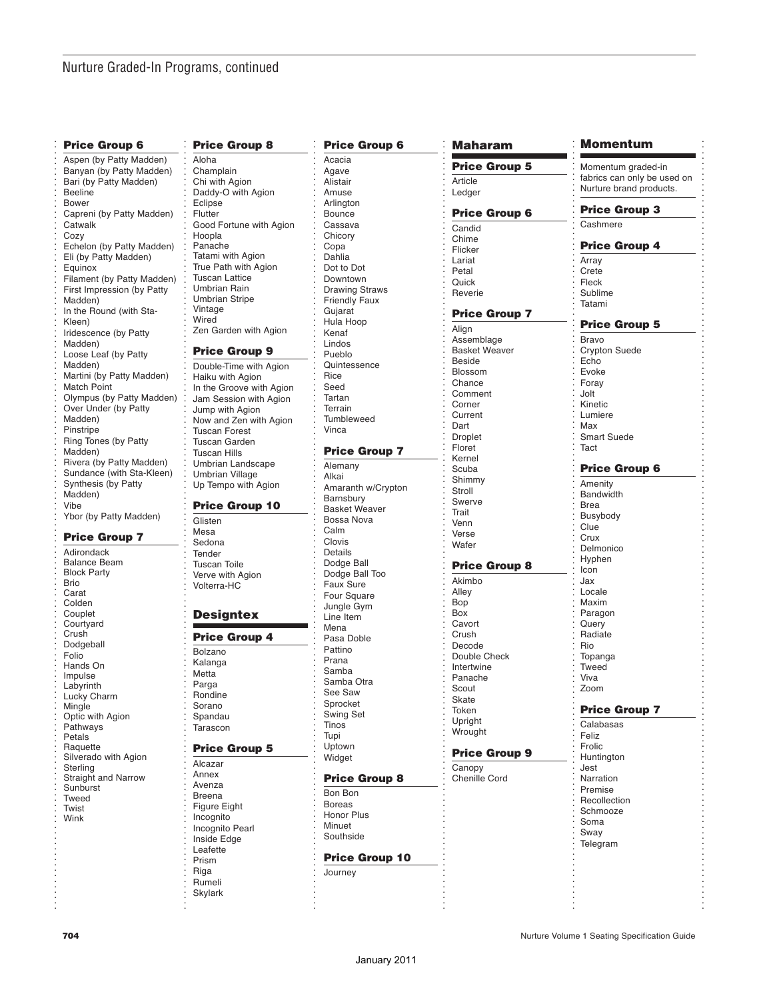. . . . . . . . . . . . . . . . . . . . . . . . . . . . . . . . . . . . . . . . . . . . . . . . . . . . . . . . . . . . . . . . . . . . . . . . . . . . . . . . . . . . . . . . . . . . . . . . . . . . . . . . . . . . . . . . . . . . . . . . . . . . . . . . . . . . . . . . . . . . . . .

### . . . . . . . . . . . . . . . . . . . . . . . . . . . . . . . . . . . . . . . . . . . . . . . . . . . . . . . . . . . . . . . . . . . . . . . . . . . . . . . . . . . . . . . . . . . . . . . . . . . . . . . . . . . . . . **Price Group 6** Aspen (by Patty Madden) Banyan (by Patty Madden) Bari (by Patty Madden) Beeline Bower Capreni (by Patty Madden) Catwalk Cozy Echelon (by Patty Madden) Eli (by Patty Madden) Equinox Filament (by Patty Madden) First Impression (by Patty Madden) In the Round (with Sta-Kleen) Iridescence (by Patty Madden) Loose Leaf (by Patty Madden) Martini (by Patty Madden) Match Point Olympus (by Patty Madden) Over Under (by Patty Madden) **Pinstripe** Ring Tones (by Patty Madden) Rivera (by Patty Madden) Sundance (with Sta-Kleen) Synthesis (by Patty Madden) Vibe Ybor (by Patty Madden) **Price Group 7** Adirondack Balance Beam Block Party Brio Carat Colden Couplet **Courtyard** Crush Dodgeball Folio Hands On Impulse Labyrinth Lucky Charm

### Mingle Optic with Agion **Pathways** Petals **Raquette** Silverado with Agion **Sterling** Straight and Narrow Sunburst **Tweed Twist** Wink

**Price Group 8** Aloha Champlain Chi with Agion Daddy-O with Agion **Eclipse** Flutter Good Fortune with Agion Hoopla Panache Tatami with Agion True Path with Agion Tuscan Lattice Umbrian Rain Umbrian Stripe Vintage **Wired** Zen Garden with Agion **Price Group 9**

### Double-Time with Agion Haiku with Agion In the Groove with Agion Jam Session with Agion Jump with Agion Now and Zen with Agion Tuscan Forest Tuscan Garden Tuscan Hills Umbrian Landscape Umbrian Village Up Tempo with Agion

### **Price Group 10**

Glisten Mesa Sedona Tender Tuscan Toile Verve with Agion Volterra-HC

### **[Designtex](http://www.designtex.com)**

### **Price Group 4**

Bolzano Kalanga Metta Parga Rondine Sorano Spandau Tarascon

. . . . . . . . . . . . . . . . . . . . . . . . . . . . . . . . .

### **Price Group 5**

Alcazar Annex Avenza Breena Figure Eight Incognito Incognito Pearl Inside Edge Leafette Prism Riga Rumeli Skylark

### **Price Group 6**

. . . . . . . . . . . . . . . . . . . . . . . . . . . . . . . . . . . . . . . . . . . . . . . . . . . . . . . . . . . . . . . . . . . . . . . . . . . . . . . . . . . . . . . . . . . . . . . . . . . . . . . . . . . . . . . . . . . . . . . . . . . . . . . . . . . . . . . . . . . . . . .

Acacia Agave Alistair Amuse Arlington **Bounce** Cassava Chicory Copa Dahlia Dot to Dot Downtown Drawing Straws Friendly Faux Gujarat Hula Hoop Kenaf Lindos Pueblo **Quintessence** Rice Seed Tartan Terrain Tumbleweed Vinca

### **Price Group 7**

**Alemany** Alkai Amaranth w/Crypton Barnsbury Basket Weaver Bossa Nova Calm Clovis Details Dodge Ball Dodge Ball Too Faux Sure Four Square Jungle Gym Line Item Mena Pasa Doble Pattino Prana Samba Samba Otra See Saw Sprocket Swing Set Tinos Tupi Uptown Widget **Price Group 8** Bon Bon Boreas Honor Plus Minuet Southside

### **Price Group 10**

Journey

**Maharam Price Group 5 Article** Ledger

. . . . . . . . . . . . . . . . . . . . . . . . . . . . . . . . . . . . . . . . . . . . . . . . . . . . . . . . . . . . . . . . . . . . . . . . . . . . . . . . . . . . . . . . . . . . . . . . . . . . . . . . . . . . . . . . . . . . . . . . . . . . . . . . . . . . . . . . . . . . . . .

### **Price Group 6**

**Candid** Chime Flicker Lariat Petal Quick Reverie **Price Group 7** Align

Assemblage Basket Weaver Beside Blossom Chance Comment Corner Current Dart Droplet Floret Kernel Scuba Shimmy Stroll Swerve Trait Venn Verse Wafer

### **Price Group 8**

Akimbo Alley Bop Box Cavort Crush Decode Double Check Intertwine Panache Scout Skate Token Upright **Wrought** 

### **Price Group 9**

Canopy Chenille Cord **Momentum**

. . . . . . . . . . . . . . . . . . . . . . . . . . . . . . . . . . . . . . . . . . . . . . . . . . . . . . . . . . . . . . . . . . . . . . . . . . . . . . . . . . . . . . . . . . . . . . . . . . . . . . . . . . . . . . . . . . . . . . . . . . . . . . . . . . . . . . . . . . . . . . .

Momentum graded-in fabrics can only be used on Nurture brand products.

. . . . . . . . . . . . . . . . . . . . . . . . . . . . . . . . . . . . . . . . . . . . . . . . . . . . . . . . . . . . . . . . . . . . . . . . . . . . . . . . . . . . . . . . . . . . . . . . . . . . . . . . . . . . . . . . . . . . . . . . . . . . . . . . . . . . . . . . . . . . . . .

**Price Group 3** Cashmere

### **Price Group 4**

Array Crete Fleck Sublime Tatami

**Price Group 5**

Bravo Crypton Suede Echo Evoke Foray Jolt Kinetic Lumiere Max Smart Suede Tact **Price Group 6**

Amenity Bandwidth Brea Busybody Clue **Crux** Delmonico Hyphen Icon Jax Locale Maxim Paragon **Query** Radiate Rio Topanga **Tweed** Viva Zoom

**Price Group 7**

Calabasas Feliz Frolic Huntington Jest Narration Premise Recollection Schmooze Soma Sway Telegram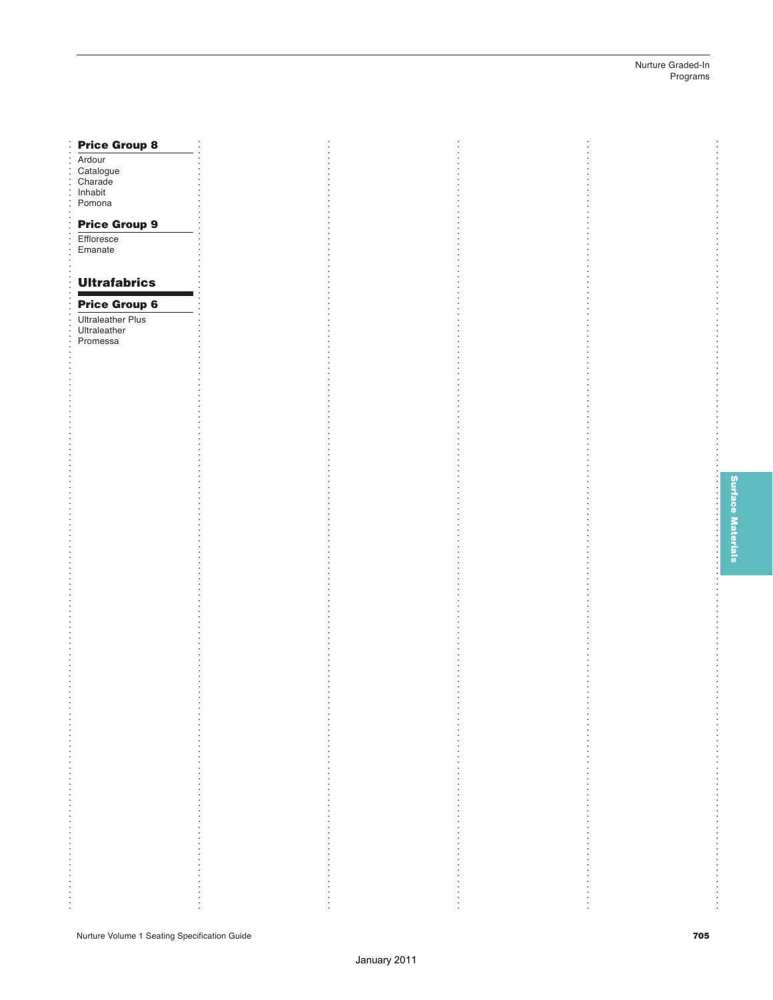# $\vdots$ **Price Group 8**  $\begin{array}{c} \vdots \\ \vdots \\ \vdots \end{array}$ Ardour Catalogue<br>Charade Inhabit Pomona **Price Group 9** Effloresce Emanate **Ultrafabrics Price Group 6 Ultraleather Plus** Ultraleather Promessa  $\frac{1}{2}$ . . . . . . . . . . . . . . . . . . . .  $\begin{bmatrix} 1 \\ 1 \\ 2 \end{bmatrix}$ . . . . . . . . . .  $\vdots$

. . . . . . . . . . . . .

 $\vdots$ 

**Surface Materials**